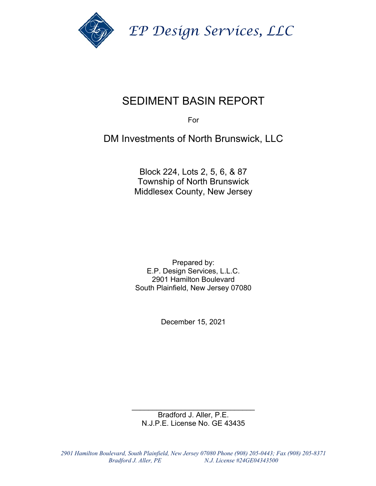

 *EP Design Services, LLC* 

## SEDIMENT BASIN REPORT

For

DM Investments of North Brunswick, LLC

Block 224, Lots 2, 5, 6, & 87 Township of North Brunswick Middlesex County, New Jersey

Prepared by: E.P. Design Services, L.L.C. 2901 Hamilton Boulevard South Plainfield, New Jersey 07080

December 15, 2021

\_\_\_\_\_\_\_\_\_\_\_\_\_\_\_\_\_\_\_\_\_\_\_\_\_\_\_\_\_\_ Bradford J. Aller, P.E. N.J.P.E. License No. GE 43435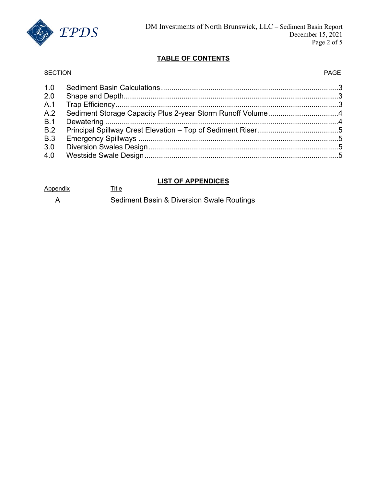

#### **TABLE OF CONTENTS**

#### SECTION **PAGE**

| 1.0        |                                                            |  |
|------------|------------------------------------------------------------|--|
| 2.0        |                                                            |  |
| A.1        |                                                            |  |
| A.2        | Sediment Storage Capacity Plus 2-year Storm Runoff Volume4 |  |
| B.1        |                                                            |  |
| B.2        |                                                            |  |
| <b>B.3</b> |                                                            |  |
| 3.0        |                                                            |  |
| 4.0        |                                                            |  |
|            |                                                            |  |

#### **LIST OF APPENDICES**

| Appendix |  |
|----------|--|
|          |  |

A Sediment Basin & Diversion Swale Routings

**Title**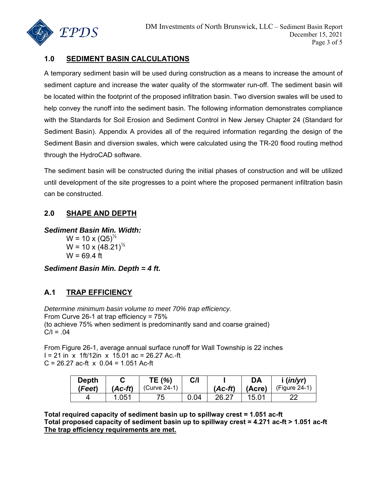

#### **1.0 SEDIMENT BASIN CALCULATIONS**

A temporary sediment basin will be used during construction as a means to increase the amount of sediment capture and increase the water quality of the stormwater run-off. The sediment basin will be located within the footprint of the proposed infiltration basin. Two diversion swales will be used to help convey the runoff into the sediment basin. The following information demonstrates compliance with the Standards for Soil Erosion and Sediment Control in New Jersey Chapter 24 (Standard for Sediment Basin). Appendix A provides all of the required information regarding the design of the Sediment Basin and diversion swales, which were calculated using the TR-20 flood routing method through the HydroCAD software.

The sediment basin will be constructed during the initial phases of construction and will be utilized until development of the site progresses to a point where the proposed permanent infiltration basin can be constructed.

#### **2.0 SHAPE AND DEPTH**

*Sediment Basin Min. Width:*   $W = 10 \times (Q5)^{\frac{1}{2}}$ 

 $W = 10 \times (48.21)^{\frac{1}{2}}$  $W = 69.4$  ft

*Sediment Basin Min. Depth = 4 ft.* 

#### **A.1 TRAP EFFICIENCY**

*Determine minimum basin volume to meet 70% trap efficiency.*  From Curve 26-1 at trap efficiency = 75% (to achieve 75% when sediment is predominantly sand and coarse grained)  $C/I = .04$ 

From Figure 26-1, average annual surface runoff for Wall Township is 22 inches  $I = 21$  in x 1ft/12in x 15.01 ac = 26.27 Ac.-ft  $C = 26.27$  ac-ft  $x \ 0.04 = 1.051$  Ac-ft

| Depth  |         | TE (%)       | C/I  |           | DA     | (in/yr)      |
|--------|---------|--------------|------|-----------|--------|--------------|
| (Feet) | (Ac-ft) | (Curve 24-1) |      | $(Ac-ft)$ | (Acre) | (Figure 24-1 |
|        | .051    | 75.          | በ በ4 | 26 27     | 15.01  |              |

**Total required capacity of sediment basin up to spillway crest = 1.051 ac-ft Total proposed capacity of sediment basin up to spillway crest = 4.271 ac-ft > 1.051 ac-ft The trap efficiency requirements are met.**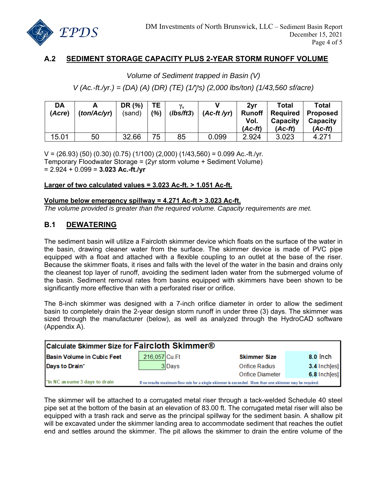

#### **A.2 SEDIMENT STORAGE CAPACITY PLUS 2-YEAR STORM RUNOFF VOLUME**

## *Volume of Sediment trapped in Basin (V) V (Ac.-ft./yr.) = (DA) (A) (DR) (TE) (1/γs) (2,000 lbs/ton) (1/43,560 sf/acre)*

| DA<br>(Acre) | (ton/Ac/yr) | DR (%)<br>(sand) | <b>TE</b><br>(%) | $\mathbf{v}_{\rm e}$<br>(Ibs/ft3) | $(Ac-ft/yr)$ | 2vr<br><b>Runoff</b><br>Vol.<br>$(Ac-ft)$ | Total<br><b>Required</b><br>Capacity<br>$(Ac-ft)$ | Total<br><b>Proposed</b><br>Capacity<br>(Ac-ft) |
|--------------|-------------|------------------|------------------|-----------------------------------|--------------|-------------------------------------------|---------------------------------------------------|-------------------------------------------------|
| 15.01        | 50          | 32.66            | 75               | 85                                | 0.099        | 2.924                                     | 3.023                                             | 4.271                                           |

 $V = (26.93) (50) (0.30) (0.75) (1/100) (2,000) (1/43,560) = 0.099$  Ac.-ft./yr. Temporary Floodwater Storage = (2yr storm volume + Sediment Volume) = 2.924 + 0.099 = **3.023 Ac.-ft./yr** 

#### **Larger of two calculated values = 3.023 Ac-ft. > 1.051 Ac-ft.**

#### **Volume below emergency spillway = 4.271 Ac-ft > 3.023 Ac-ft.**

*The volume provided is greater than the required volume. Capacity requirements are met.* 

#### **B.1 DEWATERING**

The sediment basin will utilize a Faircloth skimmer device which floats on the surface of the water in the basin, drawing cleaner water from the surface. The skimmer device is made of PVC pipe equipped with a float and attached with a flexible coupling to an outlet at the base of the riser. Because the skimmer floats, it rises and falls with the level of the water in the basin and drains only the cleanest top layer of runoff, avoiding the sediment laden water from the submerged volume of the basin. Sediment removal rates from basins equipped with skimmers have been shown to be significantly more effective than with a perforated riser or orifice.

The 8-inch skimmer was designed with a 7-inch orifice diameter in order to allow the sediment basin to completely drain the 2-year design storm runoff in under three (3) days. The skimmer was sized through the manufacturer (below), as well as analyzed through the HydroCAD software (Appendix A).

| Calculate Skimmer Size for Faircloth Skimmer® |               |                                                                                                          |                     |                |  |  |  |  |  |
|-----------------------------------------------|---------------|----------------------------------------------------------------------------------------------------------|---------------------|----------------|--|--|--|--|--|
| Basin Volume in Cubic Feet                    | 216,057 Cu.Ft |                                                                                                          | <b>Skimmer Size</b> | 8.0 lnch       |  |  |  |  |  |
| Days to Drain*                                |               | 3Days                                                                                                    | Orifice Radius      | $3.4$ Inch[es] |  |  |  |  |  |
|                                               |               |                                                                                                          | Orifice Diameter    | 6.8 Inch[es]   |  |  |  |  |  |
| *In NC assume 3 days to drain                 |               | If no results maximum flow rate for a single skimmer is exceeded. More than one skimmer may be required. |                     |                |  |  |  |  |  |

The skimmer will be attached to a corrugated metal riser through a tack-welded Schedule 40 steel pipe set at the bottom of the basin at an elevation of 83.00 ft. The corrugated metal riser will also be equipped with a trash rack and serve as the principal spillway for the sediment basin. A shallow pit will be excavated under the skimmer landing area to accommodate sediment that reaches the outlet end and settles around the skimmer. The pit allows the skimmer to drain the entire volume of the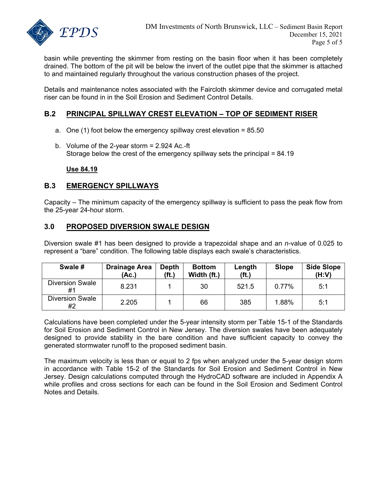

basin while preventing the skimmer from resting on the basin floor when it has been completely drained. The bottom of the pit will be below the invert of the outlet pipe that the skimmer is attached to and maintained regularly throughout the various construction phases of the project.

Details and maintenance notes associated with the Faircloth skimmer device and corrugated metal riser can be found in in the Soil Erosion and Sediment Control Details.

#### **B.2 PRINCIPAL SPILLWAY CREST ELEVATION – TOP OF SEDIMENT RISER**

- a. One (1) foot below the emergency spillway crest elevation  $= 85.50$
- b. Volume of the 2-year storm = 2.924 Ac.-ft Storage below the crest of the emergency spillway sets the principal = 84.19

**Use 84.19** 

#### **B.3 EMERGENCY SPILLWAYS**

Capacity – The minimum capacity of the emergency spillway is sufficient to pass the peak flow from the 25-year 24-hour storm.

#### **3.0 PROPOSED DIVERSION SWALE DESIGN**

Diversion swale #1 has been designed to provide a trapezoidal shape and an *n*-value of 0.025 to represent a "bare" condition. The following table displays each swale's characteristics.

| Swale #                      | <b>Drainage Area</b><br>(Ac.) | <b>Depth</b><br>(f <sub>t</sub> ) | <b>Bottom</b><br>Width (ft.) | Length<br>(f <sub>t</sub> ) | <b>Slope</b> | <b>Side Slope</b><br>(H:V) |
|------------------------------|-------------------------------|-----------------------------------|------------------------------|-----------------------------|--------------|----------------------------|
| <b>Diversion Swale</b><br>#1 | 8.231                         |                                   | 30                           | 521.5                       | 0.77%        | 5:1                        |
| <b>Diversion Swale</b><br>#2 | 2.205                         |                                   | 66                           | 385                         | 1.88%        | 5:1                        |

Calculations have been completed under the 5-year intensity storm per Table 15-1 of the Standards for Soil Erosion and Sediment Control in New Jersey. The diversion swales have been adequately designed to provide stability in the bare condition and have sufficient capacity to convey the generated stormwater runoff to the proposed sediment basin.

The maximum velocity is less than or equal to 2 fps when analyzed under the 5-year design storm in accordance with Table 15-2 of the Standards for Soil Erosion and Sediment Control in New Jersey. Design calculations computed through the HydroCAD software are included in Appendix A while profiles and cross sections for each can be found in the Soil Erosion and Sediment Control Notes and Details.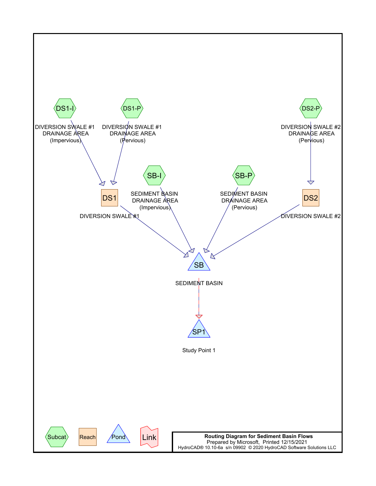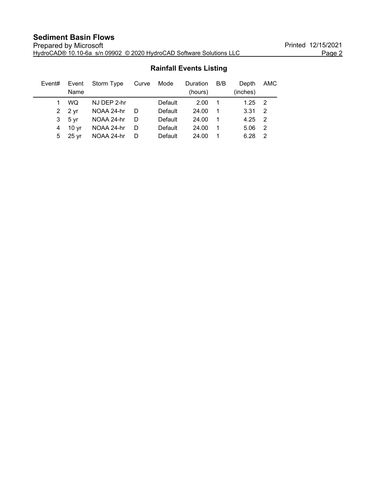### **Sediment Basin Flows**

| Event# | Name                   | Event Storm Type | Curve | Mode    | Duration<br>(hours) | B/B            | Depth<br>(inches) | AMC            |
|--------|------------------------|------------------|-------|---------|---------------------|----------------|-------------------|----------------|
|        | <b>WQ</b>              | NJ DEP 2-hr      |       | Default | 2.00                | - 1            | 1.25              | $\overline{2}$ |
|        | 2 $2 \sqrt{r}$         | NOAA 24-hr       | - D   | Default | 24.00               | - 1            | 3.31              | - 2            |
| 3      | 5 <sub>vr</sub>        | NOAA 24-hr       | - D   | Default | 24.00               | $\overline{1}$ | 4.25              | $\overline{2}$ |
| 4      | 10 <sub>vr</sub>       | NOAA 24-hr       | - D   | Default | 24.00               | -1             | 5.06              | -2             |
|        | $5\quad 25 \text{ yr}$ | NOAA 24-hr       | - D   | Default | 24.00               |                | 6.28              | $\mathcal{P}$  |

#### **Rainfall Events Listing**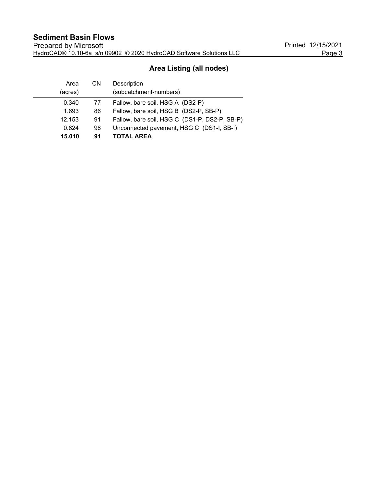#### **Area Listing (all nodes)**

| Area    | CN | Description                                   |
|---------|----|-----------------------------------------------|
| (acres) |    | (subcatchment-numbers)                        |
| 0.340   | 77 | Fallow, bare soil, HSG A (DS2-P)              |
| 1.693   | 86 | Fallow, bare soil, HSG B (DS2-P, SB-P)        |
| 12.153  | 91 | Fallow, bare soil, HSG C (DS1-P, DS2-P, SB-P) |
| 0.824   | 98 | Unconnected pavement, HSG C (DS1-I, SB-I)     |
| 15.010  | 91 | <b>TOTAL AREA</b>                             |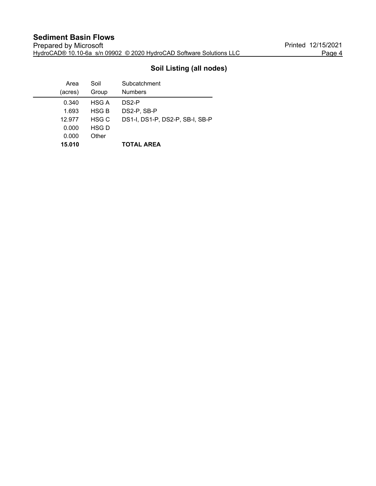#### **Soil Listing (all nodes)**

| Area    | Soil         | Subcatchment                    |
|---------|--------------|---------------------------------|
| (acres) | Group        | <b>Numbers</b>                  |
| 0.340   | HSG A        | DS <sub>2</sub> -P              |
| 1.693   | <b>HSG B</b> | DS2-P, SB-P                     |
| 12.977  | HSG C        | DS1-I, DS1-P, DS2-P, SB-I, SB-P |
| 0.000   | HSG D        |                                 |
| 0.000   | Other        |                                 |
| 15.010  |              | <b>TOTAL AREA</b>               |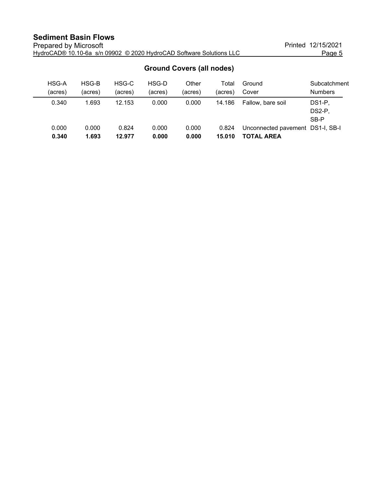| <u>UIUUIIU UUVUIS (UII IIUUUS)</u> |         |         |         |         |         |                                  |                |  |  |  |  |
|------------------------------------|---------|---------|---------|---------|---------|----------------------------------|----------------|--|--|--|--|
| HSG-A                              | HSG-B   | HSG-C   | HSG-D   | Other   | Total   | Ground                           | Subcatchment   |  |  |  |  |
| (acres)                            | (acres) | (acres) | (acres) | (acres) | (acres) | Cover                            | <b>Numbers</b> |  |  |  |  |
| 0.340                              | 1.693   | 12.153  | 0.000   | 0.000   | 14.186  | Fallow, bare soil                | DS1-P,         |  |  |  |  |
|                                    |         |         |         |         |         |                                  | DS2-P,         |  |  |  |  |
|                                    |         |         |         |         |         |                                  | SB-P           |  |  |  |  |
| 0.000                              | 0.000   | 0.824   | 0.000   | 0.000   | 0.824   | Unconnected pavement DS1-I, SB-I |                |  |  |  |  |
| 0.340                              | 1.693   | 12.977  | 0.000   | 0.000   | 15.010  | TOTAL AREA                       |                |  |  |  |  |

#### **Ground Covers (all nodes)**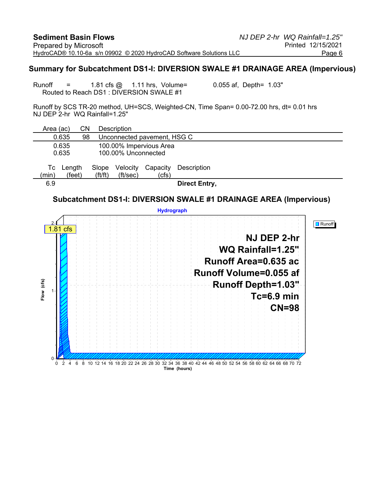#### **Summary for Subcatchment DS1-I: DIVERSION SWALE #1 DRAINAGE AREA (Impervious)**

Runoff =  $1.81 \text{ cfs}$   $\textcircled{a}$   $1.11 \text{ hrs}$ , Volume=  $0.055 \text{ af}$ , Depth=  $1.03$ " Routed to Reach DS1 : DIVERSION SWALE #1

Runoff by SCS TR-20 method, UH=SCS, Weighted-CN, Time Span= 0.00-72.00 hrs, dt= 0.01 hrs NJ DEP 2-hr WQ Rainfall=1.25"

| Area (ac)   | CN                                    |                                | <b>Description</b>   |                             |                                                                                                                   |  |  |  |  |
|-------------|---------------------------------------|--------------------------------|----------------------|-----------------------------|-------------------------------------------------------------------------------------------------------------------|--|--|--|--|
|             | 0.635<br>98                           |                                |                      | Unconnected pavement, HSG C |                                                                                                                   |  |  |  |  |
|             | 0.635                                 |                                |                      | 100.00% Impervious Area     |                                                                                                                   |  |  |  |  |
|             | 0.635<br>100.00% Unconnected          |                                |                      |                             |                                                                                                                   |  |  |  |  |
|             |                                       |                                |                      |                             |                                                                                                                   |  |  |  |  |
| Тc<br>(min) | Length<br>(feet)                      | Slope<br>$({\rm ft}/{\rm ft})$ | Velocity<br>(ft/sec) | Capacity<br>(cfs)           | Description                                                                                                       |  |  |  |  |
| 6.9         |                                       |                                |                      |                             | <b>Direct Entry,</b>                                                                                              |  |  |  |  |
|             |                                       |                                |                      |                             | Subcatchment DS1-I: DIVERSION SWALE #1 DRAINAGE AREA (Impervious)                                                 |  |  |  |  |
|             |                                       |                                |                      | <b>Hydrograph</b>           |                                                                                                                   |  |  |  |  |
|             | 1.81 cfs                              |                                |                      |                             | <b>Runoff</b><br>NJ DEP 2-hr<br>WQ Rainfall=1.25"                                                                 |  |  |  |  |
|             |                                       |                                |                      |                             | Runoff Area=0.635 ac<br>Runoff Volume=0.055 af                                                                    |  |  |  |  |
|             |                                       |                                |                      |                             | Runoff Depth=1.03"                                                                                                |  |  |  |  |
| Flow (cfs)  |                                       |                                |                      |                             | Tc≑6.9 min                                                                                                        |  |  |  |  |
|             |                                       |                                |                      |                             | $CN=98$                                                                                                           |  |  |  |  |
|             |                                       |                                |                      |                             |                                                                                                                   |  |  |  |  |
|             |                                       |                                |                      |                             |                                                                                                                   |  |  |  |  |
|             |                                       |                                |                      |                             |                                                                                                                   |  |  |  |  |
|             |                                       |                                |                      |                             |                                                                                                                   |  |  |  |  |
| $\Omega$    | $\overline{2}$<br>$\overline{4}$<br>6 |                                |                      |                             | 8 10 12 14 16 18 20 22 24 26 28 30 32 34 36 38 40 42 44 46 48 50 52 54 56 58 60 62 64 66 68 70 72<br>Time (hours) |  |  |  |  |
|             |                                       |                                |                      |                             |                                                                                                                   |  |  |  |  |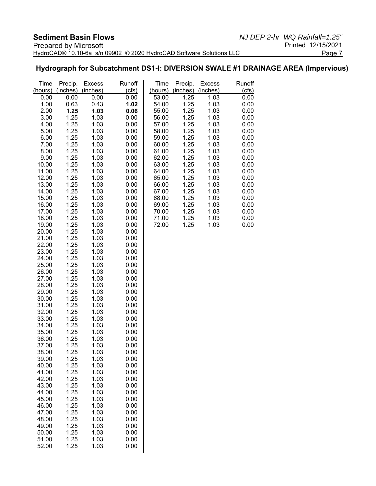#### **Hydrograph for Subcatchment DS1-I: DIVERSION SWALE #1 DRAINAGE AREA (Impervious)**

| Time           | Precip.      | <b>Excess</b> | Runoff       | Time    | Precip.  | <b>Excess</b> | Runoff |
|----------------|--------------|---------------|--------------|---------|----------|---------------|--------|
| (hours)        | (inches)     | (inches)      | (cfs)        | (hours) | (inches) | (inches)      | (cfs)  |
| 0.00           | 0.00         | 0.00          | 0.00         | 53.00   | 1.25     | 1.03          | 0.00   |
| 1.00           | 0.63         | 0.43          | 1.02         | 54.00   | 1.25     | 1.03          | 0.00   |
| 2.00           | 1.25         | 1.03          | 0.06         | 55.00   | 1.25     | 1.03          | 0.00   |
| 3.00           | 1.25         | 1.03          | 0.00         | 56.00   | 1.25     | 1.03          | 0.00   |
| 4.00           | 1.25         | 1.03          | 0.00         | 57.00   | 1.25     | 1.03          | 0.00   |
| 5.00           | 1.25         | 1.03          | 0.00         | 58.00   | 1.25     | 1.03          | 0.00   |
| 6.00           | 1.25         | 1.03          | 0.00         | 59.00   | 1.25     | 1.03          | 0.00   |
| 7.00           | 1.25         | 1.03          | 0.00         | 60.00   | 1.25     | 1.03          | 0.00   |
| 8.00           | 1.25         | 1.03          | 0.00         | 61.00   | 1.25     | 1.03          | 0.00   |
| 9.00           | 1.25         | 1.03          | 0.00         | 62.00   | 1.25     | 1.03          | 0.00   |
| 10.00          | 1.25         | 1.03          | 0.00         | 63.00   | 1.25     | 1.03          | 0.00   |
| 11.00          | 1.25         | 1.03          | 0.00         | 64.00   | 1.25     | 1.03          | 0.00   |
| 12.00          | 1.25         | 1.03          | 0.00         | 65.00   | 1.25     | 1.03          | 0.00   |
| 13.00          | 1.25         | 1.03          | 0.00         | 66.00   | 1.25     | 1.03          | 0.00   |
| 14.00          | 1.25         | 1.03          | 0.00         | 67.00   | 1.25     | 1.03          | 0.00   |
| 15.00          | 1.25         | 1.03          | 0.00         | 68.00   | 1.25     | 1.03          | 0.00   |
| 16.00          | 1.25         | 1.03          | 0.00         | 69.00   | 1.25     | 1.03          | 0.00   |
| 17.00          | 1.25         | 1.03          | 0.00         | 70.00   | 1.25     | 1.03          | 0.00   |
| 18.00          | 1.25         | 1.03          | 0.00         | 71.00   | 1.25     | 1.03          | 0.00   |
| 19.00          | 1.25         | 1.03          | 0.00         | 72.00   | 1.25     | 1.03          | 0.00   |
| 20.00          | 1.25         | 1.03          | 0.00         |         |          |               |        |
| 21.00          | 1.25         | 1.03          | 0.00         |         |          |               |        |
| 22.00          | 1.25         | 1.03          | 0.00         |         |          |               |        |
| 23.00          | 1.25         | 1.03          | 0.00         |         |          |               |        |
| 24.00<br>25.00 | 1.25<br>1.25 | 1.03<br>1.03  | 0.00         |         |          |               |        |
| 26.00          | 1.25         | 1.03          | 0.00<br>0.00 |         |          |               |        |
| 27.00          | 1.25         | 1.03          | 0.00         |         |          |               |        |
| 28.00          | 1.25         | 1.03          | 0.00         |         |          |               |        |
| 29.00          | 1.25         | 1.03          | 0.00         |         |          |               |        |
| 30.00          | 1.25         | 1.03          | 0.00         |         |          |               |        |
| 31.00          | 1.25         | 1.03          | 0.00         |         |          |               |        |
| 32.00          | 1.25         | 1.03          | 0.00         |         |          |               |        |
| 33.00          | 1.25         | 1.03          | 0.00         |         |          |               |        |
| 34.00          | 1.25         | 1.03          | 0.00         |         |          |               |        |
| 35.00          | 1.25         | 1.03          | 0.00         |         |          |               |        |
| 36.00          | 1.25         | 1.03          | 0.00         |         |          |               |        |
| 37.00          | 1.25         | 1.03          | 0.00         |         |          |               |        |
| 38.00          | 1.25         | 1.03          | 0.00         |         |          |               |        |
| 39.00          | 1.25         | 1.03          | 0.00         |         |          |               |        |
| 40.00          | 1.25         | 1.03          | 0.00         |         |          |               |        |
| 41.00          | 1.25         | 1.03          | 0.00         |         |          |               |        |
| 42.00          | 1.25         | 1.03          | 0.00         |         |          |               |        |
| 43.00          | 1.25         | 1.03          | 0.00         |         |          |               |        |
| 44.00          | 1.25         | 1.03          | 0.00         |         |          |               |        |
| 45.00          | 1.25         | 1.03          | 0.00         |         |          |               |        |
| 46.00          | 1.25         | 1.03          | 0.00         |         |          |               |        |
| 47.00          | 1.25         | 1.03          | 0.00         |         |          |               |        |
| 48.00          | 1.25         | 1.03          | 0.00         |         |          |               |        |
| 49.00          | 1.25         | 1.03          | 0.00         |         |          |               |        |
| 50.00          | 1.25         | 1.03          | 0.00         |         |          |               |        |
| 51.00          | 1.25         | 1.03          | 0.00         |         |          |               |        |
| 52.00          | 1.25         | 1.03          | 0.00         |         |          |               |        |
|                |              |               |              |         |          |               |        |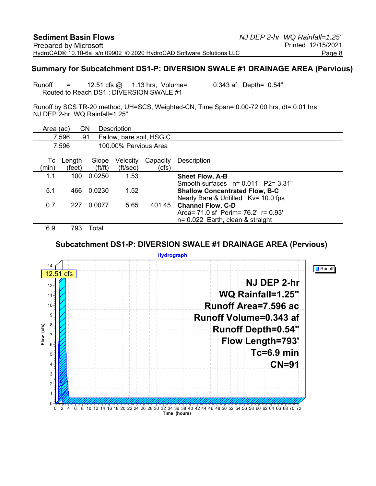#### **Summary for Subcatchment DS1-P: DIVERSION SWALE #1 DRAINAGE AREA (Pervious)**

Runoff  $=$  12.51 cfs  $\omega$  1.13 hrs, Volume= 0.343 af, Depth= 0.54" Routed to Reach DS1 : DIVERSION SWALE #1

Runoff by SCS TR-20 method, UH=SCS, Weighted-CN, Time Span= 0.00-72.00 hrs, dt= 0.01 hrs NJ DEP 2-hr WQ Rainfall=1.25"

|               | Area (ac)        | CN                             | Description           |                          |                                                                              |
|---------------|------------------|--------------------------------|-----------------------|--------------------------|------------------------------------------------------------------------------|
|               | 7.596            | 91                             |                       | Fallow, bare soil, HSG C |                                                                              |
|               | 7.596            |                                | 100,00% Pervious Area |                          |                                                                              |
| Тc<br>(min)   | Length<br>(feet) | Slope<br>$({\rm ft}/{\rm ft})$ | Velocity<br>(ft/sec)  | Capacity<br>(cfs)        | Description                                                                  |
| 1.1           | 100              | 0.0250                         | 1.53                  |                          | <b>Sheet Flow, A-B</b>                                                       |
|               |                  |                                |                       |                          | Smooth surfaces $n = 0.011$ P2= 3.31"                                        |
| 5.1           | 466              | 0.0230                         | 1.52                  |                          | <b>Shallow Concentrated Flow, B-C</b><br>Nearly Bare & Untilled Kv= 10.0 fps |
| 0.7           | 227              | 0.0077                         | 5.65                  | 401.45                   | <b>Channel Flow, C-D</b>                                                     |
|               |                  |                                |                       |                          | Area = $71.0$ sf Perim = $76.2'$ r = $0.93'$                                 |
| $\sim$ $\sim$ | ---              |                                |                       |                          | $n = 0.022$ Earth, clean & straight                                          |

6.9 793 Total

#### **Subcatchment DS1-P: DIVERSION SWALE #1 DRAINAGE AREA (Pervious)**

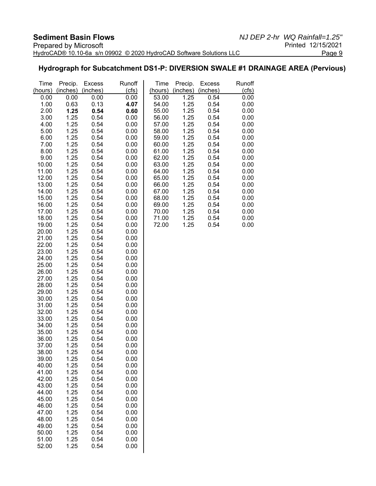#### **Hydrograph for Subcatchment DS1-P: DIVERSION SWALE #1 DRAINAGE AREA (Pervious)**

| Time           | Precip.      | <b>Excess</b> | Runoff       | Time           | Precip.      | <b>Excess</b> | Runoff       |
|----------------|--------------|---------------|--------------|----------------|--------------|---------------|--------------|
| (hours)        | (inches)     | (inches)      | (cls)        | (hours)        | (inches)     | (inches)      | (cfs)        |
| 0.00           | 0.00         | 0.00          | 0.00         | 53.00          | 1.25         | 0.54          | 0.00         |
| 1.00           | 0.63         | 0.13          | 4.07         | 54.00          | 1.25         | 0.54          | 0.00         |
| 2.00           | 1.25         | 0.54          | 0.60         | 55.00          | 1.25         | 0.54          | 0.00         |
| 3.00           | 1.25         | 0.54          | 0.00         | 56.00          | 1.25         | 0.54          | 0.00         |
| 4.00           | 1.25         | 0.54          | 0.00         | 57.00          | 1.25         | 0.54          | 0.00         |
| 5.00           | 1.25         | 0.54          | 0.00         | 58.00          | 1.25         | 0.54          | 0.00         |
| 6.00<br>7.00   | 1.25<br>1.25 | 0.54<br>0.54  | 0.00<br>0.00 | 59.00<br>60.00 | 1.25<br>1.25 | 0.54<br>0.54  | 0.00<br>0.00 |
| 8.00           | 1.25         | 0.54          | 0.00         | 61.00          | 1.25         | 0.54          | 0.00         |
| 9.00           | 1.25         | 0.54          | 0.00         | 62.00          | 1.25         | 0.54          | 0.00         |
| 10.00          | 1.25         | 0.54          | 0.00         | 63.00          | 1.25         | 0.54          | 0.00         |
| 11.00          | 1.25         | 0.54          | 0.00         | 64.00          | 1.25         | 0.54          | 0.00         |
| 12.00          | 1.25         | 0.54          | 0.00         | 65.00          | 1.25         | 0.54          | 0.00         |
| 13.00          | 1.25         | 0.54          | 0.00         | 66.00          | 1.25         | 0.54          | 0.00         |
| 14.00          | 1.25         | 0.54          | 0.00         | 67.00          | 1.25         | 0.54          | 0.00         |
| 15.00          | 1.25         | 0.54          | 0.00         | 68.00          | 1.25         | 0.54          | 0.00         |
| 16.00          | 1.25         | 0.54          | 0.00         | 69.00          | 1.25         | 0.54          | 0.00         |
| 17.00          | 1.25         | 0.54          | 0.00         | 70.00          | 1.25         | 0.54          | 0.00         |
| 18.00          | 1.25         | 0.54          | 0.00         | 71.00          | 1.25         | 0.54          | 0.00         |
| 19.00          | 1.25         | 0.54          | 0.00         | 72.00          | 1.25         | 0.54          | 0.00         |
| 20.00          | 1.25         | 0.54          | 0.00         |                |              |               |              |
| 21.00          | 1.25         | 0.54          | 0.00         |                |              |               |              |
| 22.00          | 1.25         | 0.54          | 0.00         |                |              |               |              |
| 23.00<br>24.00 | 1.25<br>1.25 | 0.54<br>0.54  | 0.00<br>0.00 |                |              |               |              |
| 25.00          | 1.25         | 0.54          | 0.00         |                |              |               |              |
| 26.00          | 1.25         | 0.54          | 0.00         |                |              |               |              |
| 27.00          | 1.25         | 0.54          | 0.00         |                |              |               |              |
| 28.00          | 1.25         | 0.54          | 0.00         |                |              |               |              |
| 29.00          | 1.25         | 0.54          | 0.00         |                |              |               |              |
| 30.00          | 1.25         | 0.54          | 0.00         |                |              |               |              |
| 31.00          | 1.25         | 0.54          | 0.00         |                |              |               |              |
| 32.00          | 1.25         | 0.54          | 0.00         |                |              |               |              |
| 33.00          | 1.25         | 0.54          | 0.00         |                |              |               |              |
| 34.00          | 1.25         | 0.54          | 0.00         |                |              |               |              |
| 35.00          | 1.25         | 0.54          | 0.00         |                |              |               |              |
| 36.00          | 1.25         | 0.54          | 0.00         |                |              |               |              |
| 37.00          | 1.25         | 0.54          | 0.00         |                |              |               |              |
| 38.00<br>39.00 | 1.25<br>1.25 | 0.54<br>0.54  | 0.00<br>0.00 |                |              |               |              |
| 40.00          | 1.25         | 0.54          | 0.00         |                |              |               |              |
| 41.00          | 1.25         | 0.54          | 0.00         |                |              |               |              |
| 42.00          | 1.25         | 0.54          | 0.00         |                |              |               |              |
| 43.00          | 1.25         | 0.54          | 0.00         |                |              |               |              |
| 44.00          | 1.25         | 0.54          | 0.00         |                |              |               |              |
| 45.00          | 1.25         | 0.54          | 0.00         |                |              |               |              |
| 46.00          | 1.25         | 0.54          | 0.00         |                |              |               |              |
| 47.00          | 1.25         | 0.54          | 0.00         |                |              |               |              |
| 48.00          | 1.25         | 0.54          | 0.00         |                |              |               |              |
| 49.00          | 1.25         | 0.54          | 0.00         |                |              |               |              |
| 50.00          | 1.25         | 0.54          | 0.00         |                |              |               |              |
| 51.00<br>52.00 | 1.25<br>1.25 | 0.54<br>0.54  | 0.00<br>0.00 |                |              |               |              |
|                |              |               |              |                |              |               |              |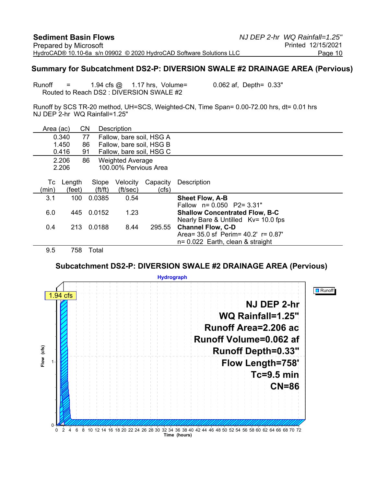#### **Summary for Subcatchment DS2-P: DIVERSION SWALE #2 DRAINAGE AREA (Pervious)**

Runoff  $=$  1.94 cfs  $\omega$  1.17 hrs, Volume= 0.062 af, Depth= 0.33" Routed to Reach DS2 : DIVERSION SWALE #2

Runoff by SCS TR-20 method, UH=SCS, Weighted-CN, Time Span= 0.00-72.00 hrs, dt= 0.01 hrs NJ DEP 2-hr WQ Rainfall=1.25"

| Area (ac)   |                  | <b>CN</b>                      | <b>Description</b>       |                   |                                              |
|-------------|------------------|--------------------------------|--------------------------|-------------------|----------------------------------------------|
|             | 0.340            | 77                             | Fallow, bare soil, HSG A |                   |                                              |
|             | 1.450            | 86                             | Fallow, bare soil, HSG B |                   |                                              |
|             | 0.416            | 91                             | Fallow, bare soil, HSG C |                   |                                              |
|             | 2.206            | 86                             | <b>Weighted Average</b>  |                   |                                              |
|             | 2.206            |                                | 100.00% Pervious Area    |                   |                                              |
| Тc<br>(min) | Length<br>(feet) | Slope<br>$({\rm ft}/{\rm ft})$ | Velocity<br>(ft/sec)     | Capacity<br>(cfs) | Description                                  |
| 3.1         | 100              | 0.0385                         | 0.54                     |                   | <b>Sheet Flow, A-B</b>                       |
|             |                  |                                |                          |                   | Fallow $n = 0.050$ P2= 3.31"                 |
| 6.0         | 445              | 0.0152                         | 1.23                     |                   | <b>Shallow Concentrated Flow, B-C</b>        |
|             |                  |                                |                          |                   | Nearly Bare & Untilled Kv= 10.0 fps          |
| 0.4         | 213              | 0.0188                         | 8.44                     | 295.55            | <b>Channel Flow, C-D</b>                     |
|             |                  |                                |                          |                   | Area = $35.0$ sf Perim = $40.2'$ r = $0.87'$ |
|             |                  |                                |                          |                   | $n = 0.022$ Earth, clean & straight          |
| 9.5         | 758              | Total                          |                          |                   |                                              |

**Subcatchment DS2-P: DIVERSION SWALE #2 DRAINAGE AREA (Pervious)**

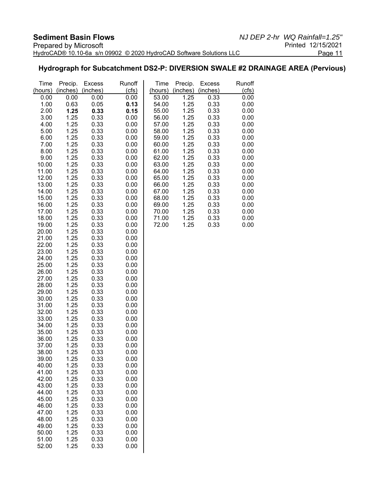#### **Hydrograph for Subcatchment DS2-P: DIVERSION SWALE #2 DRAINAGE AREA (Pervious)**

| Time           | Precip.      | <b>Excess</b> | Runoff       | Time           | Precip.      | <b>Excess</b> | Runoff       |
|----------------|--------------|---------------|--------------|----------------|--------------|---------------|--------------|
| (hours)        | (inches)     | (inches)      | (cts)        | (hours)        | (inches)     | (inches)      | (cfs)        |
| 0.00           | 0.00         | 0.00          | 0.00         | 53.00          | 1.25         | 0.33          | 0.00         |
| 1.00           | 0.63         | 0.05          | 0.13         | 54.00          | 1.25         | 0.33          | 0.00         |
| 2.00           | 1.25         | 0.33          | 0.15         | 55.00          | 1.25         | 0.33          | 0.00         |
| 3.00           | 1.25         | 0.33          | 0.00         | 56.00          | 1.25         | 0.33          | 0.00         |
| 4.00           | 1.25         | 0.33          | 0.00         | 57.00          | 1.25         | 0.33          | 0.00         |
| 5.00           | 1.25         | 0.33          | 0.00         | 58.00          | 1.25         | 0.33          | 0.00         |
| 6.00           | 1.25         | 0.33          | 0.00         | 59.00          | 1.25         | 0.33          | 0.00         |
| 7.00           | 1.25         | 0.33          | 0.00         | 60.00          | 1.25         | 0.33          | 0.00         |
| 8.00           | 1.25         | 0.33          | 0.00         | 61.00          | 1.25         | 0.33          | 0.00         |
| 9.00           | 1.25         | 0.33          | 0.00         | 62.00          | 1.25         | 0.33          | 0.00         |
| 10.00          | 1.25         | 0.33          | 0.00         | 63.00          | 1.25         | 0.33          | 0.00         |
| 11.00          | 1.25         | 0.33          | 0.00         | 64.00          | 1.25         | 0.33          | 0.00         |
| 12.00          | 1.25         | 0.33          | 0.00         | 65.00          | 1.25         | 0.33          | 0.00         |
| 13.00          | 1.25         | 0.33          | 0.00         | 66.00          | 1.25         | 0.33          | 0.00         |
| 14.00          | 1.25         | 0.33          | 0.00         | 67.00          | 1.25         | 0.33          | 0.00         |
| 15.00          | 1.25         | 0.33          | 0.00         | 68.00          | 1.25         | 0.33          | 0.00         |
| 16.00          | 1.25         | 0.33          | 0.00         | 69.00          | 1.25         | 0.33          | 0.00         |
| 17.00<br>18.00 | 1.25         | 0.33          | 0.00         | 70.00          | 1.25<br>1.25 | 0.33          | 0.00         |
| 19.00          | 1.25<br>1.25 | 0.33<br>0.33  | 0.00<br>0.00 | 71.00<br>72.00 | 1.25         | 0.33<br>0.33  | 0.00<br>0.00 |
| 20.00          | 1.25         | 0.33          | 0.00         |                |              |               |              |
| 21.00          | 1.25         | 0.33          | 0.00         |                |              |               |              |
| 22.00          | 1.25         | 0.33          | 0.00         |                |              |               |              |
| 23.00          | 1.25         | 0.33          | 0.00         |                |              |               |              |
| 24.00          | 1.25         | 0.33          | 0.00         |                |              |               |              |
| 25.00          | 1.25         | 0.33          | 0.00         |                |              |               |              |
| 26.00          | 1.25         | 0.33          | 0.00         |                |              |               |              |
| 27.00          | 1.25         | 0.33          | 0.00         |                |              |               |              |
| 28.00          | 1.25         | 0.33          | 0.00         |                |              |               |              |
| 29.00          | 1.25         | 0.33          | 0.00         |                |              |               |              |
| 30.00          | 1.25         | 0.33          | 0.00         |                |              |               |              |
| 31.00          | 1.25         | 0.33          | 0.00         |                |              |               |              |
| 32.00          | 1.25         | 0.33          | 0.00         |                |              |               |              |
| 33.00          | 1.25         | 0.33          | 0.00         |                |              |               |              |
| 34.00          | 1.25         | 0.33          | 0.00         |                |              |               |              |
| 35.00          | 1.25         | 0.33          | 0.00         |                |              |               |              |
| 36.00          | 1.25         | 0.33          | 0.00         |                |              |               |              |
| 37.00          | 1.25         | 0.33          | 0.00         |                |              |               |              |
| 38.00          | 1.25         | 0.33          | 0.00         |                |              |               |              |
| 39.00          | 1.25         | 0.33          | 0.00         |                |              |               |              |
| 40.00          | 1.25         | 0.33          | 0.00         |                |              |               |              |
| 41.00          | 1.25         | 0.33          | 0.00         |                |              |               |              |
| 42.00          | 1.25         | 0.33          | 0.00         |                |              |               |              |
| 43.00          | 1.25         | 0.33          | 0.00         |                |              |               |              |
| 44.00          | 1.25         | 0.33          | 0.00         |                |              |               |              |
| 45.00          | 1.25         | 0.33          | 0.00         |                |              |               |              |
| 46.00          | 1.25         | 0.33          | 0.00         |                |              |               |              |
| 47.00          | 1.25         | 0.33          | 0.00         |                |              |               |              |
| 48.00<br>49.00 | 1.25<br>1.25 | 0.33<br>0.33  | 0.00<br>0.00 |                |              |               |              |
| 50.00          | 1.25         | 0.33          | 0.00         |                |              |               |              |
| 51.00          | 1.25         | 0.33          | 0.00         |                |              |               |              |
| 52.00          | 1.25         | 0.33          | 0.00         |                |              |               |              |
|                |              |               |              |                |              |               |              |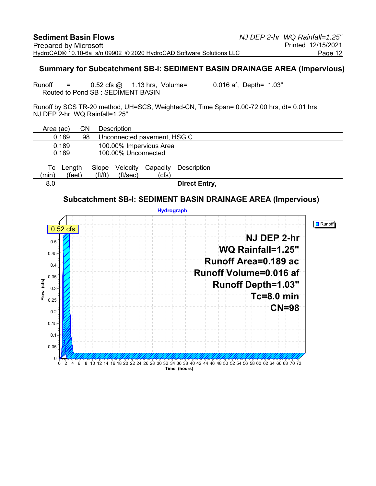#### **Summary for Subcatchment SB-I: SEDIMENT BASIN DRAINAGE AREA (Impervious)**

Runoff  $=$  0.52 cfs  $\omega$  1.13 hrs, Volume= 0.016 af, Depth= 1.03" Routed to Pond SB : SEDIMENT BASIN

Runoff by SCS TR-20 method, UH=SCS, Weighted-CN, Time Span= 0.00-72.00 hrs, dt= 0.01 hrs NJ DEP 2-hr WQ Rainfall=1.25"

| Area (ac)      |                  | CΝ |                                | Description          |                             |                      |
|----------------|------------------|----|--------------------------------|----------------------|-----------------------------|----------------------|
| 0.189          |                  | 98 |                                |                      | Unconnected pavement, HSG C |                      |
| 0.189<br>0.189 |                  |    |                                | 100.00% Unconnected  | 100.00% Impervious Area     |                      |
| Тc<br>(min)    | Length<br>(feet) |    | Slope<br>$({\rm ft}/{\rm ft})$ | Velocity<br>(ft/sec) | Capacity<br>(cfs)           | Description          |
| 8.0            |                  |    |                                |                      |                             | <b>Direct Entry,</b> |

#### **Subcatchment SB-I: SEDIMENT BASIN DRAINAGE AREA (Impervious)**

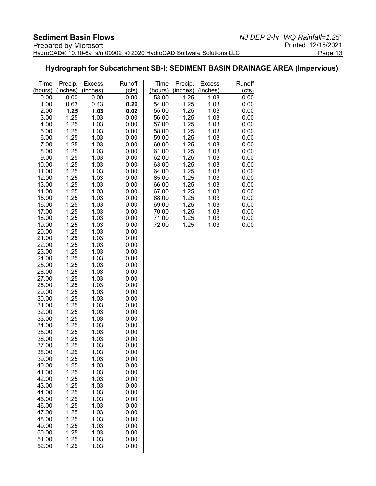#### **Hydrograph for Subcatchment SB-I: SEDIMENT BASIN DRAINAGE AREA (Impervious)**

| Time           | Precip.      | <b>Excess</b> | Runoff       | Time           | Precip.      | <b>Excess</b> | Runoff       |
|----------------|--------------|---------------|--------------|----------------|--------------|---------------|--------------|
| (hours)        | (inches)     | (inches)      | (cts)        | (hours)        | (inches)     | (inches)      | (cfs)        |
| 0.00           | 0.00         | 0.00          | 0.00         | 53.00          | 1.25         | 1.03          | 0.00         |
| 1.00           | 0.63         | 0.43          | 0.26         | 54.00          | 1.25         | 1.03          | 0.00         |
| 2.00           | 1.25         | 1.03          | 0.02         | 55.00          | 1.25         | 1.03          | 0.00         |
| 3.00<br>4.00   | 1.25<br>1.25 | 1.03<br>1.03  | 0.00         | 56.00<br>57.00 | 1.25<br>1.25 | 1.03<br>1.03  | 0.00<br>0.00 |
| 5.00           | 1.25         | 1.03          | 0.00<br>0.00 | 58.00          | 1.25         | 1.03          | 0.00         |
| 6.00           | 1.25         | 1.03          | 0.00         | 59.00          | 1.25         | 1.03          | 0.00         |
| 7.00           | 1.25         | 1.03          | 0.00         | 60.00          | 1.25         | 1.03          | 0.00         |
| 8.00           | 1.25         | 1.03          | 0.00         | 61.00          | 1.25         | 1.03          | 0.00         |
| 9.00           | 1.25         | 1.03          | 0.00         | 62.00          | 1.25         | 1.03          | 0.00         |
| 10.00          | 1.25         | 1.03          | 0.00         | 63.00          | 1.25         | 1.03          | 0.00         |
| 11.00          | 1.25         | 1.03          | 0.00         | 64.00          | 1.25         | 1.03          | 0.00         |
| 12.00          | 1.25         | 1.03          | 0.00         | 65.00          | 1.25         | 1.03          | 0.00         |
| 13.00          | 1.25         | 1.03          | 0.00         | 66.00          | 1.25         | 1.03          | 0.00         |
| 14.00          | 1.25         | 1.03          | 0.00         | 67.00          | 1.25         | 1.03          | 0.00         |
| 15.00          | 1.25         | 1.03          | 0.00         | 68.00          | 1.25         | 1.03          | 0.00         |
| 16.00<br>17.00 | 1.25<br>1.25 | 1.03<br>1.03  | 0.00<br>0.00 | 69.00<br>70.00 | 1.25<br>1.25 | 1.03<br>1.03  | 0.00<br>0.00 |
| 18.00          | 1.25         | 1.03          | 0.00         | 71.00          | 1.25         | 1.03          | 0.00         |
| 19.00          | 1.25         | 1.03          | 0.00         | 72.00          | 1.25         | 1.03          | 0.00         |
| 20.00          | 1.25         | 1.03          | 0.00         |                |              |               |              |
| 21.00          | 1.25         | 1.03          | 0.00         |                |              |               |              |
| 22.00          | 1.25         | 1.03          | 0.00         |                |              |               |              |
| 23.00          | 1.25         | 1.03          | 0.00         |                |              |               |              |
| 24.00          | 1.25         | 1.03          | 0.00         |                |              |               |              |
| 25.00          | 1.25         | 1.03          | 0.00         |                |              |               |              |
| 26.00<br>27.00 | 1.25         | 1.03          | 0.00         |                |              |               |              |
| 28.00          | 1.25<br>1.25 | 1.03<br>1.03  | 0.00<br>0.00 |                |              |               |              |
| 29.00          | 1.25         | 1.03          | 0.00         |                |              |               |              |
| 30.00          | 1.25         | 1.03          | 0.00         |                |              |               |              |
| 31.00          | 1.25         | 1.03          | 0.00         |                |              |               |              |
| 32.00          | 1.25         | 1.03          | 0.00         |                |              |               |              |
| 33.00          | 1.25         | 1.03          | 0.00         |                |              |               |              |
| 34.00          | 1.25         | 1.03          | 0.00         |                |              |               |              |
| 35.00          | 1.25         | 1.03          | 0.00         |                |              |               |              |
| 36.00          | 1.25         | 1.03          | 0.00         |                |              |               |              |
| 37.00<br>38.00 | 1.25<br>1.25 | 1.03<br>1.03  | 0.00<br>0.00 |                |              |               |              |
| 39.00          | 1.25         | 1.03          | 0.00         |                |              |               |              |
| 40.00          | 1.25         | 1.03          | 0.00         |                |              |               |              |
| 41.00          | 1.25         | 1.03          | 0.00         |                |              |               |              |
| 42.00          | 1.25         | 1.03          | 0.00         |                |              |               |              |
| 43.00          | 1.25         | 1.03          | 0.00         |                |              |               |              |
| 44.00          | 1.25         | 1.03          | 0.00         |                |              |               |              |
| 45.00          | 1.25         | 1.03          | 0.00         |                |              |               |              |
| 46.00          | 1.25         | 1.03          | 0.00         |                |              |               |              |
| 47.00          | 1.25         | 1.03<br>1.03  | 0.00         |                |              |               |              |
| 48.00<br>49.00 | 1.25<br>1.25 | 1.03          | 0.00<br>0.00 |                |              |               |              |
| 50.00          | 1.25         | 1.03          | 0.00         |                |              |               |              |
| 51.00          | 1.25         | 1.03          | 0.00         |                |              |               |              |
| 52.00          | 1.25         | 1.03          | 0.00         |                |              |               |              |
|                |              |               |              |                |              |               |              |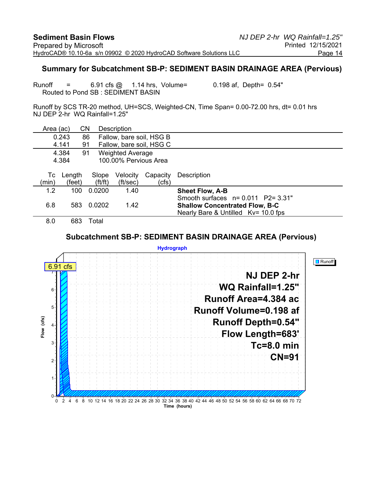#### **Summary for Subcatchment SB-P: SEDIMENT BASIN DRAINAGE AREA (Pervious)**

Runoff  $=$  6.91 cfs  $\omega$  1.14 hrs, Volume= 0.198 af, Depth= 0.54" Routed to Pond SB : SEDIMENT BASIN

Runoff by SCS TR-20 method, UH=SCS, Weighted-CN, Time Span= 0.00-72.00 hrs, dt= 0.01 hrs NJ DEP 2-hr WQ Rainfall=1.25"

| Area (ac) |        | CΝ                    | <b>Description</b>       |          |                                       |
|-----------|--------|-----------------------|--------------------------|----------|---------------------------------------|
|           | 0.243  | 86                    | Fallow, bare soil, HSG B |          |                                       |
|           | 4.141  | 91                    | Fallow, bare soil, HSG C |          |                                       |
|           | 4.384  | 91                    | <b>Weighted Average</b>  |          |                                       |
|           | 4.384  |                       | 100.00% Pervious Area    |          |                                       |
|           |        |                       |                          |          |                                       |
| Тc        | Length | Slope                 | Velocity                 | Capacity | Description                           |
| (min)     | (feet) | $({\rm ft}/{\rm ft})$ | (ft/sec)                 | (cfs)    |                                       |
| 1.2       | 100    | 0.0200                | 1.40                     |          | <b>Sheet Flow, A-B</b>                |
|           |        |                       |                          |          | Smooth surfaces $n = 0.011$ P2= 3.31" |
| 6.8       | 583    | 0.0202                | 1.42                     |          | <b>Shallow Concentrated Flow, B-C</b> |
|           |        |                       |                          |          | Nearly Bare & Untilled Kv= 10.0 fps   |
| 8.0       | 683    | Total                 |                          |          |                                       |

#### **Subcatchment SB-P: SEDIMENT BASIN DRAINAGE AREA (Pervious)**

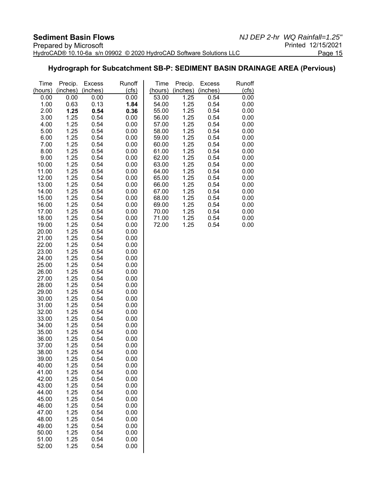#### **Hydrograph for Subcatchment SB-P: SEDIMENT BASIN DRAINAGE AREA (Pervious)**

| Time           | Precip.      | <b>Excess</b> | Runoff       | Time           | Precip.      | <b>Excess</b> | Runoff       |
|----------------|--------------|---------------|--------------|----------------|--------------|---------------|--------------|
| (hours)        | (inches)     | (inches)      | (cts)        | (hours)        | (inches)     | (inches)      | (cts)        |
| 0.00           | 0.00         | 0.00          | 0.00         | 53.00          | 1.25         | 0.54          | 0.00         |
| 1.00           | 0.63         | 0.13          | 1.84         | 54.00          | 1.25         | 0.54          | 0.00         |
| 2.00<br>3.00   | 1.25<br>1.25 | 0.54<br>0.54  | 0.36         | 55.00<br>56.00 | 1.25<br>1.25 | 0.54<br>0.54  | 0.00         |
| 4.00           | 1.25         | 0.54          | 0.00         | 57.00          | 1.25         | 0.54          | 0.00<br>0.00 |
| 5.00           | 1.25         | 0.54          | 0.00<br>0.00 | 58.00          | 1.25         | 0.54          | 0.00         |
| 6.00           | 1.25         | 0.54          | 0.00         | 59.00          | 1.25         | 0.54          | 0.00         |
| 7.00           | 1.25         | 0.54          | 0.00         | 60.00          | 1.25         | 0.54          | 0.00         |
| 8.00           | 1.25         | 0.54          | 0.00         | 61.00          | 1.25         | 0.54          | 0.00         |
| 9.00           | 1.25         | 0.54          | 0.00         | 62.00          | 1.25         | 0.54          | 0.00         |
| 10.00          | 1.25         | 0.54          | 0.00         | 63.00          | 1.25         | 0.54          | 0.00         |
| 11.00          | 1.25         | 0.54          | 0.00         | 64.00          | 1.25         | 0.54          | 0.00         |
| 12.00          | 1.25         | 0.54          | 0.00         | 65.00          | 1.25         | 0.54          | 0.00         |
| 13.00          | 1.25         | 0.54          | 0.00         | 66.00          | 1.25         | 0.54          | 0.00         |
| 14.00          | 1.25         | 0.54          | 0.00         | 67.00          | 1.25         | 0.54          | 0.00         |
| 15.00          | 1.25         | 0.54          | 0.00         | 68.00          | 1.25         | 0.54          | 0.00         |
| 16.00          | 1.25         | 0.54          | 0.00         | 69.00          | 1.25         | 0.54          | 0.00         |
| 17.00          | 1.25         | 0.54          | 0.00         | 70.00          | 1.25         | 0.54          | 0.00         |
| 18.00          | 1.25         | 0.54          | 0.00         | 71.00          | 1.25         | 0.54          | 0.00         |
| 19.00          | 1.25         | 0.54          | 0.00         | 72.00          | 1.25         | 0.54          | 0.00         |
| 20.00          | 1.25         | 0.54          | 0.00         |                |              |               |              |
| 21.00          | 1.25         | 0.54          | 0.00         |                |              |               |              |
| 22.00<br>23.00 | 1.25         | 0.54<br>0.54  | 0.00<br>0.00 |                |              |               |              |
| 24.00          | 1.25<br>1.25 | 0.54          | 0.00         |                |              |               |              |
| 25.00          | 1.25         | 0.54          | 0.00         |                |              |               |              |
| 26.00          | 1.25         | 0.54          | 0.00         |                |              |               |              |
| 27.00          | 1.25         | 0.54          | 0.00         |                |              |               |              |
| 28.00          | 1.25         | 0.54          | 0.00         |                |              |               |              |
| 29.00          | 1.25         | 0.54          | 0.00         |                |              |               |              |
| 30.00          | 1.25         | 0.54          | 0.00         |                |              |               |              |
| 31.00          | 1.25         | 0.54          | 0.00         |                |              |               |              |
| 32.00          | 1.25         | 0.54          | 0.00         |                |              |               |              |
| 33.00          | 1.25         | 0.54          | 0.00         |                |              |               |              |
| 34.00          | 1.25         | 0.54          | 0.00         |                |              |               |              |
| 35.00          | 1.25         | 0.54          | 0.00         |                |              |               |              |
| 36.00          | 1.25         | 0.54          | 0.00         |                |              |               |              |
| 37.00          | 1.25         | 0.54          | 0.00         |                |              |               |              |
| 38.00          | 1.25         | 0.54          | 0.00         |                |              |               |              |
| 39.00<br>40.00 | 1.25<br>1.25 | 0.54<br>0.54  | 0.00<br>0.00 |                |              |               |              |
| 41.00          | 1.25         | 0.54          | 0.00         |                |              |               |              |
| 42.00          | 1.25         | 0.54          | 0.00         |                |              |               |              |
| 43.00          | 1.25         | 0.54          | 0.00         |                |              |               |              |
| 44.00          | 1.25         | 0.54          | 0.00         |                |              |               |              |
| 45.00          | 1.25         | 0.54          | 0.00         |                |              |               |              |
| 46.00          | 1.25         | 0.54          | 0.00         |                |              |               |              |
| 47.00          | 1.25         | 0.54          | 0.00         |                |              |               |              |
| 48.00          | 1.25         | 0.54          | 0.00         |                |              |               |              |
| 49.00          | 1.25         | 0.54          | 0.00         |                |              |               |              |
| 50.00          | 1.25         | 0.54          | 0.00         |                |              |               |              |
| 51.00          | 1.25         | 0.54          | 0.00         |                |              |               |              |
| 52.00          | 1.25         | 0.54          | 0.00         |                |              |               |              |
|                |              |               |              |                |              |               |              |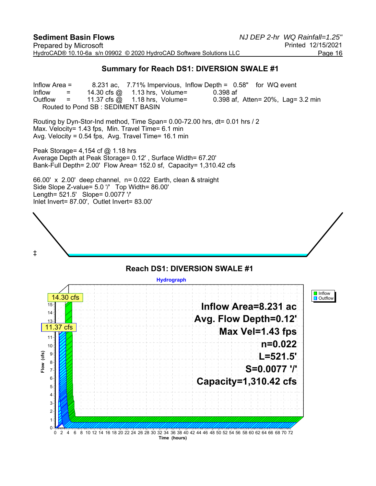#### **Summary for Reach DS1: DIVERSION SWALE #1**

Inflow Area = 8.231 ac, 7.71% Impervious, Inflow Depth = 0.58" for WQ event Inflow = 14.30 cfs @ 1.13 hrs, Volume= 0.398 af<br>Outflow = 11.37 cfs @ 1.18 hrs, Volume= 0.398 af, Outflow  $=$  11.37 cfs  $\omega$  1.18 hrs, Volume= 0.398 af, Atten= 20%, Lag= 3.2 min Routed to Pond SB : SEDIMENT BASIN

Routing by Dyn-Stor-Ind method, Time Span= 0.00-72.00 hrs, dt= 0.01 hrs / 2 Max. Velocity= 1.43 fps, Min. Travel Time= 6.1 min Avg. Velocity = 0.54 fps, Avg. Travel Time= 16.1 min

Peak Storage= 4,154 cf @ 1.18 hrs Average Depth at Peak Storage= 0.12' , Surface Width= 67.20' Bank-Full Depth= 2.00' Flow Area= 152.0 sf, Capacity= 1,310.42 cfs

66.00' x 2.00' deep channel, n= 0.022 Earth, clean & straight Side Slope Z-value= 5.0 '/' Top Width= 86.00' Length= 521.5' Slope= 0.0077 '/' Inlet Invert= 87.00', Outlet Invert= 83.00'



#### **Reach DS1: DIVERSION SWALE #1 Hydrograph I** Inflow  $|$  14.30 cfs **D** Outflow **Inflow Area=8.231 ac** 15 14 **Avg. Flow Depth=0.12'** 13 11.37 cfs **Max Vel=1.43 fps** 11 **n=0.022** 10  $(cfs)$ 9 **Flow (cfs) L=521.5'** 8  $\sum_{k=1}^{\infty}$ **S=0.0077 '/'** 7 **Capacity=1,310.42 cfs** 6 5 4 3 2 1  $\mathbf{0}$ 0 2 4 6 8 10 12 14 16 18 20 22 24 26 28 30 32 34 36 38 40 42 44 46 48 50 52 54 56 58 60 62 64 66 68 70 72 **Time (hours)**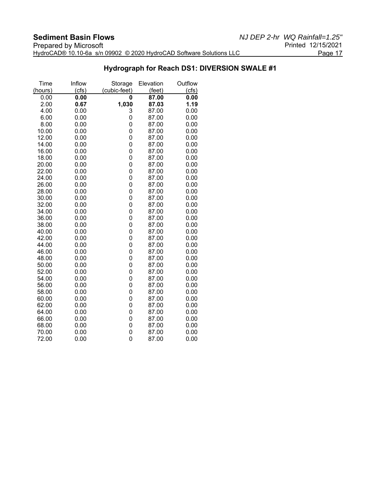#### **Hydrograph for Reach DS1: DIVERSION SWALE #1**

| Time    | Inflow | Storage      | Elevation       | Outflow |
|---------|--------|--------------|-----------------|---------|
| (hours) | (cfs)  | (cubic-feet) | $(\text{feet})$ | (cts)   |
| 0.00    | 0.00   | 0            | 87.00           | 0.00    |
| 2.00    | 0.67   | 1,030        | 87.03           | 1.19    |
| 4.00    | 0.00   | 3            | 87.00           | 0.00    |
| 6.00    | 0.00   | 0            | 87.00           | 0.00    |
| 8.00    | 0.00   | 0            | 87.00           | 0.00    |
| 10.00   | 0.00   | 0            | 87.00           | 0.00    |
| 12.00   | 0.00   | 0            | 87.00           | 0.00    |
| 14.00   | 0.00   | 0            | 87.00           | 0.00    |
| 16.00   | 0.00   | 0            | 87.00           | 0.00    |
| 18.00   | 0.00   | 0            | 87.00           | 0.00    |
| 20.00   | 0.00   | 0            | 87.00           | 0.00    |
| 22.00   | 0.00   | 0            | 87.00           | 0.00    |
| 24.00   | 0.00   | 0            | 87.00           | 0.00    |
| 26.00   | 0.00   | 0            | 87.00           | 0.00    |
| 28.00   | 0.00   | 0            | 87.00           | 0.00    |
| 30.00   | 0.00   | 0            | 87.00           | 0.00    |
| 32.00   | 0.00   | 0            | 87.00           | 0.00    |
| 34.00   | 0.00   | 0            | 87.00           | 0.00    |
| 36.00   | 0.00   | 0            | 87.00           | 0.00    |
| 38.00   | 0.00   | 0            | 87.00           | 0.00    |
| 40.00   | 0.00   | 0            | 87.00           | 0.00    |
| 42.00   | 0.00   | 0            | 87.00           | 0.00    |
| 44.00   | 0.00   | 0            | 87.00           | 0.00    |
| 46.00   | 0.00   | 0            | 87.00           | 0.00    |
| 48.00   | 0.00   | 0            | 87.00           | 0.00    |
| 50.00   | 0.00   | 0            | 87.00           | 0.00    |
| 52.00   | 0.00   | 0            | 87.00           | 0.00    |
| 54.00   | 0.00   | 0            | 87.00           | 0.00    |
| 56.00   | 0.00   | 0            | 87.00           | 0.00    |
| 58.00   | 0.00   | 0            | 87.00           | 0.00    |
| 60.00   | 0.00   | 0            | 87.00           | 0.00    |
| 62.00   | 0.00   | 0            | 87.00           | 0.00    |
| 64.00   | 0.00   | 0            | 87.00           | 0.00    |
| 66.00   | 0.00   | 0            | 87.00           | 0.00    |
| 68.00   | 0.00   | 0            | 87.00           | 0.00    |
| 70.00   | 0.00   | 0            | 87.00           | 0.00    |
| 72.00   | 0.00   | 0            | 87.00           | 0.00    |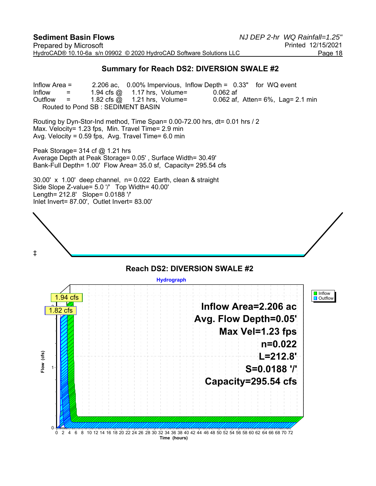#### **Summary for Reach DS2: DIVERSION SWALE #2**

Inflow Area = 2.206 ac, 0.00% Impervious, Inflow Depth = 0.33" for WQ event Inflow  $=$  1.94 cfs  $\omega$  1.17 hrs, Volume= 0.062 af Outflow  $=$  1.82 cfs  $\omega$  1.21 hrs, Volume= 0.062 af, Atten= 6%, Lag= 2.1 min Routed to Pond SB : SEDIMENT BASIN

Routing by Dyn-Stor-Ind method, Time Span= 0.00-72.00 hrs, dt= 0.01 hrs / 2 Max. Velocity= 1.23 fps, Min. Travel Time= 2.9 min Avg. Velocity = 0.59 fps, Avg. Travel Time= 6.0 min

Peak Storage=  $314$  cf  $@$  1.21 hrs Average Depth at Peak Storage= 0.05' , Surface Width= 30.49' Bank-Full Depth= 1.00' Flow Area= 35.0 sf, Capacity= 295.54 cfs

30.00' x 1.00' deep channel, n= 0.022 Earth, clean & straight Side Slope Z-value= 5.0 '/' Top Width= 40.00' Length= 212.8' Slope= 0.0188 '/' Inlet Invert= 87.00', Outlet Invert= 83.00'



#### **Reach DS2: DIVERSION SWALE #2 Hydrograph I** Inflow 1.94 cfs **D** Outflow **Inflow Area=2.206 ac**  $1.82 \text{ cfs}$ **Avg. Flow Depth=0.05' Max Vel=1.23 fps n=0.022**  $(cfs)$ **Flow (cfs) L=212.8'**  $\frac{8}{10}$ **S=0.0188 '/'** 1 **Capacity=295.54 cfs** 0 0 2 4 6 8 10 12 14 16 18 20 22 24 26 28 30 32 34 36 38 40 42 44 46 48 50 52 54 56 58 60 62 64 66 68 70 72 **Time (hours)**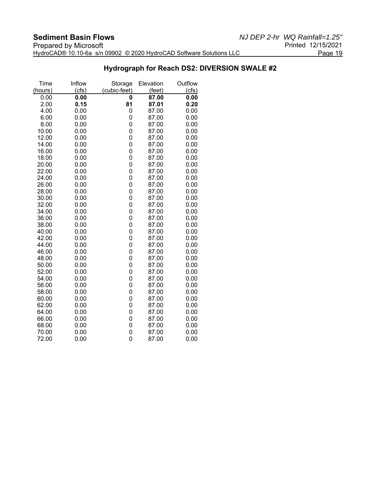#### **Hydrograph for Reach DS2: DIVERSION SWALE #2**

| Time         | Inflow       | Storage      | Elevation      | Outflow      |
|--------------|--------------|--------------|----------------|--------------|
| (hours)      | (cfs)        | (cubic-feet) | (feet)         | (cts)        |
| 0.00         | 0.00         | 0            | 87.00          | 0.00         |
| 2.00         | 0.15         | 81           | 87.01          | 0.20         |
| 4.00         | 0.00<br>0.00 | 0<br>0       | 87.00          | 0.00         |
| 6.00<br>8.00 | 0.00         | 0            | 87.00<br>87.00 | 0.00<br>0.00 |
| 10.00        | 0.00         | 0            | 87.00          | 0.00         |
| 12.00        | 0.00         | 0            | 87.00          | 0.00         |
| 14.00        | 0.00         | 0            | 87.00          | 0.00         |
| 16.00        | 0.00         | 0            | 87.00          | 0.00         |
| 18.00        | 0.00         | 0            | 87.00          | 0.00         |
| 20.00        | 0.00         | 0            | 87.00          | 0.00         |
| 22.00        | 0.00         | 0            | 87.00          | 0.00         |
| 24.00        | 0.00         | 0            | 87.00          | 0.00         |
| 26.00        | 0.00         | 0            | 87.00          | 0.00         |
| 28.00        | 0.00         | 0            | 87.00          | 0.00         |
| 30.00        | 0.00         | 0            | 87.00          | 0.00         |
| 32.00        | 0.00         | 0            | 87.00          | 0.00         |
| 34.00        | 0.00         | 0            | 87.00          | 0.00         |
| 36.00        | 0.00         | 0            | 87.00          | 0.00         |
| 38.00        | 0.00         | 0            | 87.00          | 0.00         |
| 40.00        | 0.00         | 0            | 87.00          | 0.00         |
| 42.00        | 0.00         | 0            | 87.00          | 0.00         |
| 44.00        | 0.00         | 0            | 87.00          | 0.00         |
| 46.00        | 0.00         | 0            | 87.00          | 0.00         |
| 48.00        | 0.00         | 0            | 87.00          | 0.00         |
| 50.00        | 0.00         | 0            | 87.00          | 0.00         |
| 52.00        | 0.00         | 0            | 87.00          | 0.00         |
| 54.00        | 0.00         | 0            | 87.00          | 0.00         |
| 56.00        | 0.00         | 0            | 87.00          | 0.00         |
| 58.00        | 0.00         | 0            | 87.00          | 0.00         |
| 60.00        | 0.00         | 0            | 87.00          | 0.00         |
| 62.00        | 0.00         | 0            | 87.00          | 0.00         |
| 64.00        | 0.00         | 0            | 87.00          | 0.00         |
| 66.00        | 0.00         | 0            | 87.00          | 0.00         |
| 68.00        | 0.00         | 0            | 87.00          | 0.00         |
| 70.00        | 0.00         | 0            | 87.00          | 0.00         |
| 72.00        | 0.00         | 0            | 87.00          | 0.00         |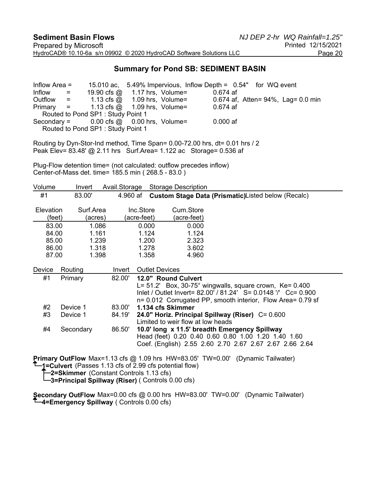#### **Summary for Pond SB: SEDIMENT BASIN**

Inflow Area = 15.010 ac, 5.49% Impervious, Inflow Depth = 0.54" for WQ event Inflow  $=$  19.90 cfs  $\omega$  1.17 hrs, Volume= 0.674 af Outflow = 1.13 cfs @ 1.09 hrs, Volume= 0.674 af, Atten= 94%, Lag= 0.0 min Primary = 1.13 cfs @ 1.09 hrs, Volume= 0.674 af Routed to Pond SP1 : Study Point 1 Secondary =  $0.00$  cfs  $\omega = 0.00$  hrs, Volume=  $0.000$  af Routed to Pond SP1 : Study Point 1

Routing by Dyn-Stor-Ind method, Time Span= 0.00-72.00 hrs, dt= 0.01 hrs / 2 Peak Elev= 83.48' @ 2.11 hrs Surf.Area= 1.122 ac Storage= 0.536 af

Plug-Flow detention time= (not calculated: outflow precedes inflow) Center-of-Mass det. time= 185.5 min ( 268.5 - 83.0 )

| Volume                     | Invert    |                      | Avail.Storage |                          | <b>Storage Description</b>                                                                                                         |
|----------------------------|-----------|----------------------|---------------|--------------------------|------------------------------------------------------------------------------------------------------------------------------------|
| #1                         | 83.00'    |                      | 4.960 af      |                          | Custom Stage Data (Prismatic)Listed below (Recalc)                                                                                 |
| <b>Elevation</b><br>(feet) |           | Surf.Area<br>(acres) |               | Inc.Store<br>(acre-feet) | Cum.Store<br>(acre-feet)                                                                                                           |
| 83.00                      |           | 1.086                |               | 0.000                    | 0.000                                                                                                                              |
| 84.00                      |           | 1.161                |               | 1.124                    | 1.124                                                                                                                              |
| 85.00                      |           | 1.239                |               | 1.200                    | 2.323                                                                                                                              |
| 86.00                      |           | 1.318                |               | 1.278                    | 3.602                                                                                                                              |
| 87.00                      |           | 1.398                |               | 1.358                    | 4.960                                                                                                                              |
| Device                     | Routing   |                      | Invert        |                          | <b>Outlet Devices</b>                                                                                                              |
| #1                         | Primary   |                      | 82.00'        |                          | 12.0" Round Culvert                                                                                                                |
|                            |           |                      |               |                          | L= $51.2'$ Box, $30-75^\circ$ wingwalls, square crown, Ke= 0.400<br>Inlet / Outlet Invert= 82.00' / 81.24' S= 0.0148 '/' Cc= 0.900 |
|                            |           |                      |               |                          | n= 0.012 Corrugated PP, smooth interior, Flow Area= 0.79 sf                                                                        |
| #2                         | Device 1  |                      | 83.00'        |                          | 1.134 cfs Skimmer                                                                                                                  |
| #3                         | Device 1  |                      | 84.19'        |                          | 24.0" Horiz. Principal Spillway (Riser) C= 0.600                                                                                   |
|                            |           |                      |               |                          | Limited to weir flow at low heads                                                                                                  |
| #4                         | Secondary |                      | 86.50'        |                          | 10.0' long x 11.5' breadth Emergency Spillway                                                                                      |
|                            |           |                      |               |                          | Head (feet) 0.20 0.40 0.60 0.80 1.00 1.20 1.40 1.60<br>Coef. (English) 2.55 2.60 2.70 2.67 2.67 2.67 2.66 2.64                     |
|                            |           |                      |               |                          |                                                                                                                                    |
|                            |           |                      |               |                          |                                                                                                                                    |

**Primary OutFlow** Max=1.13 cfs @ 1.09 hrs HW=83.05' TW=0.00' (Dynamic Tailwater)

**1=Culvert** (Passes 1.13 cfs of 2.99 cfs potential flow)

**2=Skimmer** (Constant Controls 1.13 cfs)

**3=Principal Spillway (Riser)** ( Controls 0.00 cfs)

**Secondary OutFlow** Max=0.00 cfs @ 0.00 hrs HW=83.00' TW=0.00' (Dynamic Tailwater) **4=Emergency Spillway** ( Controls 0.00 cfs)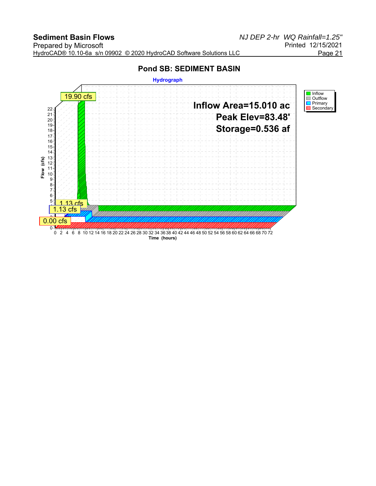### **Pond SB: SEDIMENT BASIN**

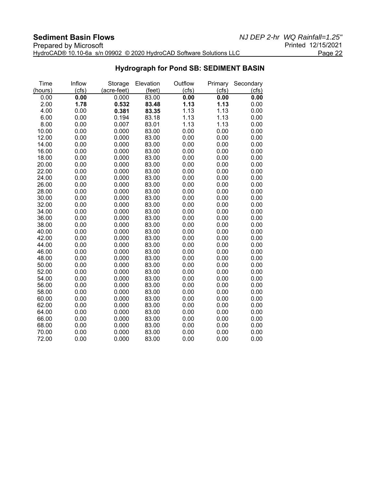| _____________________________                                       |                    |
|---------------------------------------------------------------------|--------------------|
| Prepared by Microsoft                                               | Printed 12/15/2021 |
| HydroCAD® 10.10-6a s/n 09902 © 2020 HydroCAD Software Solutions LLC | Page 22            |

#### **Hydrograph for Pond SB: SEDIMENT BASIN**

| Time    | Inflow | Storage     | Elevation | Outflow | Primary | Secondary |
|---------|--------|-------------|-----------|---------|---------|-----------|
| (hours) | (cfs)  | (acre-feet) | (feet)    | (cfs)   | (cts)   | (cfs)     |
| 0.00    | 0.00   | 0.000       | 83.00     | 0.00    | 0.00    | 0.00      |
| 2.00    | 1.78   | 0.532       | 83.48     | 1.13    | 1.13    | 0.00      |
| 4.00    | 0.00   | 0.381       | 83.35     | 1.13    | 1.13    | 0.00      |
| 6.00    | 0.00   | 0.194       | 83.18     | 1.13    | 1.13    | 0.00      |
| 8.00    | 0.00   | 0.007       | 83.01     | 1.13    | 1.13    | 0.00      |
| 10.00   | 0.00   | 0.000       | 83.00     | 0.00    | 0.00    | 0.00      |
| 12.00   | 0.00   | 0.000       | 83.00     | 0.00    | 0.00    | 0.00      |
| 14.00   | 0.00   | 0.000       | 83.00     | 0.00    | 0.00    | 0.00      |
| 16.00   | 0.00   | 0.000       | 83.00     | 0.00    | 0.00    | 0.00      |
| 18.00   | 0.00   | 0.000       | 83.00     | 0.00    | 0.00    | 0.00      |
| 20.00   | 0.00   | 0.000       | 83.00     | 0.00    | 0.00    | 0.00      |
| 22.00   | 0.00   | 0.000       | 83.00     | 0.00    | 0.00    | 0.00      |
| 24.00   | 0.00   | 0.000       | 83.00     | 0.00    | 0.00    | 0.00      |
| 26.00   | 0.00   | 0.000       | 83.00     | 0.00    | 0.00    | 0.00      |
| 28.00   | 0.00   | 0.000       | 83.00     | 0.00    | 0.00    | 0.00      |
| 30.00   | 0.00   | 0.000       | 83.00     | 0.00    | 0.00    | 0.00      |
| 32.00   | 0.00   | 0.000       | 83.00     | 0.00    | 0.00    | 0.00      |
| 34.00   | 0.00   | 0.000       | 83.00     | 0.00    | 0.00    | 0.00      |
| 36.00   | 0.00   | 0.000       | 83.00     | 0.00    | 0.00    | 0.00      |
| 38.00   | 0.00   | 0.000       | 83.00     | 0.00    | 0.00    | 0.00      |
| 40.00   | 0.00   | 0.000       | 83.00     | 0.00    | 0.00    | 0.00      |
| 42.00   | 0.00   | 0.000       | 83.00     | 0.00    | 0.00    | 0.00      |
| 44.00   | 0.00   | 0.000       | 83.00     | 0.00    | 0.00    | 0.00      |
| 46.00   | 0.00   | 0.000       | 83.00     | 0.00    | 0.00    | 0.00      |
| 48.00   | 0.00   | 0.000       | 83.00     | 0.00    | 0.00    | 0.00      |
| 50.00   | 0.00   | 0.000       | 83.00     | 0.00    | 0.00    | 0.00      |
| 52.00   | 0.00   | 0.000       | 83.00     | 0.00    | 0.00    | 0.00      |
| 54.00   | 0.00   | 0.000       | 83.00     | 0.00    | 0.00    | 0.00      |
| 56.00   | 0.00   | 0.000       | 83.00     | 0.00    | 0.00    | 0.00      |
| 58.00   | 0.00   | 0.000       | 83.00     | 0.00    | 0.00    | 0.00      |
| 60.00   | 0.00   | 0.000       | 83.00     | 0.00    | 0.00    | 0.00      |
| 62.00   | 0.00   | 0.000       | 83.00     | 0.00    | 0.00    | 0.00      |
| 64.00   | 0.00   | 0.000       | 83.00     | 0.00    | 0.00    | 0.00      |
| 66.00   | 0.00   | 0.000       | 83.00     | 0.00    | 0.00    | 0.00      |
| 68.00   | 0.00   | 0.000       | 83.00     | 0.00    | 0.00    | 0.00      |
| 70.00   | 0.00   | 0.000       | 83.00     | 0.00    | 0.00    | 0.00      |
| 72.00   | 0.00   | 0.000       | 83.00     | 0.00    | 0.00    | 0.00      |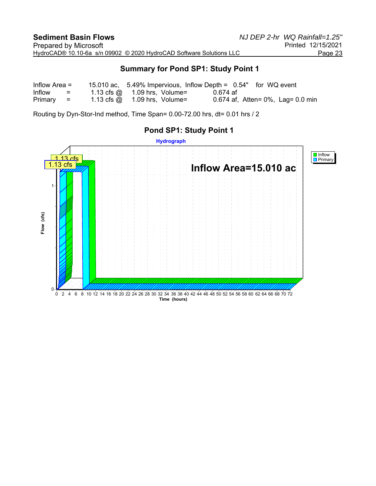#### **Summary for Pond SP1: Study Point 1**

| Inflow Area $=$ |                                   | 15.010 ac, $5.49\%$ Impervious, Inflow Depth = $0.54"$ for WQ event |          |                                       |
|-----------------|-----------------------------------|---------------------------------------------------------------------|----------|---------------------------------------|
| Inflow          | and the state of the state of the | $1.13 \text{ cfs} \text{ @ } 1.09 \text{ hrs}$ , Volume=            | 0.674 af |                                       |
| $Primary =$     |                                   | 1.13 cfs $\omega$ 1.09 hrs, Volume=                                 |          | 0.674 af, Atten= $0\%$ , Lag= 0.0 min |

Routing by Dyn-Stor-Ind method, Time Span= 0.00-72.00 hrs, dt= 0.01 hrs / 2

# **Hydrograph** Inflow Primary  $13<sub>cfs</sub>$ 1.13 cfs**Inflow Area=15.010 ac** 1 Flow (cfs) **Flow (cfs)**  $\Omega$ 0 2 4 6 8 10 12 14 16 18 20 22 24 26 28 30 32 34 36 38 40 42 44 46 48 50 52 54 56 58 60 62 64 66 68 70 72 **Time (hours)**

#### **Pond SP1: Study Point 1**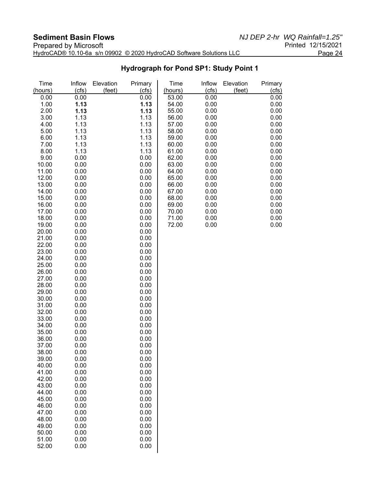| Prepared by Microsoft                                               | Printed 12/15/2021 |
|---------------------------------------------------------------------|--------------------|
| HydroCAD® 10.10-6a s/n 09902 © 2020 HydroCAD Software Solutions LLC | Page 24            |

**Hydrograph for Pond SP1: Study Point 1**

| Time<br>(hours) | Inflow<br>(cts) | Elevation<br>(feet) | Primary<br>(cfs) | Time<br>(hours) | Inflow<br>(cfs) | Elevation<br>(feet) | Primary<br>(cfs) |
|-----------------|-----------------|---------------------|------------------|-----------------|-----------------|---------------------|------------------|
| 0.00            | 0.00            |                     | 0.00             | 53.00           | 0.00            |                     | 0.00             |
|                 |                 |                     |                  |                 |                 |                     |                  |
| 1.00            | 1.13            |                     | 1.13             | 54.00           | 0.00            |                     | 0.00             |
| 2.00            | 1.13            |                     | 1.13             | 55.00           | 0.00            |                     | 0.00             |
| 3.00            | 1.13            |                     | 1.13             | 56.00           | 0.00            |                     | 0.00             |
| 4.00            | 1.13            |                     | 1.13             | 57.00           | 0.00            |                     | 0.00             |
| 5.00            | 1.13            |                     | 1.13             | 58.00           | 0.00            |                     | 0.00             |
| 6.00            | 1.13            |                     | 1.13             | 59.00           | 0.00            |                     | 0.00             |
| 7.00            | 1.13            |                     | 1.13             | 60.00           | 0.00            |                     | 0.00             |
| 8.00            | 1.13            |                     | 1.13             | 61.00           | 0.00            |                     | 0.00             |
| 9.00            | 0.00            |                     | 0.00             | 62.00           | 0.00            |                     | 0.00             |
| 10.00           | 0.00            |                     | 0.00             | 63.00           | 0.00            |                     | 0.00             |
| 11.00           | 0.00            |                     | 0.00             | 64.00           | 0.00            |                     | 0.00             |
| 12.00           | 0.00            |                     | 0.00             | 65.00           | 0.00            |                     | 0.00             |
| 13.00           | 0.00            |                     | 0.00             | 66.00           | 0.00            |                     | 0.00             |
| 14.00           | 0.00            |                     | 0.00             | 67.00           | 0.00            |                     | 0.00             |
| 15.00           | 0.00            |                     | 0.00             | 68.00           | 0.00            |                     | 0.00             |
| 16.00           | 0.00            |                     | 0.00             | 69.00           | 0.00            |                     | 0.00             |
| 17.00           | 0.00            |                     | 0.00             | 70.00           | 0.00            |                     | 0.00             |
| 18.00           | 0.00            |                     | 0.00             | 71.00           | 0.00            |                     | 0.00             |
| 19.00           | 0.00            |                     | 0.00             | 72.00           | 0.00            |                     | 0.00             |
| 20.00           | 0.00            |                     | 0.00             |                 |                 |                     |                  |
| 21.00           | 0.00            |                     | 0.00             |                 |                 |                     |                  |
| 22.00           | 0.00            |                     | 0.00             |                 |                 |                     |                  |
| 23.00           | 0.00            |                     | 0.00             |                 |                 |                     |                  |
| 24.00           | 0.00            |                     | 0.00             |                 |                 |                     |                  |
| 25.00           | 0.00            |                     | 0.00             |                 |                 |                     |                  |
|                 | 0.00            |                     | 0.00             |                 |                 |                     |                  |
| 26.00           |                 |                     |                  |                 |                 |                     |                  |
| 27.00           | 0.00            |                     | 0.00             |                 |                 |                     |                  |
| 28.00           | 0.00            |                     | 0.00             |                 |                 |                     |                  |
| 29.00           | 0.00            |                     | 0.00             |                 |                 |                     |                  |
| 30.00           | 0.00            |                     | 0.00             |                 |                 |                     |                  |
| 31.00           | 0.00            |                     | 0.00             |                 |                 |                     |                  |
| 32.00           | 0.00            |                     | 0.00             |                 |                 |                     |                  |
| 33.00           | 0.00            |                     | 0.00             |                 |                 |                     |                  |
| 34.00           | 0.00            |                     | 0.00             |                 |                 |                     |                  |
| 35.00           | 0.00            |                     | 0.00             |                 |                 |                     |                  |
| 36.00           | 0.00            |                     | 0.00             |                 |                 |                     |                  |
| 37.00           | 0.00            |                     | 0.00             |                 |                 |                     |                  |
| 38.00           | 0.00            |                     | 0.00             |                 |                 |                     |                  |
| 39.00           | 0.00            |                     | 0.00             |                 |                 |                     |                  |
| 40.00           | 0.00            |                     | 0.00             |                 |                 |                     |                  |
| 41.00           | 0.00            |                     | 0.00             |                 |                 |                     |                  |
| 42.00           | 0.00            |                     | 0.00             |                 |                 |                     |                  |
| 43.00           | 0.00            |                     | 0.00             |                 |                 |                     |                  |
| 44.00           | 0.00            |                     | 0.00             |                 |                 |                     |                  |
| 45.00           | 0.00            |                     | 0.00             |                 |                 |                     |                  |
| 46.00           | 0.00            |                     | 0.00             |                 |                 |                     |                  |
| 47.00           | 0.00            |                     | 0.00             |                 |                 |                     |                  |
| 48.00           | 0.00            |                     | 0.00             |                 |                 |                     |                  |
| 49.00           | 0.00            |                     | 0.00             |                 |                 |                     |                  |
| 50.00           | 0.00            |                     | 0.00             |                 |                 |                     |                  |
| 51.00           | 0.00            |                     | 0.00             |                 |                 |                     |                  |
| 52.00           | 0.00            |                     | 0.00             |                 |                 |                     |                  |
|                 |                 |                     |                  |                 |                 |                     |                  |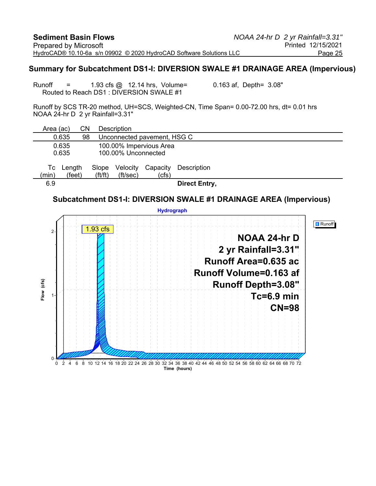#### **Summary for Subcatchment DS1-I: DIVERSION SWALE #1 DRAINAGE AREA (Impervious)**

Runoff  $=$  1.93 cfs  $\textcircled{a}$  12.14 hrs, Volume= 0.163 af, Depth= 3.08" Routed to Reach DS1 : DIVERSION SWALE #1

Runoff by SCS TR-20 method, UH=SCS, Weighted-CN, Time Span= 0.00-72.00 hrs, dt= 0.01 hrs NOAA 24-hr D 2 yr Rainfall=3.31"

| Area (ac)   |                  | CΝ |                                | <b>Description</b>          |                         |                      |  |  |
|-------------|------------------|----|--------------------------------|-----------------------------|-------------------------|----------------------|--|--|
|             | 0.635            | 98 |                                | Unconnected pavement, HSG C |                         |                      |  |  |
|             | 0.635<br>0.635   |    |                                | 100.00% Unconnected         | 100.00% Impervious Area |                      |  |  |
| Tc<br>(min) | Length<br>(feet) |    | Slope<br>$({\rm ft}/{\rm ft})$ | Velocity<br>(ft/sec)        | Capacity<br>(cfs)       | Description          |  |  |
| 6.9         |                  |    |                                |                             |                         | <b>Direct Entry,</b> |  |  |

#### **Subcatchment DS1-I: DIVERSION SWALE #1 DRAINAGE AREA (Impervious)**

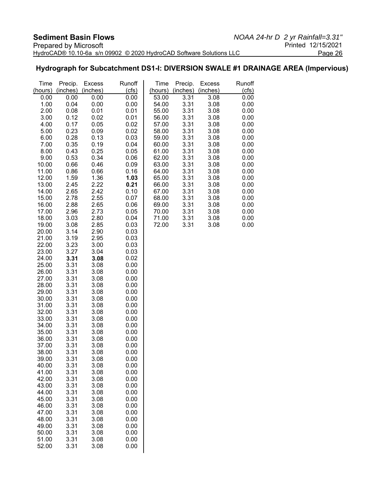#### **Hydrograph for Subcatchment DS1-I: DIVERSION SWALE #1 DRAINAGE AREA (Impervious)**

| Time           | Precip.      | <b>Excess</b> | Runoff       | Time           | Precip.      | <b>Excess</b> | Runoff       |
|----------------|--------------|---------------|--------------|----------------|--------------|---------------|--------------|
| (hours)        | (inches)     | (inches)      | (cls)        | (hours)        | (inches)     | (inches)      | (cfs)        |
| 0.00           | 0.00         | 0.00          | 0.00         | 53.00          | 3.31         | 3.08          | 0.00         |
| 1.00           | 0.04         | 0.00          | 0.00         | 54.00          | 3.31         | 3.08          | 0.00         |
| 2.00           | 0.08         | 0.01          | 0.01         | 55.00          | 3.31         | 3.08          | 0.00         |
| 3.00           | 0.12         | 0.02          | 0.01         | 56.00          | 3.31         | 3.08          | 0.00         |
| 4.00           | 0.17         | 0.05          | 0.02         | 57.00          | 3.31         | 3.08          | 0.00         |
| 5.00           | 0.23         | 0.09          | 0.02         | 58.00          | 3.31         | 3.08          | 0.00         |
| 6.00           | 0.28         | 0.13          | 0.03         | 59.00          | 3.31         | 3.08          | 0.00         |
| 7.00           | 0.35         | 0.19          | 0.04         | 60.00          | 3.31         | 3.08          | 0.00         |
| 8.00           | 0.43         | 0.25          | 0.05         | 61.00          | 3.31         | 3.08          | 0.00         |
| 9.00           | 0.53         | 0.34          | 0.06         | 62.00          | 3.31         | 3.08          | 0.00         |
| 10.00          | 0.66         | 0.46          | 0.09         | 63.00          | 3.31         | 3.08          | 0.00         |
| 11.00          | 0.86         | 0.66          | 0.16         | 64.00          | 3.31         | 3.08          | 0.00         |
| 12.00          | 1.59         | 1.36          | 1.03         | 65.00          | 3.31         | 3.08          | 0.00         |
| 13.00          | 2.45         | 2.22          | 0.21         | 66.00          | 3.31         | 3.08          | 0.00         |
| 14.00          | 2.65         | 2.42          | 0.10         | 67.00          | 3.31         | 3.08          | 0.00         |
| 15.00          | 2.78         | 2.55<br>2.65  | 0.07         | 68.00          | 3.31<br>3.31 | 3.08<br>3.08  | 0.00         |
| 16.00<br>17.00 | 2.88<br>2.96 | 2.73          | 0.06<br>0.05 | 69.00<br>70.00 | 3.31         | 3.08          | 0.00<br>0.00 |
| 18.00          | 3.03         | 2.80          | 0.04         | 71.00          | 3.31         | 3.08          | 0.00         |
| 19.00          | 3.08         | 2.85          | 0.03         | 72.00          | 3.31         | 3.08          | 0.00         |
| 20.00          | 3.14         | 2.90          | 0.03         |                |              |               |              |
| 21.00          | 3.19         | 2.95          | 0.03         |                |              |               |              |
| 22.00          | 3.23         | 3.00          | 0.03         |                |              |               |              |
| 23.00          | 3.27         | 3.04          | 0.03         |                |              |               |              |
| 24.00          | 3.31         | 3.08          | 0.02         |                |              |               |              |
| 25.00          | 3.31         | 3.08          | 0.00         |                |              |               |              |
| 26.00          | 3.31         | 3.08          | 0.00         |                |              |               |              |
| 27.00          | 3.31         | 3.08          | 0.00         |                |              |               |              |
| 28.00          | 3.31         | 3.08          | 0.00         |                |              |               |              |
| 29.00          | 3.31         | 3.08          | 0.00         |                |              |               |              |
| 30.00          | 3.31         | 3.08          | 0.00         |                |              |               |              |
| 31.00          | 3.31         | 3.08          | 0.00         |                |              |               |              |
| 32.00          | 3.31         | 3.08          | 0.00         |                |              |               |              |
| 33.00          | 3.31         | 3.08          | 0.00         |                |              |               |              |
| 34.00          | 3.31         | 3.08          | 0.00         |                |              |               |              |
| 35.00          | 3.31         | 3.08          | 0.00         |                |              |               |              |
| 36.00          | 3.31         | 3.08          | 0.00         |                |              |               |              |
| 37.00          | 3.31         | 3.08          | 0.00         |                |              |               |              |
| 38.00          | 3.31         | 3.08          | 0.00         |                |              |               |              |
| 39.00          | 3.31         | 3.08          | 0.00         |                |              |               |              |
| 40.00          | 3.31         | 3.08          | 0.00         |                |              |               |              |
| 41.00          | 3.31         | 3.08          | 0.00         |                |              |               |              |
| 42.00          | 3.31         | 3.08          | 0.00         |                |              |               |              |
| 43.00          | 3.31         | 3.08          | 0.00         |                |              |               |              |
| 44.00          | 3.31         | 3.08          | 0.00         |                |              |               |              |
| 45.00          | 3.31         | 3.08          | 0.00         |                |              |               |              |
| 46.00          | 3.31         | 3.08          | 0.00         |                |              |               |              |
| 47.00<br>48.00 | 3.31<br>3.31 | 3.08<br>3.08  | 0.00<br>0.00 |                |              |               |              |
| 49.00          | 3.31         | 3.08          | 0.00         |                |              |               |              |
| 50.00          | 3.31         | 3.08          | 0.00         |                |              |               |              |
| 51.00          | 3.31         | 3.08          | 0.00         |                |              |               |              |
| 52.00          | 3.31         | 3.08          | 0.00         |                |              |               |              |
|                |              |               |              |                |              |               |              |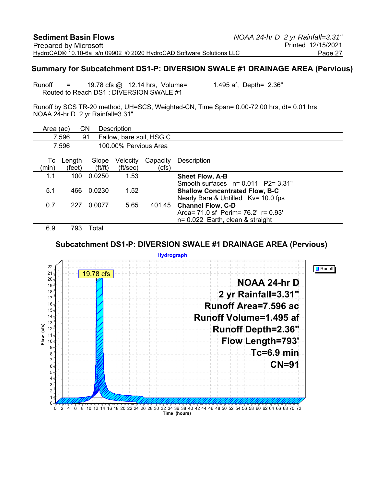#### **Summary for Subcatchment DS1-P: DIVERSION SWALE #1 DRAINAGE AREA (Pervious)**

Runoff  $=$  19.78 cfs  $\textcircled{a}$  12.14 hrs, Volume= 1.495 af, Depth= 2.36" Routed to Reach DS1 : DIVERSION SWALE #1

Runoff by SCS TR-20 method, UH=SCS, Weighted-CN, Time Span= 0.00-72.00 hrs, dt= 0.01 hrs NOAA 24-hr D 2 yr Rainfall=3.31"

| Area (ac)   |                  | CN                             | Description           |                          |                                                                                                                       |
|-------------|------------------|--------------------------------|-----------------------|--------------------------|-----------------------------------------------------------------------------------------------------------------------|
|             | 7.596            | 91                             |                       | Fallow, bare soil, HSG C |                                                                                                                       |
|             | 7.596            |                                | 100.00% Pervious Area |                          |                                                                                                                       |
| Тc<br>(min) | Length<br>(feet) | Slope<br>$({\rm ft}/{\rm ft})$ | Velocity<br>(ft/sec)  | Capacity<br>(cfs)        | Description                                                                                                           |
| 1.1         | 100              | 0.0250                         | 1.53                  |                          | <b>Sheet Flow, A-B</b>                                                                                                |
| 5.1         | 466              | 0.0230                         | 1.52                  |                          | Smooth surfaces $n = 0.011$ P2= 3.31"<br><b>Shallow Concentrated Flow, B-C</b><br>Nearly Bare & Untilled Kv= 10.0 fps |
| 0.7         | 227              | 0.0077                         | 5.65                  | 401.45                   | <b>Channel Flow, C-D</b><br>Area = 71.0 sf Perim = 76.2' r = 0.93'<br>$n = 0.022$ Earth, clean & straight             |
| 69          | 793.             | Total                          |                       |                          |                                                                                                                       |

#### **Subcatchment DS1-P: DIVERSION SWALE #1 DRAINAGE AREA (Pervious)**

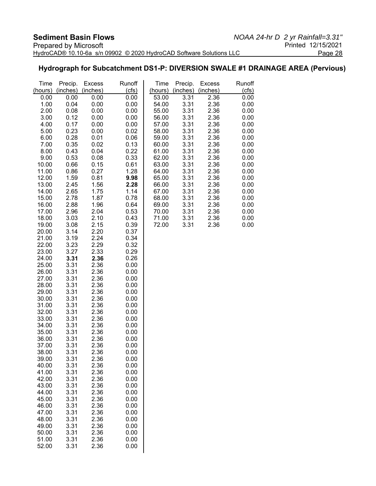#### **Hydrograph for Subcatchment DS1-P: DIVERSION SWALE #1 DRAINAGE AREA (Pervious)**

| Time           | Precip.      | <b>Excess</b> | Runoff       | Time           | Precip.      | <b>Excess</b> | Runoff       |
|----------------|--------------|---------------|--------------|----------------|--------------|---------------|--------------|
| (hours)        | (inches)     | (inches)      | (cts)        | (hours)        | (inches)     | (inches)      | (cfs)        |
| 0.00           | 0.00         | 0.00          | 0.00         | 53.00          | 3.31         | 2.36          | 0.00         |
| 1.00           | 0.04         | 0.00          | 0.00         | 54.00          | 3.31         | 2.36          | 0.00         |
| 2.00           | 0.08         | 0.00          | 0.00         | 55.00          | 3.31         | 2.36          | 0.00         |
| 3.00           | 0.12         | 0.00          | 0.00         | 56.00          | 3.31         | 2.36          | 0.00         |
| 4.00           | 0.17         | 0.00          | 0.00         | 57.00          | 3.31         | 2.36          | 0.00         |
| 5.00           | 0.23         | 0.00          | 0.02         | 58.00          | 3.31         | 2.36          | 0.00         |
| 6.00           | 0.28         | 0.01          | 0.06         | 59.00          | 3.31         | 2.36          | 0.00         |
| 7.00           | 0.35         | 0.02          | 0.13         | 60.00          | 3.31         | 2.36          | 0.00         |
| 8.00           | 0.43         | 0.04          | 0.22         | 61.00          | 3.31         | 2.36          | 0.00         |
| 9.00           | 0.53         | 0.08          | 0.33         | 62.00          | 3.31         | 2.36          | 0.00         |
| 10.00<br>11.00 | 0.66<br>0.86 | 0.15<br>0.27  | 0.61<br>1.28 | 63.00<br>64.00 | 3.31<br>3.31 | 2.36<br>2.36  | 0.00<br>0.00 |
| 12.00          | 1.59         | 0.81          | 9.98         | 65.00          | 3.31         | 2.36          | 0.00         |
| 13.00          | 2.45         | 1.56          | 2.28         | 66.00          | 3.31         | 2.36          | 0.00         |
| 14.00          | 2.65         | 1.75          | 1.14         | 67.00          | 3.31         | 2.36          | 0.00         |
| 15.00          | 2.78         | 1.87          | 0.78         | 68.00          | 3.31         | 2.36          | 0.00         |
| 16.00          | 2.88         | 1.96          | 0.64         | 69.00          | 3.31         | 2.36          | 0.00         |
| 17.00          | 2.96         | 2.04          | 0.53         | 70.00          | 3.31         | 2.36          | 0.00         |
| 18.00          | 3.03         | 2.10          | 0.43         | 71.00          | 3.31         | 2.36          | 0.00         |
| 19.00          | 3.08         | 2.15          | 0.39         | 72.00          | 3.31         | 2.36          | 0.00         |
| 20.00          | 3.14         | 2.20          | 0.37         |                |              |               |              |
| 21.00          | 3.19         | 2.24          | 0.34         |                |              |               |              |
| 22.00          | 3.23         | 2.29          | 0.32         |                |              |               |              |
| 23.00          | 3.27         | 2.33          | 0.29         |                |              |               |              |
| 24.00          | 3.31         | 2.36          | 0.26         |                |              |               |              |
| 25.00          | 3.31         | 2.36          | 0.00         |                |              |               |              |
| 26.00          | 3.31         | 2.36          | 0.00         |                |              |               |              |
| 27.00          | 3.31         | 2.36          | 0.00         |                |              |               |              |
| 28.00          | 3.31         | 2.36          | 0.00         |                |              |               |              |
| 29.00          | 3.31         | 2.36          | 0.00         |                |              |               |              |
| 30.00          | 3.31         | 2.36          | 0.00         |                |              |               |              |
| 31.00          | 3.31         | 2.36          | 0.00         |                |              |               |              |
| 32.00          | 3.31         | 2.36          | 0.00         |                |              |               |              |
| 33.00          | 3.31         | 2.36          | 0.00         |                |              |               |              |
| 34.00          | 3.31         | 2.36<br>2.36  | 0.00         |                |              |               |              |
| 35.00<br>36.00 | 3.31<br>3.31 | 2.36          | 0.00<br>0.00 |                |              |               |              |
| 37.00          | 3.31         | 2.36          | 0.00         |                |              |               |              |
| 38.00          | 3.31         | 2.36          | 0.00         |                |              |               |              |
| 39.00          | 3.31         | 2.36          | 0.00         |                |              |               |              |
| 40.00          | 3.31         | 2.36          | 0.00         |                |              |               |              |
| 41.00          | 3.31         | 2.36          | 0.00         |                |              |               |              |
| 42.00          | 3.31         | 2.36          | 0.00         |                |              |               |              |
| 43.00          | 3.31         | 2.36          | 0.00         |                |              |               |              |
| 44.00          | 3.31         | 2.36          | 0.00         |                |              |               |              |
| 45.00          | 3.31         | 2.36          | 0.00         |                |              |               |              |
| 46.00          | 3.31         | 2.36          | 0.00         |                |              |               |              |
| 47.00          | 3.31         | 2.36          | 0.00         |                |              |               |              |
| 48.00          | 3.31         | 2.36          | 0.00         |                |              |               |              |
| 49.00          | 3.31         | 2.36          | 0.00         |                |              |               |              |
| 50.00          | 3.31         | 2.36          | 0.00         |                |              |               |              |
| 51.00          | 3.31         | 2.36          | 0.00         |                |              |               |              |
| 52.00          | 3.31         | 2.36          | 0.00         |                |              |               |              |
|                |              |               |              |                |              |               |              |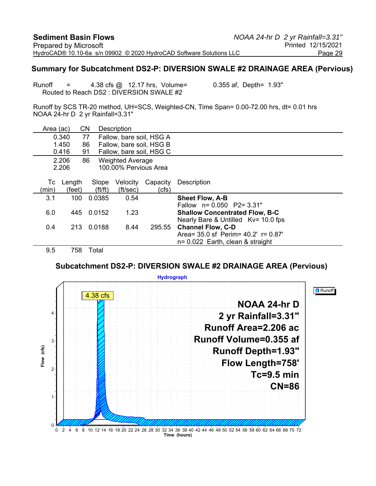#### **Summary for Subcatchment DS2-P: DIVERSION SWALE #2 DRAINAGE AREA (Pervious)**

Runoff  $=$  4.38 cfs  $\omega$  12.17 hrs, Volume= 0.355 af, Depth= 1.93" Routed to Reach DS2 : DIVERSION SWALE #2

Runoff by SCS TR-20 method, UH=SCS, Weighted-CN, Time Span= 0.00-72.00 hrs, dt= 0.01 hrs NOAA 24-hr D 2 yr Rainfall=3.31"

| Area (ac) |        | CΝ                    | Description              |          |                                        |
|-----------|--------|-----------------------|--------------------------|----------|----------------------------------------|
|           | 0.340  | 77                    | Fallow, bare soil, HSG A |          |                                        |
|           | 1.450  | 86                    | Fallow, bare soil, HSG B |          |                                        |
|           | 0.416  | 91                    | Fallow, bare soil, HSG C |          |                                        |
|           | 2.206  | 86                    | <b>Weighted Average</b>  |          |                                        |
|           | 2.206  |                       | 100.00% Pervious Area    |          |                                        |
| Тc        | Length | Slope                 | Velocity                 | Capacity | Description                            |
| (min)     | (feet) | $({\rm ft}/{\rm ft})$ | (ft/sec)                 | (cfs)    |                                        |
| 3.1       | 100    | 0.0385                | 0.54                     |          | <b>Sheet Flow, A-B</b>                 |
|           |        |                       |                          |          | Fallow $n = 0.050$ P2= 3.31"           |
| 6.0       | 445    | 0.0152                | 1.23                     |          | <b>Shallow Concentrated Flow, B-C</b>  |
|           |        |                       |                          |          | Nearly Bare & Untilled Kv= 10.0 fps    |
| 0.4       | 213    | 0.0188                | 8.44                     | 295.55   | <b>Channel Flow, C-D</b>               |
|           |        |                       |                          |          | Area = 35.0 sf Perim = 40.2' r = 0.87' |
|           |        |                       |                          |          | $n = 0.022$ Earth, clean & straight    |
| 9.5       | 758    | Total                 |                          |          |                                        |

**Subcatchment DS2-P: DIVERSION SWALE #2 DRAINAGE AREA (Pervious)**

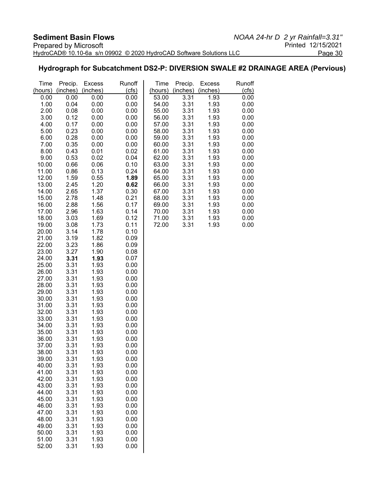### **Hydrograph for Subcatchment DS2-P: DIVERSION SWALE #2 DRAINAGE AREA (Pervious)**

| Time           | Precip.      | <b>Excess</b><br>(inches) | Runoff       | Time           | Precip.      | <b>Excess</b> | Runoff       |
|----------------|--------------|---------------------------|--------------|----------------|--------------|---------------|--------------|
| (hours)        | (inches)     |                           | (cts)        | (hours)        | (inches)     | (inches)      | (cfs)        |
| 0.00           | 0.00         | 0.00                      | 0.00         | 53.00          | 3.31         | 1.93          | 0.00         |
| 1.00           | 0.04         | 0.00                      | 0.00         | 54.00          | 3.31         | 1.93          | 0.00         |
| 2.00           | 0.08         | 0.00                      | 0.00         | 55.00          | 3.31         | 1.93          | 0.00         |
| 3.00           | 0.12         | 0.00                      | 0.00         | 56.00          | 3.31         | 1.93          | 0.00         |
| 4.00           | 0.17         | 0.00                      | 0.00         | 57.00          | 3.31         | 1.93          | 0.00         |
| 5.00           | 0.23         | 0.00                      | 0.00         | 58.00          | 3.31         | 1.93          | 0.00         |
| 6.00           | 0.28         | 0.00                      | 0.00         | 59.00          | 3.31         | 1.93          | 0.00         |
| 7.00           | 0.35         | 0.00                      | 0.00         | 60.00          | 3.31         | 1.93          | 0.00         |
| 8.00           | 0.43         | 0.01                      | 0.02         | 61.00          | 3.31         | 1.93          | 0.00         |
| 9.00<br>10.00  | 0.53<br>0.66 | 0.02<br>0.06              | 0.04<br>0.10 | 62.00<br>63.00 | 3.31<br>3.31 | 1.93<br>1.93  | 0.00<br>0.00 |
| 11.00          | 0.86         | 0.13                      | 0.24         | 64.00          | 3.31         | 1.93          | 0.00         |
| 12.00          | 1.59         | 0.55                      | 1.89         | 65.00          | 3.31         | 1.93          | 0.00         |
| 13.00          | 2.45         | 1.20                      | 0.62         | 66.00          | 3.31         | 1.93          | 0.00         |
| 14.00          | 2.65         | 1.37                      | 0.30         | 67.00          | 3.31         | 1.93          | 0.00         |
| 15.00          | 2.78         | 1.48                      | 0.21         | 68.00          | 3.31         | 1.93          | 0.00         |
| 16.00          | 2.88         | 1.56                      | 0.17         | 69.00          | 3.31         | 1.93          | 0.00         |
| 17.00          | 2.96         | 1.63                      | 0.14         | 70.00          | 3.31         | 1.93          | 0.00         |
| 18.00          | 3.03         | 1.69                      | 0.12         | 71.00          | 3.31         | 1.93          | 0.00         |
| 19.00          | 3.08         | 1.73                      | 0.11         | 72.00          | 3.31         | 1.93          | 0.00         |
| 20.00          | 3.14         | 1.78                      | 0.10         |                |              |               |              |
| 21.00          | 3.19         | 1.82                      | 0.09         |                |              |               |              |
| 22.00          | 3.23         | 1.86                      | 0.09         |                |              |               |              |
| 23.00          | 3.27         | 1.90                      | 0.08         |                |              |               |              |
| 24.00          | 3.31         | 1.93                      | 0.07         |                |              |               |              |
| 25.00          | 3.31         | 1.93                      | 0.00         |                |              |               |              |
| 26.00          | 3.31         | 1.93                      | 0.00         |                |              |               |              |
| 27.00          | 3.31         | 1.93                      | 0.00         |                |              |               |              |
| 28.00          | 3.31         | 1.93                      | 0.00         |                |              |               |              |
| 29.00          | 3.31         | 1.93                      | 0.00         |                |              |               |              |
| 30.00          | 3.31         | 1.93                      | 0.00         |                |              |               |              |
| 31.00          | 3.31         | 1.93                      | 0.00         |                |              |               |              |
| 32.00          | 3.31         | 1.93                      | 0.00         |                |              |               |              |
| 33.00          | 3.31         | 1.93                      | 0.00         |                |              |               |              |
| 34.00          | 3.31         | 1.93                      | 0.00         |                |              |               |              |
| 35.00<br>36.00 | 3.31<br>3.31 | 1.93<br>1.93              | 0.00<br>0.00 |                |              |               |              |
| 37.00          | 3.31         | 1.93                      | 0.00         |                |              |               |              |
| 38.00          | 3.31         | 1.93                      | 0.00         |                |              |               |              |
| 39.00          | 3.31         | 1.93                      | 0.00         |                |              |               |              |
| 40.00          | 3.31         | 1.93                      | 0.00         |                |              |               |              |
| 41.00          | 3.31         | 1.93                      | 0.00         |                |              |               |              |
| 42.00          | 3.31         | 1.93                      | 0.00         |                |              |               |              |
| 43.00          | 3.31         | 1.93                      | 0.00         |                |              |               |              |
| 44.00          | 3.31         | 1.93                      | 0.00         |                |              |               |              |
| 45.00          | 3.31         | 1.93                      | 0.00         |                |              |               |              |
| 46.00          | 3.31         | 1.93                      | 0.00         |                |              |               |              |
| 47.00          | 3.31         | 1.93                      | 0.00         |                |              |               |              |
| 48.00          | 3.31         | 1.93                      | 0.00         |                |              |               |              |
| 49.00          | 3.31         | 1.93                      | 0.00         |                |              |               |              |
| 50.00          | 3.31         | 1.93                      | 0.00         |                |              |               |              |
| 51.00          | 3.31         | 1.93                      | 0.00         |                |              |               |              |
| 52.00          | 3.31         | 1.93                      | 0.00         |                |              |               |              |
|                |              |                           |              |                |              |               |              |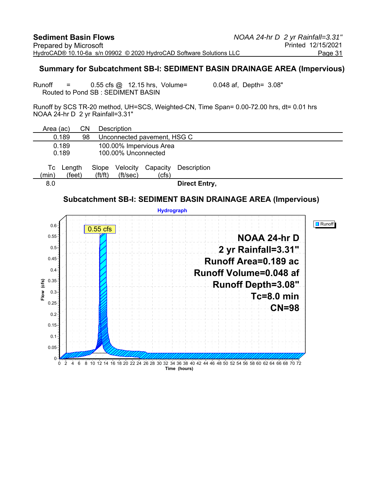#### **Summary for Subcatchment SB-I: SEDIMENT BASIN DRAINAGE AREA (Impervious)**

Runoff = 0.55 cfs @ 12.15 hrs, Volume= 0.048 af, Depth= 3.08" Routed to Pond SB : SEDIMENT BASIN

Runoff by SCS TR-20 method, UH=SCS, Weighted-CN, Time Span= 0.00-72.00 hrs, dt= 0.01 hrs NOAA 24-hr D 2 yr Rainfall=3.31"

| Area (ac)      |                  | CΝ |                                | Description                 |                         |                      |  |  |  |
|----------------|------------------|----|--------------------------------|-----------------------------|-------------------------|----------------------|--|--|--|
| 0.189          |                  | 98 |                                | Unconnected pavement, HSG C |                         |                      |  |  |  |
| 0.189<br>0.189 |                  |    |                                | 100.00% Unconnected         | 100.00% Impervious Area |                      |  |  |  |
| Tc<br>(min)    | Length<br>(feet) |    | Slope<br>$({\rm ft}/{\rm ft})$ | Velocity<br>(ft/sec)        | Capacity<br>(cfs)       | Description          |  |  |  |
| 8.0            |                  |    |                                |                             |                         | <b>Direct Entry,</b> |  |  |  |

### **Subcatchment SB-I: SEDIMENT BASIN DRAINAGE AREA (Impervious)**

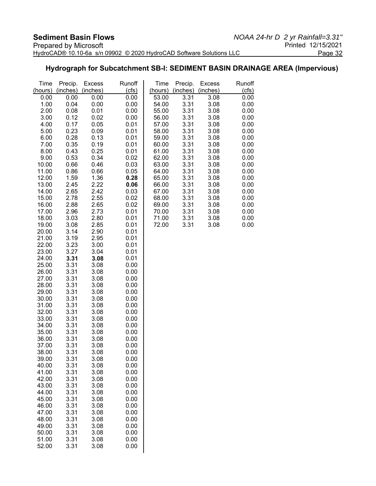### **Hydrograph for Subcatchment SB-I: SEDIMENT BASIN DRAINAGE AREA (Impervious)**

| Time           | Precip.      | <b>Excess</b> | Runoff       | Time           | Precip.      | <b>Excess</b> | Runoff       |
|----------------|--------------|---------------|--------------|----------------|--------------|---------------|--------------|
| (hours)        | (inches)     | (inches)      | (cts)        | (hours)        | (inches)     | (inches)      | (cfs)        |
| 0.00           | 0.00         | 0.00          | 0.00         | 53.00          | 3.31         | 3.08          | 0.00         |
| 1.00           | 0.04         | 0.00          | 0.00         | 54.00          | 3.31         | 3.08          | 0.00         |
| 2.00<br>3.00   | 0.08<br>0.12 | 0.01<br>0.02  | 0.00<br>0.00 | 55.00<br>56.00 | 3.31<br>3.31 | 3.08<br>3.08  | 0.00<br>0.00 |
| 4.00           | 0.17         | 0.05          | 0.01         | 57.00          | 3.31         | 3.08          | 0.00         |
| 5.00           | 0.23         | 0.09          | 0.01         | 58.00          | 3.31         | 3.08          | 0.00         |
| 6.00           | 0.28         | 0.13          | 0.01         | 59.00          | 3.31         | 3.08          | 0.00         |
| 7.00           | 0.35         | 0.19          | 0.01         | 60.00          | 3.31         | 3.08          | 0.00         |
| 8.00           | 0.43         | 0.25          | 0.01         | 61.00          | 3.31         | 3.08          | 0.00         |
| 9.00           | 0.53         | 0.34          | 0.02         | 62.00          | 3.31         | 3.08          | 0.00         |
| 10.00          | 0.66         | 0.46          | 0.03         | 63.00          | 3.31         | 3.08          | 0.00         |
| 11.00          | 0.86         | 0.66          | 0.05         | 64.00          | 3.31         | 3.08          | 0.00         |
| 12.00          | 1.59         | 1.36          | 0.28         | 65.00          | 3.31         | 3.08          | 0.00         |
| 13.00<br>14.00 | 2.45<br>2.65 | 2.22<br>2.42  | 0.06<br>0.03 | 66.00<br>67.00 | 3.31<br>3.31 | 3.08<br>3.08  | 0.00<br>0.00 |
| 15.00          | 2.78         | 2.55          | 0.02         | 68.00          | 3.31         | 3.08          | 0.00         |
| 16.00          | 2.88         | 2.65          | 0.02         | 69.00          | 3.31         | 3.08          | 0.00         |
| 17.00          | 2.96         | 2.73          | 0.01         | 70.00          | 3.31         | 3.08          | 0.00         |
| 18.00          | 3.03         | 2.80          | 0.01         | 71.00          | 3.31         | 3.08          | 0.00         |
| 19.00          | 3.08         | 2.85          | 0.01         | 72.00          | 3.31         | 3.08          | 0.00         |
| 20.00          | 3.14         | 2.90          | 0.01         |                |              |               |              |
| 21.00          | 3.19         | 2.95          | 0.01         |                |              |               |              |
| 22.00          | 3.23         | 3.00          | 0.01         |                |              |               |              |
| 23.00<br>24.00 | 3.27<br>3.31 | 3.04<br>3.08  | 0.01<br>0.01 |                |              |               |              |
| 25.00          | 3.31         | 3.08          | 0.00         |                |              |               |              |
| 26.00          | 3.31         | 3.08          | 0.00         |                |              |               |              |
| 27.00          | 3.31         | 3.08          | 0.00         |                |              |               |              |
| 28.00          | 3.31         | 3.08          | 0.00         |                |              |               |              |
| 29.00          | 3.31         | 3.08          | 0.00         |                |              |               |              |
| 30.00          | 3.31         | 3.08          | 0.00         |                |              |               |              |
| 31.00          | 3.31         | 3.08          | 0.00         |                |              |               |              |
| 32.00<br>33.00 | 3.31<br>3.31 | 3.08<br>3.08  | 0.00<br>0.00 |                |              |               |              |
| 34.00          | 3.31         | 3.08          | 0.00         |                |              |               |              |
| 35.00          | 3.31         | 3.08          | 0.00         |                |              |               |              |
| 36.00          | 3.31         | 3.08          | 0.00         |                |              |               |              |
| 37.00          | 3.31         | 3.08          | 0.00         |                |              |               |              |
| 38.00          | 3.31         | 3.08          | 0.00         |                |              |               |              |
| 39.00          | 3.31         | 3.08          | 0.00         |                |              |               |              |
| 40.00          | 3.31         | 3.08          | 0.00         |                |              |               |              |
| 41.00<br>42.00 | 3.31<br>3.31 | 3.08<br>3.08  | 0.00<br>0.00 |                |              |               |              |
| 43.00          | 3.31         | 3.08          | 0.00         |                |              |               |              |
| 44.00          | 3.31         | 3.08          | 0.00         |                |              |               |              |
| 45.00          | 3.31         | 3.08          | 0.00         |                |              |               |              |
| 46.00          | 3.31         | 3.08          | 0.00         |                |              |               |              |
| 47.00          | 3.31         | 3.08          | 0.00         |                |              |               |              |
| 48.00          | 3.31         | 3.08          | 0.00         |                |              |               |              |
| 49.00          | 3.31         | 3.08          | 0.00         |                |              |               |              |
| 50.00<br>51.00 | 3.31<br>3.31 | 3.08<br>3.08  | 0.00<br>0.00 |                |              |               |              |
| 52.00          | 3.31         | 3.08          | 0.00         |                |              |               |              |
|                |              |               |              |                |              |               |              |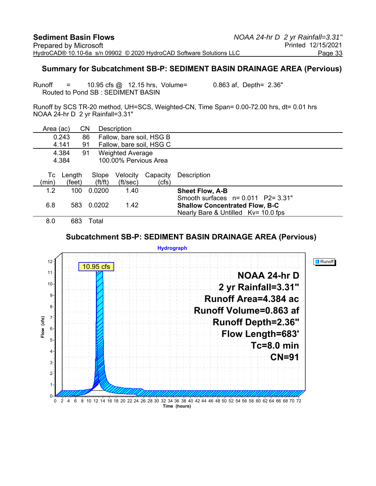#### **Summary for Subcatchment SB-P: SEDIMENT BASIN DRAINAGE AREA (Pervious)**

Runoff = 10.95 cfs @ 12.15 hrs, Volume= 0.863 af, Depth= 2.36" Routed to Pond SB : SEDIMENT BASIN

Runoff by SCS TR-20 method, UH=SCS, Weighted-CN, Time Span= 0.00-72.00 hrs, dt= 0.01 hrs NOAA 24-hr D 2 yr Rainfall=3.31"

| Area (ac)                               |        | CΝ                    | <b>Description</b>       |          |                                       |
|-----------------------------------------|--------|-----------------------|--------------------------|----------|---------------------------------------|
|                                         | 0.243  | 86                    | Fallow, bare soil, HSG B |          |                                       |
| 4.141<br>Fallow, bare soil, HSG C<br>91 |        |                       |                          |          |                                       |
| 4.384<br><b>Weighted Average</b><br>91  |        |                       |                          |          |                                       |
|                                         | 4.384  |                       | 100.00% Pervious Area    |          |                                       |
|                                         |        |                       |                          |          |                                       |
| Тc                                      | Length | Slope                 | Velocity                 | Capacity | Description                           |
| (min)                                   | (feet) | $({\rm ft}/{\rm ft})$ | (ft/sec)                 | (cfs)    |                                       |
| 1.2                                     | 100    | 0.0200                | 1.40                     |          | <b>Sheet Flow, A-B</b>                |
|                                         |        |                       |                          |          | Smooth surfaces $n = 0.011$ P2= 3.31" |
| 6.8                                     | 583    | 0.0202                | 1.42                     |          | <b>Shallow Concentrated Flow, B-C</b> |
|                                         |        |                       |                          |          | Nearly Bare & Untilled Kv= 10.0 fps   |
| 8.0                                     | 683    | Total                 |                          |          |                                       |

#### **Subcatchment SB-P: SEDIMENT BASIN DRAINAGE AREA (Pervious)**

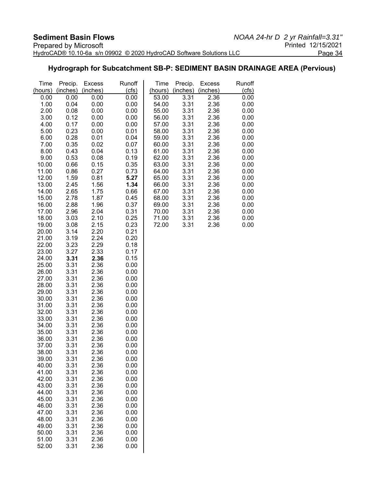### **Hydrograph for Subcatchment SB-P: SEDIMENT BASIN DRAINAGE AREA (Pervious)**

| Time           | Precip.      | <b>Excess</b> | Runoff       | Time           | Precip.      | <b>Excess</b> | Runoff       |
|----------------|--------------|---------------|--------------|----------------|--------------|---------------|--------------|
| (hours)        | (inches)     | (inches)      | (cfs)        | (hours)        | (inches)     | (inches)      | (cfs)        |
| 0.00           | 0.00         | 0.00          | 0.00         | 53.00          | 3.31         | 2.36          | 0.00         |
| 1.00           | 0.04         | 0.00          | 0.00         | 54.00          | 3.31         | 2.36          | 0.00         |
| 2.00           | 0.08         | 0.00          | 0.00         | 55.00          | 3.31         | 2.36          | 0.00         |
| 3.00           | 0.12         | 0.00          | 0.00         | 56.00          | 3.31         | 2.36          | 0.00         |
| 4.00           | 0.17         | 0.00          | 0.00         | 57.00          | 3.31         | 2.36          | 0.00         |
| 5.00           | 0.23         | 0.00          | 0.01         | 58.00          | 3.31         | 2.36          | 0.00         |
| 6.00           | 0.28         | 0.01          | 0.04         | 59.00          | 3.31         | 2.36          | 0.00         |
| 7.00           | 0.35         | 0.02          | 0.07         | 60.00          | 3.31         | 2.36          | 0.00         |
| 8.00           | 0.43         | 0.04          | 0.13         | 61.00          | 3.31         | 2.36          | 0.00         |
| 9.00           | 0.53         | 0.08          | 0.19         | 62.00          | 3.31         | 2.36          | 0.00         |
| 10.00          | 0.66         | 0.15          | 0.35         | 63.00          | 3.31         | 2.36          | 0.00         |
| 11.00          | 0.86         | 0.27          | 0.73         | 64.00          | 3.31         | 2.36          | 0.00         |
| 12.00          | 1.59         | 0.81          | 5.27         | 65.00          | 3.31         | 2.36          | 0.00         |
| 13.00          | 2.45         | 1.56          | 1.34         | 66.00          | 3.31         | 2.36          | 0.00         |
| 14.00<br>15.00 | 2.65         | 1.75          | 0.66         | 67.00          | 3.31<br>3.31 | 2.36          | 0.00         |
| 16.00          | 2.78<br>2.88 | 1.87<br>1.96  | 0.45<br>0.37 | 68.00<br>69.00 | 3.31         | 2.36<br>2.36  | 0.00<br>0.00 |
| 17.00          | 2.96         | 2.04          | 0.31         | 70.00          | 3.31         | 2.36          | 0.00         |
| 18.00          | 3.03         | 2.10          | 0.25         | 71.00          | 3.31         | 2.36          | 0.00         |
| 19.00          | 3.08         | 2.15          | 0.23         | 72.00          | 3.31         | 2.36          | 0.00         |
| 20.00          | 3.14         | 2.20          | 0.21         |                |              |               |              |
| 21.00          | 3.19         | 2.24          | 0.20         |                |              |               |              |
| 22.00          | 3.23         | 2.29          | 0.18         |                |              |               |              |
| 23.00          | 3.27         | 2.33          | 0.17         |                |              |               |              |
| 24.00          | 3.31         | 2.36          | 0.15         |                |              |               |              |
| 25.00          | 3.31         | 2.36          | 0.00         |                |              |               |              |
| 26.00          | 3.31         | 2.36          | 0.00         |                |              |               |              |
| 27.00          | 3.31         | 2.36          | 0.00         |                |              |               |              |
| 28.00          | 3.31         | 2.36          | 0.00         |                |              |               |              |
| 29.00          | 3.31         | 2.36          | 0.00         |                |              |               |              |
| 30.00          | 3.31         | 2.36          | 0.00         |                |              |               |              |
| 31.00          | 3.31         | 2.36          | 0.00         |                |              |               |              |
| 32.00          | 3.31         | 2.36          | 0.00         |                |              |               |              |
| 33.00          | 3.31         | 2.36          | 0.00         |                |              |               |              |
| 34.00          | 3.31         | 2.36          | 0.00         |                |              |               |              |
| 35.00          | 3.31         | 2.36          | 0.00         |                |              |               |              |
| 36.00          | 3.31         | 2.36          | 0.00         |                |              |               |              |
| 37.00          | 3.31         | 2.36          | 0.00         |                |              |               |              |
| 38.00          | 3.31         | 2.36          | 0.00         |                |              |               |              |
| 39.00          | 3.31         | 2.36          | 0.00         |                |              |               |              |
| 40.00          | 3.31         | 2.36          | 0.00         |                |              |               |              |
| 41.00          | 3.31         | 2.36          | 0.00         |                |              |               |              |
| 42.00          | 3.31         | 2.36          | 0.00         |                |              |               |              |
| 43.00          | 3.31         | 2.36          | 0.00         |                |              |               |              |
| 44.00          | 3.31         | 2.36          | 0.00         |                |              |               |              |
| 45.00          | 3.31         | 2.36          | 0.00         |                |              |               |              |
| 46.00          | 3.31         | 2.36          | 0.00         |                |              |               |              |
| 47.00          | 3.31         | 2.36          | 0.00         |                |              |               |              |
| 48.00<br>49.00 | 3.31<br>3.31 | 2.36<br>2.36  | 0.00<br>0.00 |                |              |               |              |
| 50.00          | 3.31         | 2.36          | 0.00         |                |              |               |              |
| 51.00          | 3.31         | 2.36          | 0.00         |                |              |               |              |
| 52.00          | 3.31         | 2.36          | 0.00         |                |              |               |              |
|                |              |               |              |                |              |               |              |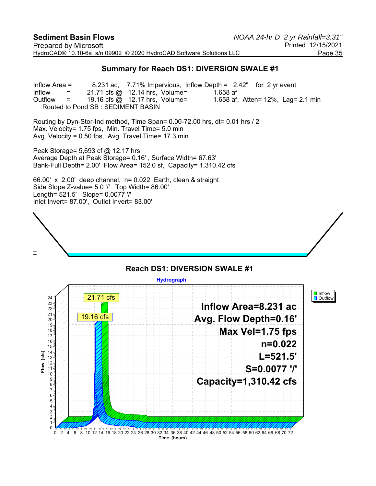#### **Summary for Reach DS1: DIVERSION SWALE #1**

Inflow Area = 8.231 ac, 7.71% Impervious, Inflow Depth = 2.42" for 2 yr event Inflow  $=$  21.71 cfs @ 12.14 hrs, Volume= 1.658 af Outflow  $=$  19.16 cfs  $\textcircled{a}$  12.17 hrs, Volume= 1.658 af, Atten= 12%, Lag= 2.1 min Routed to Pond SB : SEDIMENT BASIN

Routing by Dyn-Stor-Ind method, Time Span= 0.00-72.00 hrs, dt= 0.01 hrs / 2 Max. Velocity= 1.75 fps, Min. Travel Time= 5.0 min Avg. Velocity = 0.50 fps, Avg. Travel Time= 17.3 min

Peak Storage= 5,693 cf @ 12.17 hrs Average Depth at Peak Storage= 0.16' , Surface Width= 67.63' Bank-Full Depth= 2.00' Flow Area= 152.0 sf, Capacity= 1,310.42 cfs

66.00' x 2.00' deep channel, n= 0.022 Earth, clean & straight Side Slope Z-value= 5.0 '/' Top Width= 86.00' Length= 521.5' Slope= 0.0077 '/' Inlet Invert= 87.00', Outlet Invert= 83.00'



# **Reach DS1: DIVERSION SWALE #1**

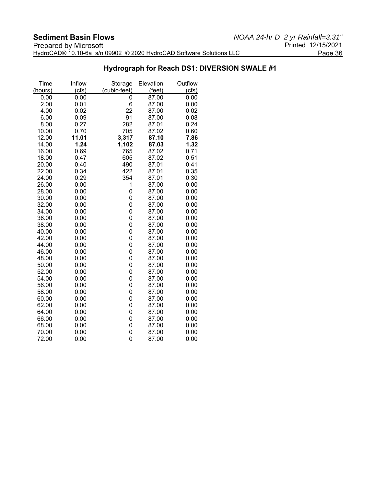### **Hydrograph for Reach DS1: DIVERSION SWALE #1**

| Time    | Inflow | Storage      | Elevation | Outflow |
|---------|--------|--------------|-----------|---------|
| (hours) | (cfs)  | (cubic-feet) | (feet)    | (cts)   |
| 0.00    | 0.00   | 0            | 87.00     | 0.00    |
| 2.00    | 0.01   | 6            | 87.00     | 0.00    |
| 4.00    | 0.02   | 22           | 87.00     | 0.02    |
| 6.00    | 0.09   | 91           | 87.00     | 0.08    |
| 8.00    | 0.27   | 282          | 87.01     | 0.24    |
| 10.00   | 0.70   | 705          | 87.02     | 0.60    |
| 12.00   | 11.01  | 3,317        | 87.10     | 7.86    |
| 14.00   | 1.24   | 1,102        | 87.03     | 1.32    |
| 16.00   | 0.69   | 765          | 87.02     | 0.71    |
| 18.00   | 0.47   | 605          | 87.02     | 0.51    |
| 20.00   | 0.40   | 490          | 87.01     | 0.41    |
| 22.00   | 0.34   | 422          | 87.01     | 0.35    |
| 24.00   | 0.29   | 354          | 87.01     | 0.30    |
| 26.00   | 0.00   | 1            | 87.00     | 0.00    |
| 28.00   | 0.00   | 0            | 87.00     | 0.00    |
| 30.00   | 0.00   | 0            | 87.00     | 0.00    |
| 32.00   | 0.00   | 0            | 87.00     | 0.00    |
| 34.00   | 0.00   | 0            | 87.00     | 0.00    |
| 36.00   | 0.00   | 0            | 87.00     | 0.00    |
| 38.00   | 0.00   | 0            | 87.00     | 0.00    |
| 40.00   | 0.00   | 0            | 87.00     | 0.00    |
| 42.00   | 0.00   | 0            | 87.00     | 0.00    |
| 44.00   | 0.00   | 0            | 87.00     | 0.00    |
| 46.00   | 0.00   | 0            | 87.00     | 0.00    |
| 48.00   | 0.00   | 0            | 87.00     | 0.00    |
| 50.00   | 0.00   | 0            | 87.00     | 0.00    |
| 52.00   | 0.00   | 0            | 87.00     | 0.00    |
| 54.00   | 0.00   | 0            | 87.00     | 0.00    |
| 56.00   | 0.00   | 0            | 87.00     | 0.00    |
| 58.00   | 0.00   | 0            | 87.00     | 0.00    |
| 60.00   | 0.00   | 0            | 87.00     | 0.00    |
| 62.00   | 0.00   | 0            | 87.00     | 0.00    |
| 64.00   | 0.00   | 0            | 87.00     | 0.00    |
| 66.00   | 0.00   | 0            | 87.00     | 0.00    |
| 68.00   | 0.00   | 0            | 87.00     | 0.00    |
| 70.00   | 0.00   | 0            | 87.00     | 0.00    |
| 72.00   | 0.00   | 0            | 87.00     | 0.00    |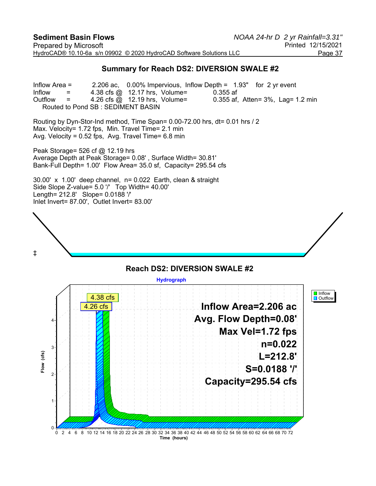#### **Summary for Reach DS2: DIVERSION SWALE #2**

Inflow Area = 2.206 ac, 0.00% Impervious, Inflow Depth = 1.93" for 2 yr event Inflow  $=$  4.38 cfs @ 12.17 hrs, Volume= 0.355 af Outflow  $=$  4.26 cfs  $\omega$  12.19 hrs, Volume= 0.355 af, Atten= 3%, Lag= 1.2 min Routed to Pond SB : SEDIMENT BASIN

Routing by Dyn-Stor-Ind method, Time Span= 0.00-72.00 hrs, dt= 0.01 hrs / 2 Max. Velocity= 1.72 fps, Min. Travel Time= 2.1 min Avg. Velocity =  $0.52$  fps, Avg. Travel Time=  $6.8$  min

Peak Storage= 526 cf @ 12.19 hrs Average Depth at Peak Storage= 0.08' , Surface Width= 30.81' Bank-Full Depth= 1.00' Flow Area= 35.0 sf, Capacity= 295.54 cfs

30.00' x 1.00' deep channel, n= 0.022 Earth, clean & straight Side Slope Z-value= 5.0 '/' Top Width= 40.00' Length= 212.8' Slope= 0.0188 '/' Inlet Invert= 87.00', Outlet Invert= 83.00'



#### **Reach DS2: DIVERSION SWALE #2 Hydrograph I** Inflow 4.38 cfs **D** Outflow **Inflow Area=2.206 ac** 4.26 cfs**Avg. Flow Depth=0.08'** 4 **Max Vel=1.72 fps n=0.022** 3  $(cfs)$ **Flow (cfs) L=212.8'** Flow **S=0.0188 '/'** 2 **Capacity=295.54 cfs** 1 0 0 2 4 6 8 10 12 14 16 18 20 22 24 26 28 30 32 34 36 38 40 42 44 46 48 50 52 54 56 58 60 62 64 66 68 70 72 **Time (hours)**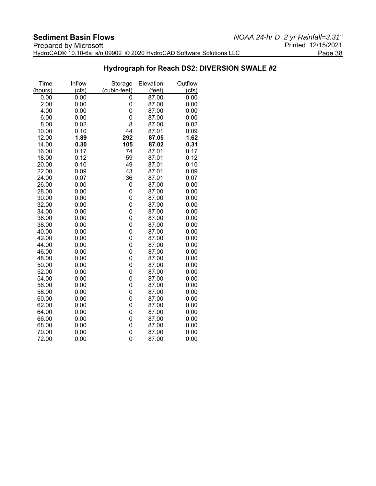### **Hydrograph for Reach DS2: DIVERSION SWALE #2**

| Time           | Inflow       | Storage      | Elevation      | Outflow      |
|----------------|--------------|--------------|----------------|--------------|
| (hours)        | (cfs)        | (cubic-feet) | (feet)         | (cts)        |
| 0.00           | 0.00         | 0            | 87.00          | 0.00         |
| 2.00           | 0.00         | 0            | 87.00          | 0.00         |
| 4.00           | 0.00         | 0            | 87.00          | 0.00         |
| 6.00           | 0.00         | 0            | 87.00          | 0.00         |
| 8.00           | 0.02         | 8            | 87.00          | 0.02         |
| 10.00          | 0.10         | 44           | 87.01          | 0.09         |
| 12.00          | 1.89         | 292          | 87.05          | 1.62         |
| 14.00          | 0.30         | 105          | 87.02          | 0.31         |
| 16.00          | 0.17         | 74           | 87.01          | 0.17         |
| 18.00          | 0.12         | 59           | 87.01          | 0.12         |
| 20.00          | 0.10         | 49           | 87.01          | 0.10         |
| 22.00          | 0.09         | 43           | 87.01          | 0.09         |
| 24.00          | 0.07         | 36           | 87.01          | 0.07         |
| 26.00          | 0.00         | 0            | 87.00          | 0.00         |
| 28.00          | 0.00         | 0            | 87.00          | 0.00         |
| 30.00          | 0.00         | 0            | 87.00          | 0.00         |
| 32.00          | 0.00         | 0            | 87.00          | 0.00         |
| 34.00          | 0.00         | 0            | 87.00          | 0.00         |
| 36.00          | 0.00         | 0            | 87.00          | 0.00         |
| 38.00          | 0.00         | 0            | 87.00          | 0.00         |
| 40.00          | 0.00         | 0            | 87.00          | 0.00         |
| 42.00          | 0.00         | 0            | 87.00          | 0.00         |
| 44.00          | 0.00         | 0            | 87.00          | 0.00         |
| 46.00          | 0.00         | 0            | 87.00          | 0.00         |
| 48.00          | 0.00         | 0            | 87.00          | 0.00         |
| 50.00<br>52.00 | 0.00<br>0.00 | 0<br>0       | 87.00<br>87.00 | 0.00<br>0.00 |
| 54.00          | 0.00         | 0            | 87.00          | 0.00         |
| 56.00          | 0.00         | 0            | 87.00          | 0.00         |
| 58.00          | 0.00         | 0            | 87.00          | 0.00         |
| 60.00          | 0.00         | 0            | 87.00          | 0.00         |
| 62.00          | 0.00         | 0            | 87.00          | 0.00         |
| 64.00          | 0.00         | 0            | 87.00          | 0.00         |
| 66.00          | 0.00         | 0            | 87.00          | 0.00         |
| 68.00          | 0.00         | 0            | 87.00          | 0.00         |
| 70.00          | 0.00         | 0            | 87.00          | 0.00         |
| 72.00          | 0.00         | 0            | 87.00          | 0.00         |
|                |              |              |                |              |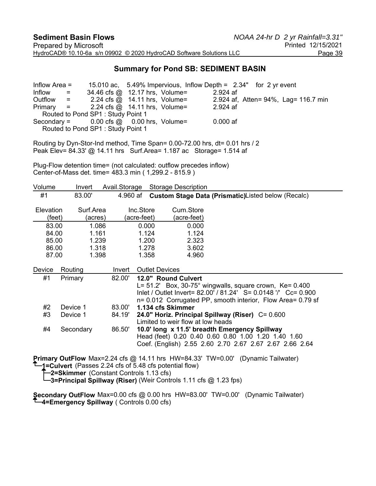#### **Summary for Pond SB: SEDIMENT BASIN**

Inflow Area = 15.010 ac, 5.49% Impervious, Inflow Depth = 2.34" for 2 yr event  $Inform 2.52<sup>2</sup> = 34.46 cfs @ 12.17 hrs, Volume= 2.924 af$ Outflow = 2.24 cfs @ 14.11 hrs, Volume= 2.924 af, Atten= 94%, Lag= 116.7 min Primary = 2.24 cfs @ 14.11 hrs, Volume= 2.924 af Routed to Pond SP1 : Study Point 1 Secondary =  $0.00$  cfs  $\omega = 0.00$  hrs, Volume=  $0.000$  af Routed to Pond SP1 : Study Point 1

Routing by Dyn-Stor-Ind method, Time Span= 0.00-72.00 hrs, dt= 0.01 hrs / 2 Peak Elev= 84.33' @ 14.11 hrs Surf.Area= 1.187 ac Storage= 1.514 af

Plug-Flow detention time= (not calculated: outflow precedes inflow) Center-of-Mass det. time= 483.3 min ( 1,299.2 - 815.9 )

| Volume                     | Invert    |         | Avail.Storage |                                                                                                                                                                 | <b>Storage Description</b>        |                                                                                                                                                                                                                                                                                                                                                             |                                                                                                                               |  |
|----------------------------|-----------|---------|---------------|-----------------------------------------------------------------------------------------------------------------------------------------------------------------|-----------------------------------|-------------------------------------------------------------------------------------------------------------------------------------------------------------------------------------------------------------------------------------------------------------------------------------------------------------------------------------------------------------|-------------------------------------------------------------------------------------------------------------------------------|--|
| #1                         | 83.00'    |         | 4.960 af      |                                                                                                                                                                 |                                   | Custom Stage Data (Prismatic)Listed below (Recalc)                                                                                                                                                                                                                                                                                                          |                                                                                                                               |  |
| <b>Elevation</b><br>(feet) | Surf.Area | (acres) | (acre-feet)   | Inc.Store                                                                                                                                                       | Cum.Store<br>(acre-feet)          |                                                                                                                                                                                                                                                                                                                                                             |                                                                                                                               |  |
| 83.00                      |           | 1.086   |               | 0.000                                                                                                                                                           | 0.000                             |                                                                                                                                                                                                                                                                                                                                                             |                                                                                                                               |  |
| 84.00                      |           | 1.161   |               | 1.124                                                                                                                                                           | 1.124                             |                                                                                                                                                                                                                                                                                                                                                             |                                                                                                                               |  |
| 85.00                      |           | 1.239   |               | 1.200                                                                                                                                                           | 2.323                             |                                                                                                                                                                                                                                                                                                                                                             |                                                                                                                               |  |
| 86.00                      |           | 1.318   |               | 1.278                                                                                                                                                           | 3.602                             |                                                                                                                                                                                                                                                                                                                                                             |                                                                                                                               |  |
| 87.00                      |           | 1.398   |               | 1.358                                                                                                                                                           | 4.960                             |                                                                                                                                                                                                                                                                                                                                                             |                                                                                                                               |  |
| Device                     | Routing   |         | Invert        | <b>Outlet Devices</b>                                                                                                                                           |                                   |                                                                                                                                                                                                                                                                                                                                                             |                                                                                                                               |  |
| #1                         | Primary   |         | 82.00'        |                                                                                                                                                                 | 12.0" Round Culvert               |                                                                                                                                                                                                                                                                                                                                                             |                                                                                                                               |  |
|                            |           |         |               |                                                                                                                                                                 |                                   | L= $51.2'$ Box, $30-75°$ wingwalls, square crown, Ke= 0.400                                                                                                                                                                                                                                                                                                 | Inlet / Outlet Invert= 82.00' / 81.24' S= 0.0148 '/' Cc= 0.900<br>n= 0.012 Corrugated PP, smooth interior, Flow Area= 0.79 sf |  |
| #2                         | Device 1  |         | 83.00'        | 1.134 cfs Skimmer                                                                                                                                               |                                   |                                                                                                                                                                                                                                                                                                                                                             |                                                                                                                               |  |
| #3                         | Device 1  |         | 84.19'        |                                                                                                                                                                 | Limited to weir flow at low heads | 24.0" Horiz. Principal Spillway (Riser) C= 0.600                                                                                                                                                                                                                                                                                                            |                                                                                                                               |  |
| #4                         | Secondary |         | 86.50'        | 10.0' long x 11.5' breadth Emergency Spillway<br>Head (feet) 0.20 0.40 0.60 0.80 1.00 1.20 1.40 1.60<br>Coef. (English) 2.55 2.60 2.70 2.67 2.67 2.67 2.66 2.64 |                                   |                                                                                                                                                                                                                                                                                                                                                             |                                                                                                                               |  |
|                            |           |         |               |                                                                                                                                                                 |                                   | $\mathcal{L}$ $\mathcal{L}$ $\mathcal{L}$ $\mathcal{L}$ $\mathcal{L}$ $\mathcal{L}$ $\mathcal{L}$ $\mathcal{L}$ $\mathcal{L}$ $\mathcal{L}$ $\mathcal{L}$ $\mathcal{L}$ $\mathcal{L}$ $\mathcal{L}$ $\mathcal{L}$ $\mathcal{L}$ $\mathcal{L}$ $\mathcal{L}$ $\mathcal{L}$ $\mathcal{L}$ $\mathcal{L}$ $\mathcal{L}$ $\mathcal{L}$ $\mathcal{L}$ $\mathcal{$ |                                                                                                                               |  |

**Primary OutFlow** Max=2.24 cfs @ 14.11 hrs HW=84.33' TW=0.00' (Dynamic Tailwater)

**1=Culvert** (Passes 2.24 cfs of 5.48 cfs potential flow)

**2=Skimmer** (Constant Controls 1.13 cfs)

**3=Principal Spillway (Riser)** (Weir Controls 1.11 cfs @ 1.23 fps)

**Secondary OutFlow** Max=0.00 cfs @ 0.00 hrs HW=83.00' TW=0.00' (Dynamic Tailwater) **4=Emergency Spillway** ( Controls 0.00 cfs)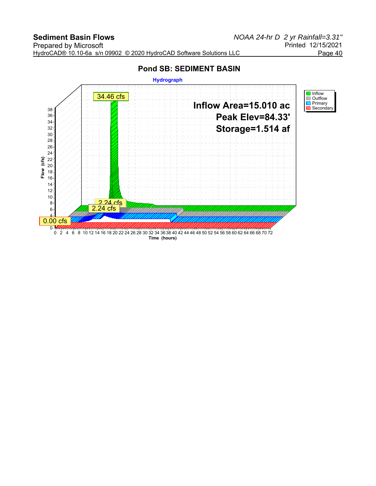### **Pond SB: SEDIMENT BASIN**

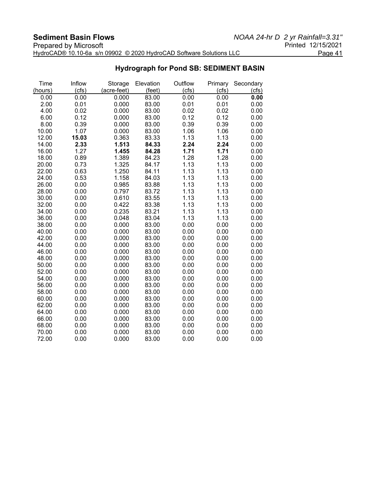#### **Sediment Basin Flows**<br>*NOAA 24-hr D 2 yr Rainfall=3.31"*<br>Printed 12/15/2021 Prepared by Microsoft **Printed 12/15/2021** HydroCAD® 10.10-6a s/n 09902 © 2020 HydroCAD Software Solutions LLC Page 41

| Time    | Inflow | Storage     | Elevation | Outflow | Primary | Secondary |
|---------|--------|-------------|-----------|---------|---------|-----------|
| (hours) | (cfs)  | (acre-feet) | (feet)    | (cfs)   | (cfs)   | (cfs)     |
| 0.00    | 0.00   | 0.000       | 83.00     | 0.00    | 0.00    | 0.00      |
| 2.00    | 0.01   | 0.000       | 83.00     | 0.01    | 0.01    | 0.00      |
| 4.00    | 0.02   | 0.000       | 83.00     | 0.02    | 0.02    | 0.00      |
| 6.00    | 0.12   | 0.000       | 83.00     | 0.12    | 0.12    | 0.00      |
| 8.00    | 0.39   | 0.000       | 83.00     | 0.39    | 0.39    | 0.00      |
| 10.00   | 1.07   | 0.000       | 83.00     | 1.06    | 1.06    | 0.00      |
| 12.00   | 15.03  | 0.363       | 83.33     | 1.13    | 1.13    | 0.00      |
| 14.00   | 2.33   | 1.513       | 84.33     | 2.24    | 2.24    | 0.00      |
| 16.00   | 1.27   | 1.455       | 84.28     | 1.71    | 1.71    | 0.00      |
| 18.00   | 0.89   | 1.389       | 84.23     | 1.28    | 1.28    | 0.00      |
| 20.00   | 0.73   | 1.325       | 84.17     | 1.13    | 1.13    | 0.00      |
| 22.00   | 0.63   | 1.250       | 84.11     | 1.13    | 1.13    | 0.00      |
| 24.00   | 0.53   | 1.158       | 84.03     | 1.13    | 1.13    | 0.00      |
| 26.00   | 0.00   | 0.985       | 83.88     | 1.13    | 1.13    | 0.00      |
| 28.00   | 0.00   | 0.797       | 83.72     | 1.13    | 1.13    | 0.00      |
| 30.00   | 0.00   | 0.610       | 83.55     | 1.13    | 1.13    | 0.00      |
| 32.00   | 0.00   | 0.422       | 83.38     | 1.13    | 1.13    | 0.00      |
| 34.00   | 0.00   | 0.235       | 83.21     | 1.13    | 1.13    | 0.00      |
| 36.00   | 0.00   | 0.048       | 83.04     | 1.13    | 1.13    | 0.00      |
| 38.00   | 0.00   | 0.000       | 83.00     | 0.00    | 0.00    | 0.00      |
| 40.00   | 0.00   | 0.000       | 83.00     | 0.00    | 0.00    | 0.00      |
| 42.00   | 0.00   | 0.000       | 83.00     | 0.00    | 0.00    | 0.00      |
| 44.00   | 0.00   | 0.000       | 83.00     | 0.00    | 0.00    | 0.00      |
| 46.00   | 0.00   | 0.000       | 83.00     | 0.00    | 0.00    | 0.00      |
| 48.00   | 0.00   | 0.000       | 83.00     | 0.00    | 0.00    | 0.00      |
| 50.00   | 0.00   | 0.000       | 83.00     | 0.00    | 0.00    | 0.00      |
| 52.00   | 0.00   | 0.000       | 83.00     | 0.00    | 0.00    | 0.00      |
| 54.00   | 0.00   | 0.000       | 83.00     | 0.00    | 0.00    | 0.00      |
| 56.00   | 0.00   | 0.000       | 83.00     | 0.00    | 0.00    | 0.00      |
| 58.00   | 0.00   | 0.000       | 83.00     | 0.00    | 0.00    | 0.00      |
| 60.00   | 0.00   | 0.000       | 83.00     | 0.00    | 0.00    | 0.00      |
| 62.00   | 0.00   | 0.000       | 83.00     | 0.00    | 0.00    | 0.00      |
| 64.00   | 0.00   | 0.000       | 83.00     | 0.00    | 0.00    | 0.00      |
| 66.00   | 0.00   | 0.000       | 83.00     | 0.00    | 0.00    | 0.00      |
| 68.00   | 0.00   | 0.000       | 83.00     | 0.00    | 0.00    | 0.00      |
| 70.00   | 0.00   | 0.000       | 83.00     | 0.00    | 0.00    | 0.00      |
| 72.00   | 0.00   | 0.000       | 83.00     | 0.00    | 0.00    | 0.00      |

### **Hydrograph for Pond SB: SEDIMENT BASIN**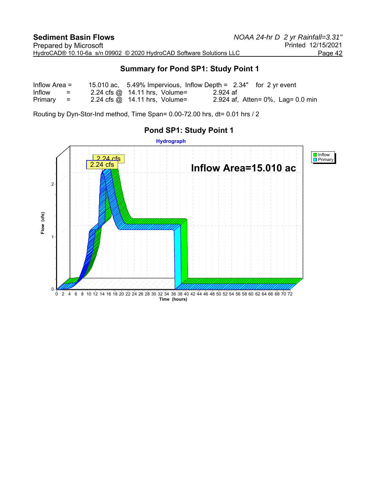### **Summary for Pond SP1: Study Point 1**

| Inflow Area $=$ |                           |                                                       |          | 15.010 ac, 5.49% Impervious, Inflow Depth = $2.34"$ for 2 yr event |
|-----------------|---------------------------|-------------------------------------------------------|----------|--------------------------------------------------------------------|
| Inflow          | $\mathbf{r} = \mathbf{r}$ | $2.24 \text{ cfs} \textcircled{a}$ 14.11 hrs, Volume= | 2.924 af |                                                                    |
| $Primary =$     |                           | 2.24 cfs $\omega$ 14.11 hrs, Volume=                  |          | 2.924 af, Atten= $0\%$ , Lag= 0.0 min                              |

Routing by Dyn-Stor-Ind method, Time Span= 0.00-72.00 hrs, dt= 0.01 hrs / 2



## **Pond SP1: Study Point 1**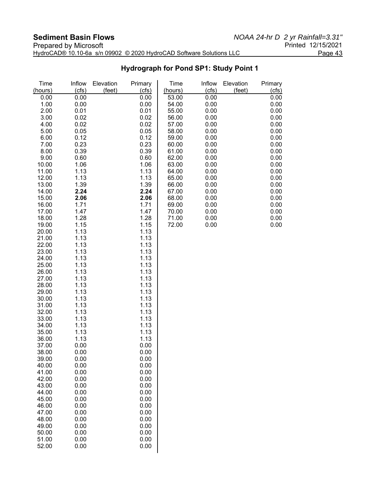| Prepared by Microsoft                                               | Printed 12/15/2021 |
|---------------------------------------------------------------------|--------------------|
| HydroCAD® 10.10-6a s/n 09902 © 2020 HydroCAD Software Solutions LLC | Page 43            |

## **Hydrograph for Pond SP1: Study Point 1**

| Time<br>(hours) | Inflow<br>(cfs) | Elevation<br>(feet) | Primary<br>(cfs) | Time<br>(hours) | Inflow<br>(cfs) | Elevation<br>(feet) | Primary<br>(cfs) |
|-----------------|-----------------|---------------------|------------------|-----------------|-----------------|---------------------|------------------|
| 0.00            | 0.00            |                     | 0.00             | 53.00           | 0.00            |                     | 0.00             |
| 1.00            | 0.00            |                     | 0.00             | 54.00           | 0.00            |                     | 0.00             |
| 2.00            | 0.01            |                     | 0.01             | 55.00           | 0.00            |                     | 0.00             |
| 3.00            | 0.02            |                     | 0.02             | 56.00           | 0.00            |                     | 0.00             |
| 4.00            | 0.02            |                     | 0.02             | 57.00           | 0.00            |                     | 0.00             |
| 5.00            | 0.05            |                     | 0.05             | 58.00           | 0.00            |                     | 0.00             |
| 6.00            | 0.12            |                     | 0.12             | 59.00           | 0.00            |                     | 0.00             |
| 7.00            | 0.23            |                     | 0.23             | 60.00           | 0.00            |                     | 0.00             |
| 8.00            | 0.39            |                     | 0.39             | 61.00           | 0.00            |                     | 0.00             |
| 9.00            | 0.60            |                     | 0.60             | 62.00           | 0.00            |                     | 0.00             |
| 10.00           | 1.06            |                     | 1.06             | 63.00           | 0.00            |                     | 0.00             |
| 11.00           | 1.13            |                     | 1.13             | 64.00           | 0.00            |                     | 0.00             |
| 12.00<br>13.00  | 1.13<br>1.39    |                     | 1.13<br>1.39     | 65.00           | 0.00            |                     | 0.00<br>0.00     |
| 14.00           | 2.24            |                     | 2.24             | 66.00<br>67.00  | 0.00<br>0.00    |                     | 0.00             |
| 15.00           | 2.06            |                     | 2.06             | 68.00           | 0.00            |                     | 0.00             |
| 16.00           | 1.71            |                     | 1.71             | 69.00           | 0.00            |                     | 0.00             |
| 17.00           | 1.47            |                     | 1.47             | 70.00           | 0.00            |                     | 0.00             |
| 18.00           | 1.28            |                     | 1.28             | 71.00           | 0.00            |                     | 0.00             |
| 19.00           | 1.15            |                     | 1.15             | 72.00           | 0.00            |                     | 0.00             |
| 20.00           | 1.13            |                     | 1.13             |                 |                 |                     |                  |
| 21.00           | 1.13            |                     | 1.13             |                 |                 |                     |                  |
| 22.00           | 1.13            |                     | 1.13             |                 |                 |                     |                  |
| 23.00           | 1.13            |                     | 1.13             |                 |                 |                     |                  |
| 24.00           | 1.13            |                     | 1.13             |                 |                 |                     |                  |
| 25.00           | 1.13            |                     | 1.13             |                 |                 |                     |                  |
| 26.00           | 1.13            |                     | 1.13             |                 |                 |                     |                  |
| 27.00           | 1.13            |                     | 1.13             |                 |                 |                     |                  |
| 28.00<br>29.00  | 1.13<br>1.13    |                     | 1.13<br>1.13     |                 |                 |                     |                  |
| 30.00           | 1.13            |                     | 1.13             |                 |                 |                     |                  |
| 31.00           | 1.13            |                     | 1.13             |                 |                 |                     |                  |
| 32.00           | 1.13            |                     | 1.13             |                 |                 |                     |                  |
| 33.00           | 1.13            |                     | 1.13             |                 |                 |                     |                  |
| 34.00           | 1.13            |                     | 1.13             |                 |                 |                     |                  |
| 35.00           | 1.13            |                     | 1.13             |                 |                 |                     |                  |
| 36.00           | 1.13            |                     | 1.13             |                 |                 |                     |                  |
| 37.00           | 0.00            |                     | 0.00             |                 |                 |                     |                  |
| 38.00           | 0.00            |                     | 0.00             |                 |                 |                     |                  |
| 39.00           | 0.00            |                     | 0.00             |                 |                 |                     |                  |
| 40.00           | 0.00            |                     | 0.00             |                 |                 |                     |                  |
| 41.00<br>42.00  | 0.00<br>0.00    |                     | 0.00<br>0.00     |                 |                 |                     |                  |
| 43.00           | 0.00            |                     | 0.00             |                 |                 |                     |                  |
| 44.00           | 0.00            |                     | 0.00             |                 |                 |                     |                  |
| 45.00           | 0.00            |                     | 0.00             |                 |                 |                     |                  |
| 46.00           | 0.00            |                     | 0.00             |                 |                 |                     |                  |
| 47.00           | 0.00            |                     | 0.00             |                 |                 |                     |                  |
| 48.00           | 0.00            |                     | 0.00             |                 |                 |                     |                  |
| 49.00           | 0.00            |                     | 0.00             |                 |                 |                     |                  |
| 50.00           | 0.00            |                     | 0.00             |                 |                 |                     |                  |
| 51.00           | 0.00            |                     | 0.00             |                 |                 |                     |                  |
| 52.00           | 0.00            |                     | 0.00             |                 |                 |                     |                  |
|                 |                 |                     |                  |                 |                 |                     |                  |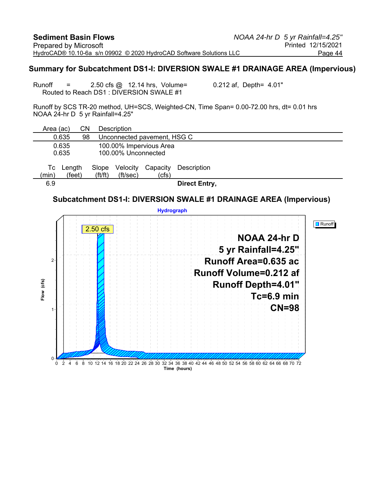#### **Summary for Subcatchment DS1-I: DIVERSION SWALE #1 DRAINAGE AREA (Impervious)**

Runoff  $=$  2.50 cfs  $\omega$  12.14 hrs, Volume= 0.212 af, Depth= 4.01" Routed to Reach DS1 : DIVERSION SWALE #1

Runoff by SCS TR-20 method, UH=SCS, Weighted-CN, Time Span= 0.00-72.00 hrs, dt= 0.01 hrs NOAA 24-hr D 5 yr Rainfall=4.25"

| Area (ac) |        | СN |                       | <b>Description</b>  |                             |               |
|-----------|--------|----|-----------------------|---------------------|-----------------------------|---------------|
| 0.635     |        | 98 |                       |                     | Unconnected pavement, HSG C |               |
| 0.635     |        |    |                       |                     | 100.00% Impervious Area     |               |
| 0.635     |        |    |                       | 100.00% Unconnected |                             |               |
| l c       | Length |    | Slope                 | Velocity            | Capacity                    | Description   |
| (min)     | (feet) |    | $({\rm ft}/{\rm ft})$ | (ft/sec)            | (cfs)                       |               |
| 6.9       |        |    |                       |                     |                             | Direct Entry, |
|           |        |    |                       |                     |                             |               |

### **Subcatchment DS1-I: DIVERSION SWALE #1 DRAINAGE AREA (Impervious)**

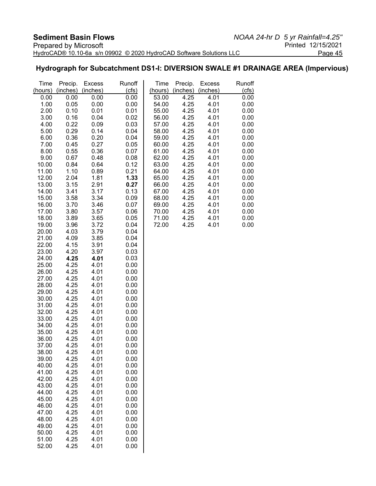## **Hydrograph for Subcatchment DS1-I: DIVERSION SWALE #1 DRAINAGE AREA (Impervious)**

| Time           | Precip.      | <b>Excess</b> | Runoff       | Time           | Precip.      | <b>Excess</b> | Runoff       |
|----------------|--------------|---------------|--------------|----------------|--------------|---------------|--------------|
| (hours)        | (inches)     | (inches)      | (cfs)        | (hours)        | (inches)     | (inches)      | (cfs)        |
| 0.00           | 0.00         | 0.00          | 0.00         | 53.00          | 4.25         | 4.01          | 0.00         |
| 1.00           | 0.05         | 0.00          | 0.00         | 54.00          | 4.25         | 4.01          | 0.00         |
| 2.00           | 0.10         | 0.01          | 0.01         | 55.00          | 4.25         | 4.01          | 0.00         |
| 3.00           | 0.16         | 0.04          | 0.02         | 56.00          | 4.25         | 4.01          | 0.00         |
| 4.00           | 0.22         | 0.09          | 0.03         | 57.00          | 4.25         | 4.01          | 0.00         |
| 5.00           | 0.29         | 0.14          | 0.04         | 58.00          | 4.25         | 4.01          | 0.00         |
| 6.00<br>7.00   | 0.36<br>0.45 | 0.20<br>0.27  | 0.04<br>0.05 | 59.00<br>60.00 | 4.25<br>4.25 | 4.01<br>4.01  | 0.00<br>0.00 |
| 8.00           | 0.55         | 0.36          | 0.07         | 61.00          | 4.25         | 4.01          | 0.00         |
| 9.00           | 0.67         | 0.48          | 0.08         | 62.00          | 4.25         | 4.01          | 0.00         |
| 10.00          | 0.84         | 0.64          | 0.12         | 63.00          | 4.25         | 4.01          | 0.00         |
| 11.00          | 1.10         | 0.89          | 0.21         | 64.00          | 4.25         | 4.01          | 0.00         |
| 12.00          | 2.04         | 1.81          | 1.33         | 65.00          | 4.25         | 4.01          | 0.00         |
| 13.00          | 3.15         | 2.91          | 0.27         | 66.00          | 4.25         | 4.01          | 0.00         |
| 14.00          | 3.41         | 3.17          | 0.13         | 67.00          | 4.25         | 4.01          | 0.00         |
| 15.00          | 3.58         | 3.34          | 0.09         | 68.00          | 4.25         | 4.01          | 0.00         |
| 16.00          | 3.70         | 3.46          | 0.07         | 69.00          | 4.25         | 4.01          | 0.00         |
| 17.00          | 3.80         | 3.57          | 0.06         | 70.00          | 4.25         | 4.01          | 0.00         |
| 18.00          | 3.89         | 3.65          | 0.05         | 71.00          | 4.25         | 4.01          | 0.00         |
| 19.00          | 3.96         | 3.72          | 0.04         | 72.00          | 4.25         | 4.01          | 0.00         |
| 20.00          | 4.03         | 3.79          | 0.04         |                |              |               |              |
| 21.00          | 4.09         | 3.85          | 0.04         |                |              |               |              |
| 22.00<br>23.00 | 4.15         | 3.91          | 0.04         |                |              |               |              |
| 24.00          | 4.20<br>4.25 | 3.97<br>4.01  | 0.03<br>0.03 |                |              |               |              |
| 25.00          | 4.25         | 4.01          | 0.00         |                |              |               |              |
| 26.00          | 4.25         | 4.01          | 0.00         |                |              |               |              |
| 27.00          | 4.25         | 4.01          | 0.00         |                |              |               |              |
| 28.00          | 4.25         | 4.01          | 0.00         |                |              |               |              |
| 29.00          | 4.25         | 4.01          | 0.00         |                |              |               |              |
| 30.00          | 4.25         | 4.01          | 0.00         |                |              |               |              |
| 31.00          | 4.25         | 4.01          | 0.00         |                |              |               |              |
| 32.00          | 4.25         | 4.01          | 0.00         |                |              |               |              |
| 33.00          | 4.25         | 4.01          | 0.00         |                |              |               |              |
| 34.00          | 4.25         | 4.01          | 0.00         |                |              |               |              |
| 35.00          | 4.25         | 4.01          | 0.00         |                |              |               |              |
| 36.00          | 4.25         | 4.01          | 0.00         |                |              |               |              |
| 37.00          | 4.25         | 4.01          | 0.00         |                |              |               |              |
| 38.00<br>39.00 | 4.25         | 4.01          | 0.00         |                |              |               |              |
| 40.00          | 4.25<br>4.25 | 4.01<br>4.01  | 0.00<br>0.00 |                |              |               |              |
| 41.00          | 4.25         | 4.01          | 0.00         |                |              |               |              |
| 42.00          | 4.25         | 4.01          | 0.00         |                |              |               |              |
| 43.00          | 4.25         | 4.01          | 0.00         |                |              |               |              |
| 44.00          | 4.25         | 4.01          | 0.00         |                |              |               |              |
| 45.00          | 4.25         | 4.01          | 0.00         |                |              |               |              |
| 46.00          | 4.25         | 4.01          | 0.00         |                |              |               |              |
| 47.00          | 4.25         | 4.01          | 0.00         |                |              |               |              |
| 48.00          | 4.25         | 4.01          | 0.00         |                |              |               |              |
| 49.00          | 4.25         | 4.01          | 0.00         |                |              |               |              |
| 50.00          | 4.25         | 4.01          | 0.00         |                |              |               |              |
| 51.00          | 4.25         | 4.01          | 0.00         |                |              |               |              |
| 52.00          | 4.25         | 4.01          | 0.00         |                |              |               |              |
|                |              |               |              |                |              |               |              |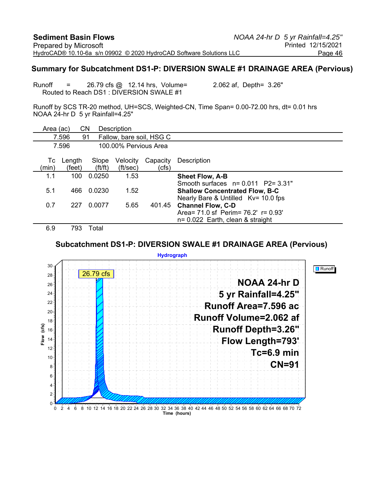#### **Summary for Subcatchment DS1-P: DIVERSION SWALE #1 DRAINAGE AREA (Pervious)**

Runoff = 26.79 cfs @ 12.14 hrs, Volume= 2.062 af, Depth= 3.26" Routed to Reach DS1 : DIVERSION SWALE #1

Runoff by SCS TR-20 method, UH=SCS, Weighted-CN, Time Span= 0.00-72.00 hrs, dt= 0.01 hrs NOAA 24-hr D 5 yr Rainfall=4.25"

| Area (ac)   |                          | CΝ              | Description              |                   |                                                                 |
|-------------|--------------------------|-----------------|--------------------------|-------------------|-----------------------------------------------------------------|
|             | 7.596                    | 91              | Fallow, bare soil, HSG C |                   |                                                                 |
|             | 7.596                    |                 | 100.00% Pervious Area    |                   |                                                                 |
| Тc<br>(min) | Length<br>(feet)         | Slope<br>ft/ft) | Velocity<br>(ft/sec)     | Capacity<br>(cfs) | Description                                                     |
| 1.1         | 100                      | 0.0250          | 1.53                     |                   | <b>Sheet Flow, A-B</b>                                          |
|             |                          |                 |                          |                   | Smooth surfaces $n = 0.011$ P2= 3.31"                           |
| 5.1         | 466                      | 0.0230          | 1.52                     |                   | <b>Shallow Concentrated Flow, B-C</b>                           |
| 0.7         | 227                      | 0.0077          | 5.65                     | 401.45            | Nearly Bare & Untilled Kv= 10.0 fps<br><b>Channel Flow, C-D</b> |
|             |                          |                 |                          |                   | Area = 71.0 sf Perim = 76.2' r = 0.93'                          |
|             |                          |                 |                          |                   | $n = 0.022$ Earth, clean & straight                             |
| <u>_</u>    | $\overline{\phantom{a}}$ | —               |                          |                   |                                                                 |

6.9 793 Total

#### **Subcatchment DS1-P: DIVERSION SWALE #1 DRAINAGE AREA (Pervious)**

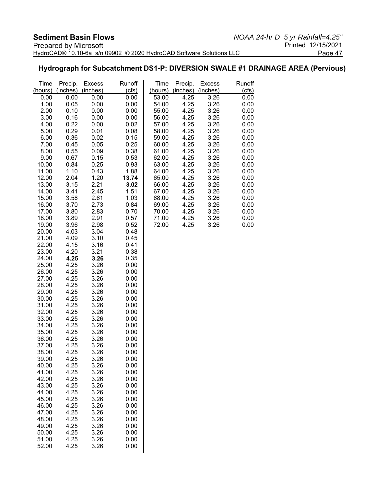### **Hydrograph for Subcatchment DS1-P: DIVERSION SWALE #1 DRAINAGE AREA (Pervious)**

| Time           | Precip.      | <b>Excess</b> | Runoff       | Time           | Precip.      | <b>Excess</b> | Runoff       |
|----------------|--------------|---------------|--------------|----------------|--------------|---------------|--------------|
| (hours)        | (inches)     | (inches)      | (cfs)        | (hours)        | (inches)     | (inches)      | (cfs)        |
| 0.00           | 0.00         | 0.00          | 0.00         | 53.00          | 4.25         | 3.26          | 0.00         |
| 1.00           | 0.05         | 0.00          | 0.00         | 54.00          | 4.25         | 3.26          | 0.00         |
| 2.00           | 0.10         | 0.00          | 0.00         | 55.00          | 4.25         | 3.26          | 0.00         |
| 3.00           | 0.16         | 0.00          | 0.00         | 56.00          | 4.25         | 3.26          | 0.00         |
| 4.00           | 0.22         | 0.00          | 0.02         | 57.00          | 4.25         | 3.26          | 0.00         |
| 5.00           | 0.29         | 0.01          | 0.08         | 58.00          | 4.25         | 3.26          | 0.00         |
| 6.00           | 0.36         | 0.02          | 0.15         | 59.00          | 4.25         | 3.26          | 0.00         |
| 7.00           | 0.45         | 0.05          | 0.25         | 60.00          | 4.25         | 3.26          | 0.00         |
| 8.00           | 0.55         | 0.09          | 0.38         | 61.00          | 4.25         | 3.26          | 0.00         |
| 9.00<br>10.00  | 0.67<br>0.84 | 0.15<br>0.25  | 0.53<br>0.93 | 62.00<br>63.00 | 4.25<br>4.25 | 3.26<br>3.26  | 0.00<br>0.00 |
| 11.00          | 1.10         | 0.43          | 1.88         | 64.00          | 4.25         | 3.26          | 0.00         |
| 12.00          | 2.04         | 1.20          | 13.74        | 65.00          | 4.25         | 3.26          | 0.00         |
| 13.00          | 3.15         | 2.21          | 3.02         | 66.00          | 4.25         | 3.26          | 0.00         |
| 14.00          | 3.41         | 2.45          | 1.51         | 67.00          | 4.25         | 3.26          | 0.00         |
| 15.00          | 3.58         | 2.61          | 1.03         | 68.00          | 4.25         | 3.26          | 0.00         |
| 16.00          | 3.70         | 2.73          | 0.84         | 69.00          | 4.25         | 3.26          | 0.00         |
| 17.00          | 3.80         | 2.83          | 0.70         | 70.00          | 4.25         | 3.26          | 0.00         |
| 18.00          | 3.89         | 2.91          | 0.57         | 71.00          | 4.25         | 3.26          | 0.00         |
| 19.00          | 3.96         | 2.98          | 0.52         | 72.00          | 4.25         | 3.26          | 0.00         |
| 20.00          | 4.03         | 3.04          | 0.48         |                |              |               |              |
| 21.00          | 4.09         | 3.10          | 0.45         |                |              |               |              |
| 22.00          | 4.15         | 3.16          | 0.41         |                |              |               |              |
| 23.00          | 4.20         | 3.21          | 0.38         |                |              |               |              |
| 24.00          | 4.25         | 3.26          | 0.35         |                |              |               |              |
| 25.00          | 4.25         | 3.26          | 0.00         |                |              |               |              |
| 26.00          | 4.25         | 3.26          | 0.00         |                |              |               |              |
| 27.00          | 4.25         | 3.26          | 0.00         |                |              |               |              |
| 28.00<br>29.00 | 4.25<br>4.25 | 3.26          | 0.00<br>0.00 |                |              |               |              |
| 30.00          | 4.25         | 3.26<br>3.26  | 0.00         |                |              |               |              |
| 31.00          | 4.25         | 3.26          | 0.00         |                |              |               |              |
| 32.00          | 4.25         | 3.26          | 0.00         |                |              |               |              |
| 33.00          | 4.25         | 3.26          | 0.00         |                |              |               |              |
| 34.00          | 4.25         | 3.26          | 0.00         |                |              |               |              |
| 35.00          | 4.25         | 3.26          | 0.00         |                |              |               |              |
| 36.00          | 4.25         | 3.26          | 0.00         |                |              |               |              |
| 37.00          | 4.25         | 3.26          | 0.00         |                |              |               |              |
| 38.00          | 4.25         | 3.26          | 0.00         |                |              |               |              |
| 39.00          | 4.25         | 3.26          | 0.00         |                |              |               |              |
| 40.00          | 4.25         | 3.26          | 0.00         |                |              |               |              |
| 41.00          | 4.25         | 3.26          | 0.00         |                |              |               |              |
| 42.00          | 4.25         | 3.26          | 0.00         |                |              |               |              |
| 43.00          | 4.25         | 3.26          | 0.00         |                |              |               |              |
| 44.00          | 4.25         | 3.26          | 0.00         |                |              |               |              |
| 45.00<br>46.00 | 4.25         | 3.26          | 0.00         |                |              |               |              |
| 47.00          | 4.25<br>4.25 | 3.26<br>3.26  | 0.00<br>0.00 |                |              |               |              |
| 48.00          | 4.25         | 3.26          | 0.00         |                |              |               |              |
| 49.00          | 4.25         | 3.26          | 0.00         |                |              |               |              |
| 50.00          | 4.25         | 3.26          | 0.00         |                |              |               |              |
| 51.00          | 4.25         | 3.26          | 0.00         |                |              |               |              |
| 52.00          | 4.25         | 3.26          | 0.00         |                |              |               |              |
|                |              |               |              |                |              |               |              |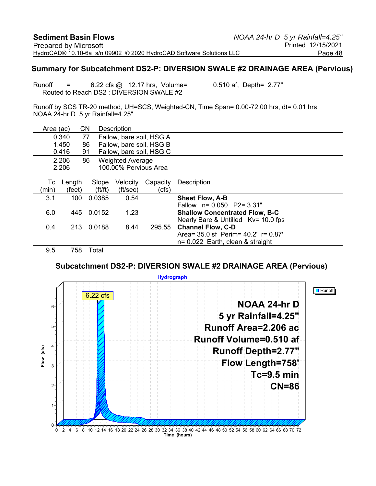#### **Summary for Subcatchment DS2-P: DIVERSION SWALE #2 DRAINAGE AREA (Pervious)**

Runoff = 6.22 cfs @ 12.17 hrs, Volume= 0.510 af, Depth= 2.77" Routed to Reach DS2 : DIVERSION SWALE #2

Runoff by SCS TR-20 method, UH=SCS, Weighted-CN, Time Span= 0.00-72.00 hrs, dt= 0.01 hrs NOAA 24-hr D 5 yr Rainfall=4.25"

| Area (ac) |        | CΝ                    | Description              |          |                                           |
|-----------|--------|-----------------------|--------------------------|----------|-------------------------------------------|
|           | 0.340  | 77                    | Fallow, bare soil, HSG A |          |                                           |
|           | 1.450  | 86                    | Fallow, bare soil, HSG B |          |                                           |
|           | 0.416  | 91                    | Fallow, bare soil, HSG C |          |                                           |
|           | 2.206  | 86                    | <b>Weighted Average</b>  |          |                                           |
|           | 2.206  |                       | 100.00% Pervious Area    |          |                                           |
|           |        |                       |                          |          |                                           |
| Тc        | Length | Slope                 | Velocity                 | Capacity | Description                               |
| (min)     | (feet) | $({\rm ft}/{\rm ft})$ | (ft/sec)                 | (cfs)    |                                           |
| 3.1       | 100    | 0.0385                | 0.54                     |          | <b>Sheet Flow, A-B</b>                    |
|           |        |                       |                          |          | Fallow n= 0.050 P2= 3.31"                 |
| 6.0       | 445    | 0.0152                | 1.23                     |          | <b>Shallow Concentrated Flow, B-C</b>     |
|           |        |                       |                          |          | Nearly Bare & Untilled Kv= 10.0 fps       |
| 0.4       | 213    | 0.0188                | 8.44                     | 295.55   | <b>Channel Flow, C-D</b>                  |
|           |        |                       |                          |          | Area= $35.0$ sf Perim= $40.2'$ r= $0.87'$ |
|           |        |                       |                          |          | $n = 0.022$ Earth, clean & straight       |
| 9.5       | 758    | Total                 |                          |          |                                           |

**Subcatchment DS2-P: DIVERSION SWALE #2 DRAINAGE AREA (Pervious)**

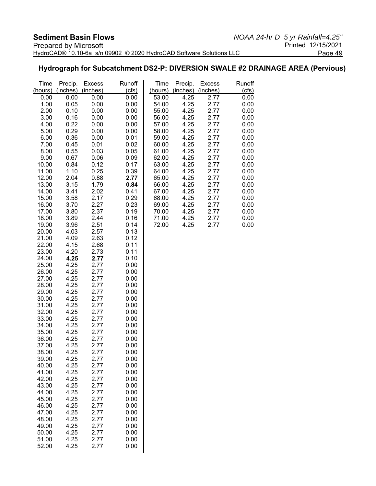## **Hydrograph for Subcatchment DS2-P: DIVERSION SWALE #2 DRAINAGE AREA (Pervious)**

| Time           | Precip.      | <b>Excess</b> | Runoff       | Time           | Precip.      | <b>Excess</b>    | Runoff       |
|----------------|--------------|---------------|--------------|----------------|--------------|------------------|--------------|
| (hours)        | (inches)     | (inches)      | (cts)        | (hours)        | (inches)     | (inches)<br>2.77 | (cfs)        |
| 0.00<br>1.00   | 0.00<br>0.05 | 0.00<br>0.00  | 0.00<br>0.00 | 53.00<br>54.00 | 4.25<br>4.25 | 2.77             | 0.00<br>0.00 |
| 2.00           | 0.10         | 0.00          | 0.00         | 55.00          | 4.25         | 2.77             | 0.00         |
| 3.00           | 0.16         | 0.00          | 0.00         | 56.00          | 4.25         | 2.77             | 0.00         |
| 4.00           | 0.22         | 0.00          | 0.00         | 57.00          | 4.25         | 2.77             | 0.00         |
| 5.00           | 0.29         | 0.00          | 0.00         | 58.00          | 4.25         | 2.77             | 0.00         |
| 6.00           | 0.36         | 0.00          | 0.01         | 59.00          | 4.25         | 2.77             | 0.00         |
| 7.00           | 0.45         | 0.01          | 0.02         | 60.00          | 4.25         | 2.77             | 0.00         |
| 8.00           | 0.55         | 0.03          | 0.05         | 61.00          | 4.25         | 2.77             | 0.00         |
| 9.00           | 0.67         | 0.06          | 0.09         | 62.00          | 4.25         | 2.77             | 0.00         |
| 10.00          | 0.84         | 0.12          | 0.17         | 63.00          | 4.25         | 2.77             | 0.00         |
| 11.00          | 1.10         | 0.25          | 0.39         | 64.00          | 4.25         | 2.77             | 0.00         |
| 12.00          | 2.04         | 0.88          | 2.77         | 65.00          | 4.25         | 2.77             | 0.00         |
| 13.00          | 3.15         | 1.79          | 0.84         | 66.00          | 4.25         | 2.77             | 0.00         |
| 14.00<br>15.00 | 3.41<br>3.58 | 2.02<br>2.17  | 0.41<br>0.29 | 67.00<br>68.00 | 4.25<br>4.25 | 2.77<br>2.77     | 0.00<br>0.00 |
| 16.00          | 3.70         | 2.27          | 0.23         | 69.00          | 4.25         | 2.77             | 0.00         |
| 17.00          | 3.80         | 2.37          | 0.19         | 70.00          | 4.25         | 2.77             | 0.00         |
| 18.00          | 3.89         | 2.44          | 0.16         | 71.00          | 4.25         | 2.77             | 0.00         |
| 19.00          | 3.96         | 2.51          | 0.14         | 72.00          | 4.25         | 2.77             | 0.00         |
| 20.00          | 4.03         | 2.57          | 0.13         |                |              |                  |              |
| 21.00          | 4.09         | 2.63          | 0.12         |                |              |                  |              |
| 22.00          | 4.15         | 2.68          | 0.11         |                |              |                  |              |
| 23.00          | 4.20         | 2.73          | 0.11         |                |              |                  |              |
| 24.00<br>25.00 | 4.25<br>4.25 | 2.77<br>2.77  | 0.10<br>0.00 |                |              |                  |              |
| 26.00          | 4.25         | 2.77          | 0.00         |                |              |                  |              |
| 27.00          | 4.25         | 2.77          | 0.00         |                |              |                  |              |
| 28.00          | 4.25         | 2.77          | 0.00         |                |              |                  |              |
| 29.00          | 4.25         | 2.77          | 0.00         |                |              |                  |              |
| 30.00          | 4.25         | 2.77          | 0.00         |                |              |                  |              |
| 31.00          | 4.25         | 2.77          | 0.00         |                |              |                  |              |
| 32.00          | 4.25         | 2.77          | 0.00         |                |              |                  |              |
| 33.00          | 4.25         | 2.77          | 0.00         |                |              |                  |              |
| 34.00<br>35.00 | 4.25<br>4.25 | 2.77<br>2.77  | 0.00<br>0.00 |                |              |                  |              |
| 36.00          | 4.25         | 2.77          | 0.00         |                |              |                  |              |
| 37.00          | 4.25         | 2.77          | 0.00         |                |              |                  |              |
| 38.00          | 4.25         | 2.77          | 0.00         |                |              |                  |              |
| 39.00          | 4.25         | 2.77          | 0.00         |                |              |                  |              |
| 40.00          | 4.25         | 2.77          | 0.00         |                |              |                  |              |
| 41.00          | 4.25         | 2.77          | 0.00         |                |              |                  |              |
| 42.00          | 4.25         | 2.77          | 0.00         |                |              |                  |              |
| 43.00          | 4.25         | 2.77          | 0.00         |                |              |                  |              |
| 44.00<br>45.00 | 4.25<br>4.25 | 2.77          | 0.00<br>0.00 |                |              |                  |              |
| 46.00          | 4.25         | 2.77<br>2.77  | 0.00         |                |              |                  |              |
| 47.00          | 4.25         | 2.77          | 0.00         |                |              |                  |              |
| 48.00          | 4.25         | 2.77          | 0.00         |                |              |                  |              |
| 49.00          | 4.25         | 2.77          | 0.00         |                |              |                  |              |
| 50.00          | 4.25         | 2.77          | 0.00         |                |              |                  |              |
| 51.00          | 4.25         | 2.77          | 0.00         |                |              |                  |              |
| 52.00          | 4.25         | 2.77          | 0.00         |                |              |                  |              |
|                |              |               |              |                |              |                  |              |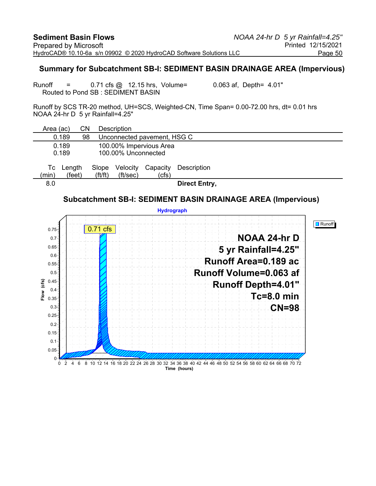#### **Summary for Subcatchment SB-I: SEDIMENT BASIN DRAINAGE AREA (Impervious)**

Runoff  $=$  0.71 cfs  $\omega$  12.15 hrs, Volume= 0.063 af, Depth= 4.01" Routed to Pond SB : SEDIMENT BASIN

Runoff by SCS TR-20 method, UH=SCS, Weighted-CN, Time Span= 0.00-72.00 hrs, dt= 0.01 hrs NOAA 24-hr D 5 yr Rainfall=4.25"

| Area (ac)   |                  | CΝ |                                | <b>Description</b>          |                         |                      |  |  |
|-------------|------------------|----|--------------------------------|-----------------------------|-------------------------|----------------------|--|--|
|             | 0.189            | 98 |                                | Unconnected pavement, HSG C |                         |                      |  |  |
|             | 0.189<br>0.189   |    |                                | 100.00% Unconnected         | 100.00% Impervious Area |                      |  |  |
| Tc<br>(min) | Length<br>(feet) |    | Slope<br>$({\rm ft}/{\rm ft})$ | Velocity<br>(ft/sec)        | Capacity<br>(cfs)       | Description          |  |  |
| 8.0         |                  |    |                                |                             |                         | <b>Direct Entry,</b> |  |  |

### **Subcatchment SB-I: SEDIMENT BASIN DRAINAGE AREA (Impervious)**

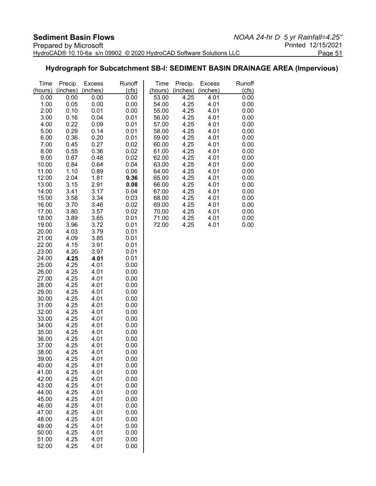### **Hydrograph for Subcatchment SB-I: SEDIMENT BASIN DRAINAGE AREA (Impervious)**

| Time           | Precip.      | <b>Excess</b> | Runoff       | Time           | Precip.      | <b>Excess</b> | Runoff       |
|----------------|--------------|---------------|--------------|----------------|--------------|---------------|--------------|
| (hours)        | (inches)     | (inches)      | (cts)        | (hours)        | (inches)     | (inches)      | (cfs)        |
| 0.00           | 0.00         | 0.00          | 0.00         | 53.00          | 4.25         | 4.01          | 0.00         |
| 1.00           | 0.05         | 0.00          | 0.00         | 54.00          | 4.25         | 4.01          | 0.00         |
| 2.00           | 0.10         | 0.01          | 0.00         | 55.00          | 4.25         | 4.01          | 0.00         |
| 3.00           | 0.16         | 0.04          | 0.01         | 56.00          | 4.25         | 4.01          | 0.00         |
| 4.00           | 0.22         | 0.09          | 0.01         | 57.00          | 4.25         | 4.01          | 0.00         |
| 5.00           | 0.29         | 0.14          | 0.01         | 58.00          | 4.25         | 4.01          | 0.00         |
| 6.00           | 0.36         | 0.20          | 0.01         | 59.00          | 4.25         | 4.01          | 0.00         |
| 7.00           | 0.45         | 0.27          | 0.02         | 60.00          | 4.25         | 4.01          | 0.00         |
| 8.00           | 0.55         | 0.36          | 0.02         | 61.00          | 4.25         | 4.01          | 0.00         |
| 9.00<br>10.00  | 0.67<br>0.84 | 0.48          | 0.02         | 62.00<br>63.00 | 4.25<br>4.25 | 4.01<br>4.01  | 0.00<br>0.00 |
| 11.00          | 1.10         | 0.64<br>0.89  | 0.04<br>0.06 | 64.00          | 4.25         | 4.01          | 0.00         |
| 12.00          | 2.04         | 1.81          | 0.36         | 65.00          | 4.25         | 4.01          | 0.00         |
| 13.00          | 3.15         | 2.91          | 0.08         | 66.00          | 4.25         | 4.01          | 0.00         |
| 14.00          | 3.41         | 3.17          | 0.04         | 67.00          | 4.25         | 4.01          | 0.00         |
| 15.00          | 3.58         | 3.34          | 0.03         | 68.00          | 4.25         | 4.01          | 0.00         |
| 16.00          | 3.70         | 3.46          | 0.02         | 69.00          | 4.25         | 4.01          | 0.00         |
| 17.00          | 3.80         | 3.57          | 0.02         | 70.00          | 4.25         | 4.01          | 0.00         |
| 18.00          | 3.89         | 3.65          | 0.01         | 71.00          | 4.25         | 4.01          | 0.00         |
| 19.00          | 3.96         | 3.72          | 0.01         | 72.00          | 4.25         | 4.01          | 0.00         |
| 20.00          | 4.03         | 3.79          | 0.01         |                |              |               |              |
| 21.00          | 4.09         | 3.85          | 0.01         |                |              |               |              |
| 22.00          | 4.15         | 3.91          | 0.01         |                |              |               |              |
| 23.00          | 4.20         | 3.97          | 0.01         |                |              |               |              |
| 24.00          | 4.25         | 4.01          | 0.01         |                |              |               |              |
| 25.00          | 4.25         | 4.01          | 0.00         |                |              |               |              |
| 26.00          | 4.25         | 4.01          | 0.00         |                |              |               |              |
| 27.00<br>28.00 | 4.25<br>4.25 | 4.01<br>4.01  | 0.00<br>0.00 |                |              |               |              |
| 29.00          | 4.25         | 4.01          | 0.00         |                |              |               |              |
| 30.00          | 4.25         | 4.01          | 0.00         |                |              |               |              |
| 31.00          | 4.25         | 4.01          | 0.00         |                |              |               |              |
| 32.00          | 4.25         | 4.01          | 0.00         |                |              |               |              |
| 33.00          | 4.25         | 4.01          | 0.00         |                |              |               |              |
| 34.00          | 4.25         | 4.01          | 0.00         |                |              |               |              |
| 35.00          | 4.25         | 4.01          | 0.00         |                |              |               |              |
| 36.00          | 4.25         | 4.01          | 0.00         |                |              |               |              |
| 37.00          | 4.25         | 4.01          | 0.00         |                |              |               |              |
| 38.00          | 4.25         | 4.01          | 0.00         |                |              |               |              |
| 39.00          | 4.25         | 4.01          | 0.00         |                |              |               |              |
| 40.00          | 4.25         | 4.01          | 0.00         |                |              |               |              |
| 41.00          | 4.25         | 4.01          | 0.00         |                |              |               |              |
| 42.00          | 4.25         | 4.01          | 0.00         |                |              |               |              |
| 43.00          | 4.25         | 4.01          | 0.00<br>0.00 |                |              |               |              |
| 44.00          | 4.25<br>4.25 | 4.01          |              |                |              |               |              |
| 45.00<br>46.00 | 4.25         | 4.01<br>4.01  | 0.00<br>0.00 |                |              |               |              |
| 47.00          | 4.25         | 4.01          | 0.00         |                |              |               |              |
| 48.00          | 4.25         | 4.01          | 0.00         |                |              |               |              |
| 49.00          | 4.25         | 4.01          | 0.00         |                |              |               |              |
| 50.00          | 4.25         | 4.01          | 0.00         |                |              |               |              |
| 51.00          | 4.25         | 4.01          | 0.00         |                |              |               |              |
| 52.00          | 4.25         | 4.01          | 0.00         |                |              |               |              |
|                |              |               |              |                |              |               |              |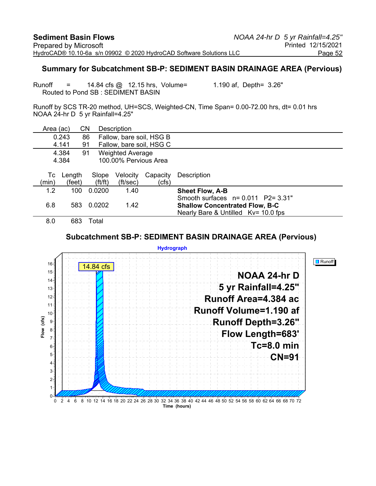#### **Summary for Subcatchment SB-P: SEDIMENT BASIN DRAINAGE AREA (Pervious)**

Runoff = 14.84 cfs @ 12.15 hrs, Volume= 1.190 af, Depth= 3.26" Routed to Pond SB : SEDIMENT BASIN

Runoff by SCS TR-20 method, UH=SCS, Weighted-CN, Time Span= 0.00-72.00 hrs, dt= 0.01 hrs NOAA 24-hr D 5 yr Rainfall=4.25"

| Area (ac)                              |                  | CΝ                             | Description              |                   |                                                                                                                     |  |
|----------------------------------------|------------------|--------------------------------|--------------------------|-------------------|---------------------------------------------------------------------------------------------------------------------|--|
|                                        | 0.243            | 86                             | Fallow, bare soil, HSG B |                   |                                                                                                                     |  |
|                                        | 4.141            | 91                             | Fallow, bare soil, HSG C |                   |                                                                                                                     |  |
| 4.384<br><b>Weighted Average</b><br>91 |                  |                                |                          |                   |                                                                                                                     |  |
|                                        | 4.384            |                                | 100.00% Pervious Area    |                   |                                                                                                                     |  |
| Тc<br>(min)                            | Length<br>(feet) | Slope<br>$({\rm ft}/{\rm ft})$ | Velocity<br>(ft/sec)     | Capacity<br>(cfs) | Description                                                                                                         |  |
| 1.2                                    | 100              | 0.0200                         | 1.40                     |                   | <b>Sheet Flow, A-B</b>                                                                                              |  |
| 6.8                                    | 583              | 0.0202                         | 1.42                     |                   | Smooth surfaces $n=0.011$ P2= 3.31"<br><b>Shallow Concentrated Flow, B-C</b><br>Nearly Bare & Untilled Kv= 10.0 fps |  |
| 8.0                                    | 683              | Total                          |                          |                   |                                                                                                                     |  |

#### **Subcatchment SB-P: SEDIMENT BASIN DRAINAGE AREA (Pervious)**

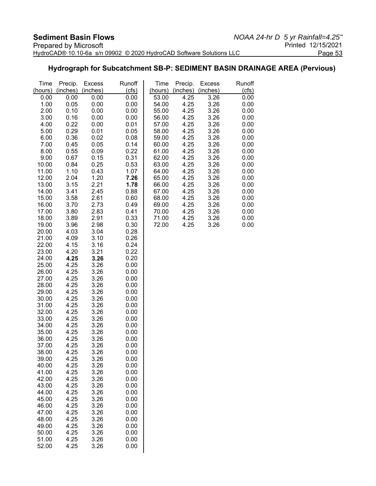### **Hydrograph for Subcatchment SB-P: SEDIMENT BASIN DRAINAGE AREA (Pervious)**

| Time           | Precip.      | <b>Excess</b> | Runoff       | Time           | Precip.      | <b>Excess</b> | Runoff       |
|----------------|--------------|---------------|--------------|----------------|--------------|---------------|--------------|
| (hours)        | (inches)     | (inches)      | (cfs)        | (hours)        | (inches)     | (inches)      | (cfs)        |
| 0.00           | 0.00         | 0.00          | 0.00         | 53.00          | 4.25         | 3.26          | 0.00         |
| 1.00           | 0.05         | 0.00          | 0.00         | 54.00          | 4.25         | 3.26          | 0.00         |
| 2.00           | 0.10         | 0.00          | 0.00         | 55.00          | 4.25         | 3.26          | 0.00         |
| 3.00           | 0.16         | 0.00          | 0.00         | 56.00          | 4.25         | 3.26          | 0.00         |
| 4.00           | 0.22         | 0.00          | 0.01         | 57.00          | 4.25         | 3.26          | 0.00         |
| 5.00           | 0.29         | 0.01          | 0.05         | 58.00          | 4.25         | 3.26          | 0.00         |
| 6.00           | 0.36         | 0.02          | 0.08         | 59.00          | 4.25         | 3.26          | 0.00         |
| 7.00           | 0.45         | 0.05          | 0.14         | 60.00          | 4.25         | 3.26          | 0.00         |
| 8.00           | 0.55         | 0.09          | 0.22         | 61.00          | 4.25         | 3.26          | 0.00         |
| 9.00<br>10.00  | 0.67<br>0.84 | 0.15<br>0.25  | 0.31<br>0.53 | 62.00<br>63.00 | 4.25<br>4.25 | 3.26<br>3.26  | 0.00<br>0.00 |
| 11.00          | 1.10         | 0.43          | 1.07         | 64.00          | 4.25         | 3.26          | 0.00         |
| 12.00          | 2.04         | 1.20          | 7.26         | 65.00          | 4.25         | 3.26          | 0.00         |
| 13.00          | 3.15         | 2.21          | 1.78         | 66.00          | 4.25         | 3.26          | 0.00         |
| 14.00          | 3.41         | 2.45          | 0.88         | 67.00          | 4.25         | 3.26          | 0.00         |
| 15.00          | 3.58         | 2.61          | 0.60         | 68.00          | 4.25         | 3.26          | 0.00         |
| 16.00          | 3.70         | 2.73          | 0.49         | 69.00          | 4.25         | 3.26          | 0.00         |
| 17.00          | 3.80         | 2.83          | 0.41         | 70.00          | 4.25         | 3.26          | 0.00         |
| 18.00          | 3.89         | 2.91          | 0.33         | 71.00          | 4.25         | 3.26          | 0.00         |
| 19.00          | 3.96         | 2.98          | 0.30         | 72.00          | 4.25         | 3.26          | 0.00         |
| 20.00          | 4.03         | 3.04          | 0.28         |                |              |               |              |
| 21.00          | 4.09         | 3.10          | 0.26         |                |              |               |              |
| 22.00          | 4.15         | 3.16          | 0.24         |                |              |               |              |
| 23.00          | 4.20         | 3.21          | 0.22         |                |              |               |              |
| 24.00          | 4.25         | 3.26          | 0.20         |                |              |               |              |
| 25.00          | 4.25         | 3.26          | 0.00         |                |              |               |              |
| 26.00          | 4.25         | 3.26          | 0.00         |                |              |               |              |
| 27.00          | 4.25         | 3.26          | 0.00         |                |              |               |              |
| 28.00          | 4.25         | 3.26          | 0.00         |                |              |               |              |
| 29.00          | 4.25         | 3.26          | 0.00         |                |              |               |              |
| 30.00          | 4.25         | 3.26          | 0.00         |                |              |               |              |
| 31.00<br>32.00 | 4.25<br>4.25 | 3.26<br>3.26  | 0.00<br>0.00 |                |              |               |              |
| 33.00          | 4.25         | 3.26          | 0.00         |                |              |               |              |
| 34.00          | 4.25         | 3.26          | 0.00         |                |              |               |              |
| 35.00          | 4.25         | 3.26          | 0.00         |                |              |               |              |
| 36.00          | 4.25         | 3.26          | 0.00         |                |              |               |              |
| 37.00          | 4.25         | 3.26          | 0.00         |                |              |               |              |
| 38.00          | 4.25         | 3.26          | 0.00         |                |              |               |              |
| 39.00          | 4.25         | 3.26          | 0.00         |                |              |               |              |
| 40.00          | 4.25         | 3.26          | 0.00         |                |              |               |              |
| 41.00          | 4.25         | 3.26          | 0.00         |                |              |               |              |
| 42.00          | 4.25         | 3.26          | 0.00         |                |              |               |              |
| 43.00          | 4.25         | 3.26          | 0.00         |                |              |               |              |
| 44.00          | 4.25         | 3.26          | 0.00         |                |              |               |              |
| 45.00          | 4.25         | 3.26          | 0.00         |                |              |               |              |
| 46.00          | 4.25         | 3.26          | 0.00         |                |              |               |              |
| 47.00          | 4.25         | 3.26          | 0.00         |                |              |               |              |
| 48.00          | 4.25         | 3.26          | 0.00         |                |              |               |              |
| 49.00<br>50.00 | 4.25<br>4.25 | 3.26<br>3.26  | 0.00<br>0.00 |                |              |               |              |
| 51.00          | 4.25         | 3.26          | 0.00         |                |              |               |              |
| 52.00          | 4.25         | 3.26          | 0.00         |                |              |               |              |
|                |              |               |              |                |              |               |              |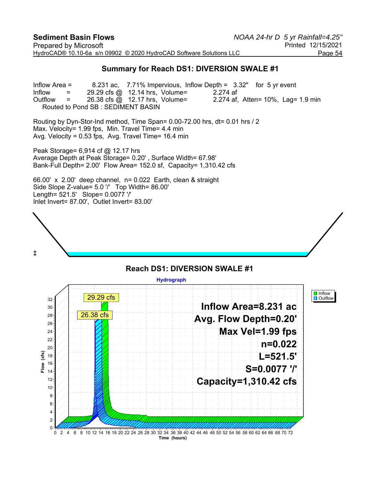#### **Summary for Reach DS1: DIVERSION SWALE #1**

Inflow Area = 8.231 ac, 7.71% Impervious, Inflow Depth = 3.32" for 5 yr event Inflow  $=$  29.29 cfs @ 12.14 hrs, Volume= 2.274 af Outflow  $=$  26.38 cfs  $\textcircled{a}$  12.17 hrs, Volume= 2.274 af, Atten= 10%, Lag= 1.9 min Routed to Pond SB : SEDIMENT BASIN

Routing by Dyn-Stor-Ind method, Time Span= 0.00-72.00 hrs, dt= 0.01 hrs / 2 Max. Velocity= 1.99 fps, Min. Travel Time= 4.4 min Avg. Velocity = 0.53 fps, Avg. Travel Time= 16.4 min

Peak Storage= 6,914 cf @ 12.17 hrs Average Depth at Peak Storage= 0.20' , Surface Width= 67.98' Bank-Full Depth= 2.00' Flow Area= 152.0 sf, Capacity= 1,310.42 cfs

66.00' x 2.00' deep channel, n= 0.022 Earth, clean & straight Side Slope Z-value= 5.0 '/' Top Width= 86.00' Length= 521.5' Slope= 0.0077 '/' Inlet Invert= 87.00', Outlet Invert= 83.00'



#### **Reach DS1: DIVERSION SWALE #1**

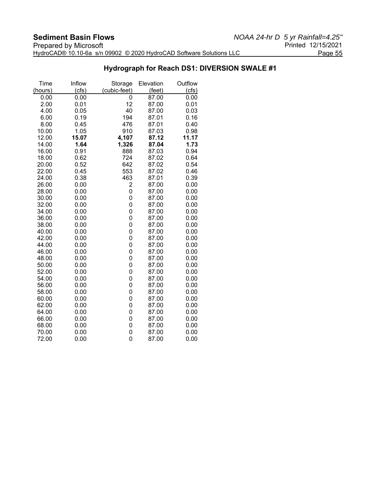### **Hydrograph for Reach DS1: DIVERSION SWALE #1**

| Time    | Inflow | Storage        | Elevation | Outflow |
|---------|--------|----------------|-----------|---------|
| (hours) | (cfs)  | (cubic-feet)   | (feet)    | (cts)   |
| 0.00    | 0.00   | 0              | 87.00     | 0.00    |
| 2.00    | 0.01   | 12             | 87.00     | 0.01    |
| 4.00    | 0.05   | 40             | 87.00     | 0.03    |
| 6.00    | 0.19   | 194            | 87.01     | 0.16    |
| 8.00    | 0.45   | 476            | 87.01     | 0.40    |
| 10.00   | 1.05   | 910            | 87.03     | 0.98    |
| 12.00   | 15.07  | 4,107          | 87.12     | 11.17   |
| 14.00   | 1.64   | 1,326          | 87.04     | 1.73    |
| 16.00   | 0.91   | 888            | 87.03     | 0.94    |
| 18.00   | 0.62   | 724            | 87.02     | 0.64    |
| 20.00   | 0.52   | 642            | 87.02     | 0.54    |
| 22.00   | 0.45   | 553            | 87.02     | 0.46    |
| 24.00   | 0.38   | 463            | 87.01     | 0.39    |
| 26.00   | 0.00   | 2              | 87.00     | 0.00    |
| 28.00   | 0.00   | 0              | 87.00     | 0.00    |
| 30.00   | 0.00   | 0              | 87.00     | 0.00    |
| 32.00   | 0.00   | 0              | 87.00     | 0.00    |
| 34.00   | 0.00   | 0              | 87.00     | 0.00    |
| 36.00   | 0.00   | 0              | 87.00     | 0.00    |
| 38.00   | 0.00   | $\overline{0}$ | 87.00     | 0.00    |
| 40.00   | 0.00   | 0              | 87.00     | 0.00    |
| 42.00   | 0.00   | 0              | 87.00     | 0.00    |
| 44.00   | 0.00   | $\overline{0}$ | 87.00     | 0.00    |
| 46.00   | 0.00   | 0              | 87.00     | 0.00    |
| 48.00   | 0.00   | 0              | 87.00     | 0.00    |
| 50.00   | 0.00   | 0              | 87.00     | 0.00    |
| 52.00   | 0.00   | 0              | 87.00     | 0.00    |
| 54.00   | 0.00   | 0              | 87.00     | 0.00    |
| 56.00   | 0.00   | 0              | 87.00     | 0.00    |
| 58.00   | 0.00   | 0              | 87.00     | 0.00    |
| 60.00   | 0.00   | 0              | 87.00     | 0.00    |
| 62.00   | 0.00   | 0              | 87.00     | 0.00    |
| 64.00   | 0.00   | 0              | 87.00     | 0.00    |
| 66.00   | 0.00   | 0              | 87.00     | 0.00    |
| 68.00   | 0.00   | 0              | 87.00     | 0.00    |
| 70.00   | 0.00   | 0              | 87.00     | 0.00    |
| 72.00   | 0.00   | 0              | 87.00     | 0.00    |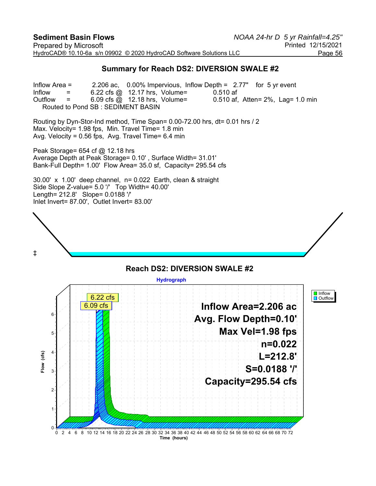#### **Summary for Reach DS2: DIVERSION SWALE #2**

Inflow Area = 2.206 ac, 0.00% Impervious, Inflow Depth = 2.77" for 5 yr event Inflow  $=$  6.22 cfs @ 12.17 hrs, Volume= 0.510 af Outflow  $=$  6.09 cfs  $\omega$  12.18 hrs, Volume= 0.510 af, Atten= 2%, Lag= 1.0 min Routed to Pond SB : SEDIMENT BASIN

Routing by Dyn-Stor-Ind method, Time Span= 0.00-72.00 hrs, dt= 0.01 hrs / 2 Max. Velocity= 1.98 fps, Min. Travel Time= 1.8 min Avg. Velocity =  $0.56$  fps, Avg. Travel Time=  $6.4$  min

Peak Storage= 654 cf @ 12.18 hrs Average Depth at Peak Storage= 0.10' , Surface Width= 31.01' Bank-Full Depth= 1.00' Flow Area= 35.0 sf, Capacity= 295.54 cfs

30.00' x 1.00' deep channel, n= 0.022 Earth, clean & straight Side Slope Z-value= 5.0 '/' Top Width= 40.00' Length= 212.8' Slope= 0.0188 '/' Inlet Invert= 87.00', Outlet Invert= 83.00'



#### **Reach DS2: DIVERSION SWALE #2 Hydrograph I** Inflow 6.22 cfs **D** Outflow **Inflow Area=2.206 ac** 6.09 cfs6 **Avg. Flow Depth=0.10' Max Vel=1.98 fps** 5 **n=0.022**  $(cfs)$ 4 **Flow (cfs) L=212.8'** Flow **S=0.0188 '/'** 3 **Capacity=295.54 cfs** 2 1  $\Omega$ 0 2 4 6 8 10 12 14 16 18 20 22 24 26 28 30 32 34 36 38 40 42 44 46 48 50 52 54 56 58 60 62 64 66 68 70 72 **Time (hours)**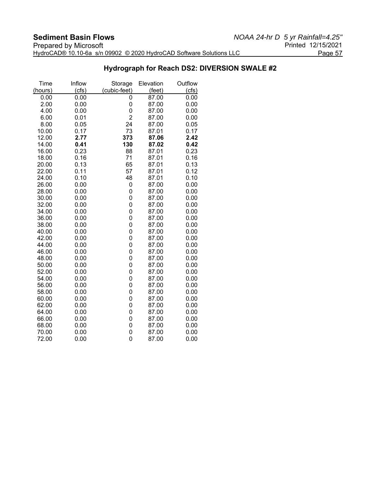### **Hydrograph for Reach DS2: DIVERSION SWALE #2**

| Time    | Inflow | Storage        | Elevation | Outflow |
|---------|--------|----------------|-----------|---------|
| (hours) | (cfs)  | (cubic-feet)   | (feet)    | (cts)   |
| 0.00    | 0.00   | 0              | 87.00     | 0.00    |
| 2.00    | 0.00   | 0              | 87.00     | 0.00    |
| 4.00    | 0.00   | 0              | 87.00     | 0.00    |
| 6.00    | 0.01   | $\overline{2}$ | 87.00     | 0.00    |
| 8.00    | 0.05   | 24             | 87.00     | 0.05    |
| 10.00   | 0.17   | 73             | 87.01     | 0.17    |
| 12.00   | 2.77   | 373            | 87.06     | 2.42    |
| 14.00   | 0.41   | 130            | 87.02     | 0.42    |
| 16.00   | 0.23   | 88             | 87.01     | 0.23    |
| 18.00   | 0.16   | 71             | 87.01     | 0.16    |
| 20.00   | 0.13   | 65             | 87.01     | 0.13    |
| 22.00   | 0.11   | 57             | 87.01     | 0.12    |
| 24.00   | 0.10   | 48             | 87.01     | 0.10    |
| 26.00   | 0.00   | 0              | 87.00     | 0.00    |
| 28.00   | 0.00   | 0              | 87.00     | 0.00    |
| 30.00   | 0.00   | 0              | 87.00     | 0.00    |
| 32.00   | 0.00   | 0              | 87.00     | 0.00    |
| 34.00   | 0.00   | 0              | 87.00     | 0.00    |
| 36.00   | 0.00   | 0              | 87.00     | 0.00    |
| 38.00   | 0.00   | 0              | 87.00     | 0.00    |
| 40.00   | 0.00   | 0              | 87.00     | 0.00    |
| 42.00   | 0.00   | 0              | 87.00     | 0.00    |
| 44.00   | 0.00   | 0              | 87.00     | 0.00    |
| 46.00   | 0.00   | 0              | 87.00     | 0.00    |
| 48.00   | 0.00   | 0              | 87.00     | 0.00    |
| 50.00   | 0.00   | 0              | 87.00     | 0.00    |
| 52.00   | 0.00   | 0              | 87.00     | 0.00    |
| 54.00   | 0.00   | 0              | 87.00     | 0.00    |
| 56.00   | 0.00   | 0              | 87.00     | 0.00    |
| 58.00   | 0.00   | 0              | 87.00     | 0.00    |
| 60.00   | 0.00   | 0              | 87.00     | 0.00    |
| 62.00   | 0.00   | 0              | 87.00     | 0.00    |
| 64.00   | 0.00   | 0              | 87.00     | 0.00    |
| 66.00   | 0.00   | 0              | 87.00     | 0.00    |
| 68.00   | 0.00   | 0              | 87.00     | 0.00    |
| 70.00   | 0.00   | 0              | 87.00     | 0.00    |
| 72.00   | 0.00   | 0              | 87.00     | 0.00    |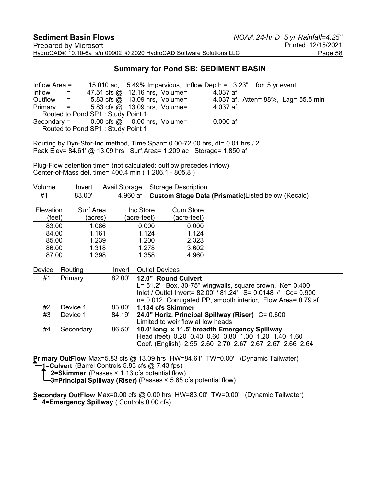#### **Summary for Pond SB: SEDIMENT BASIN**

Inflow Area = 15.010 ac, 5.49% Impervious, Inflow Depth = 3.23" for 5 yr event Inflow  $=$  47.51 cfs @ 12.16 hrs, Volume=  $4.037$  af Outflow = 5.83 cfs @ 13.09 hrs, Volume= 4.037 af, Atten= 88%, Lag= 55.5 min Primary = 5.83 cfs @ 13.09 hrs, Volume= 4.037 af Routed to Pond SP1 : Study Point 1 Secondary =  $0.00$  cfs  $\omega = 0.00$  hrs, Volume=  $0.000$  af Routed to Pond SP1 : Study Point 1

Routing by Dyn-Stor-Ind method, Time Span= 0.00-72.00 hrs, dt= 0.01 hrs / 2 Peak Elev= 84.61' @ 13.09 hrs Surf.Area= 1.209 ac Storage= 1.850 af

Plug-Flow detention time= (not calculated: outflow precedes inflow) Center-of-Mass det. time= 400.4 min ( 1,206.1 - 805.8 )

| Volume                     | Invert               | Avail.Storage |                          | <b>Storage Description</b>                                                                                                                                                                                                                                                                                                                                                        |
|----------------------------|----------------------|---------------|--------------------------|-----------------------------------------------------------------------------------------------------------------------------------------------------------------------------------------------------------------------------------------------------------------------------------------------------------------------------------------------------------------------------------|
| #1                         | 83.00'               | 4.960 af      |                          | Custom Stage Data (Prismatic)Listed below (Recalc)                                                                                                                                                                                                                                                                                                                                |
| <b>Elevation</b><br>(feet) | Surf.Area<br>(acres) |               | Inc.Store<br>(acre-feet) | Cum.Store<br>(acre-feet)                                                                                                                                                                                                                                                                                                                                                          |
| 83.00                      | 1.086                |               | 0.000                    | 0.000                                                                                                                                                                                                                                                                                                                                                                             |
| 84.00                      | 1.161                |               | 1.124                    | 1.124                                                                                                                                                                                                                                                                                                                                                                             |
| 85.00                      | 1.239                |               | 1.200                    | 2.323                                                                                                                                                                                                                                                                                                                                                                             |
| 86.00                      | 1.318                |               | 1.278                    | 3.602                                                                                                                                                                                                                                                                                                                                                                             |
| 87.00                      | 1.398                |               | 1.358                    | 4.960                                                                                                                                                                                                                                                                                                                                                                             |
| Device                     | Routing              | Invert        | <b>Outlet Devices</b>    |                                                                                                                                                                                                                                                                                                                                                                                   |
| #1                         | Primary              | 82.00'        |                          | 12.0" Round Culvert                                                                                                                                                                                                                                                                                                                                                               |
|                            |                      |               |                          | $L = 51.2'$ Box, 30-75° wingwalls, square crown, Ke= 0.400                                                                                                                                                                                                                                                                                                                        |
|                            |                      |               |                          | Inlet / Outlet Invert= 82.00' / 81.24' S= 0.0148 '/' Cc= 0.900<br>n= 0.012 Corrugated PP, smooth interior, Flow Area= 0.79 sf                                                                                                                                                                                                                                                     |
| #2                         | Device 1             | 83.00'        |                          | 1.134 cfs Skimmer                                                                                                                                                                                                                                                                                                                                                                 |
| #3                         |                      |               |                          |                                                                                                                                                                                                                                                                                                                                                                                   |
|                            | Device 1             | 84.19'        |                          | 24.0" Horiz. Principal Spillway (Riser) C= 0.600<br>Limited to weir flow at low heads                                                                                                                                                                                                                                                                                             |
| #4                         | Secondary            | 86.50'        |                          | 10.0' long x 11.5' breadth Emergency Spillway<br>Head (feet) 0.20 0.40 0.60 0.80 1.00 1.20 1.40 1.60<br>Coef. (English) 2.55 2.60 2.70 2.67 2.67 2.67 2.66 2.64                                                                                                                                                                                                                   |
|                            |                      | - ^^          |                          | $\bigcap$ $\bigcap$ $\bigcap$ $\bigcap$ $\bigcap$ $\bigcap$ $\bigcap$ $\bigcap$ $\bigcap$ $\bigcap$ $\bigcap$ $\bigcap$ $\bigcap$ $\bigcap$ $\bigcap$ $\bigcap$ $\bigcap$ $\bigcap$ $\bigcap$ $\bigcap$ $\bigcap$ $\bigcap$ $\bigcap$ $\bigcap$ $\bigcap$ $\bigcap$ $\bigcap$ $\bigcap$ $\bigcap$ $\bigcap$ $\bigcap$ $\bigcap$ $\bigcap$ $\bigcap$ $\bigcap$ $\bigcap$ $\bigcap$ |

**Primary OutFlow** Max=5.83 cfs @ 13.09 hrs HW=84.61' TW=0.00' (Dynamic Tailwater) **1=Culvert** (Barrel Controls 5.83 cfs @ 7.43 fps)

**2=Skimmer** (Passes < 1.13 cfs potential flow)

**3=Principal Spillway (Riser)** (Passes < 5.65 cfs potential flow)

**Secondary OutFlow** Max=0.00 cfs @ 0.00 hrs HW=83.00' TW=0.00' (Dynamic Tailwater) **4=Emergency Spillway** ( Controls 0.00 cfs)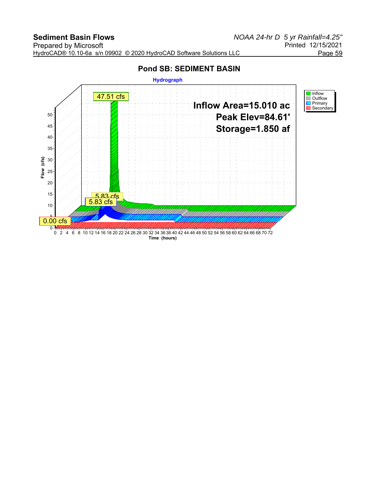# **Pond SB: SEDIMENT BASIN**

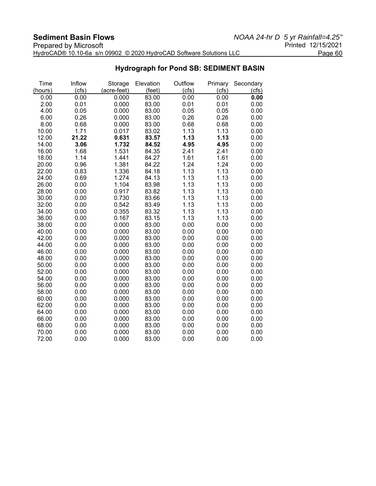| __________________________                                          |                    |
|---------------------------------------------------------------------|--------------------|
| Prepared by Microsoft                                               | Printed 12/15/2021 |
| HydroCAD® 10.10-6a s/n 09902 © 2020 HydroCAD Software Solutions LLC | Page 60            |

## **Hydrograph for Pond SB: SEDIMENT BASIN**

| Time    | Inflow | Storage     | Elevation | Outflow | Primary | Secondary |
|---------|--------|-------------|-----------|---------|---------|-----------|
| (hours) | (cfs)  | (acre-feet) | (feet)    | (cfs)   | (cfs)   | (cfs)     |
| 0.00    | 0.00   | 0.000       | 83.00     | 0.00    | 0.00    | 0.00      |
| 2.00    | 0.01   | 0.000       | 83.00     | 0.01    | 0.01    | 0.00      |
| 4.00    | 0.05   | 0.000       | 83.00     | 0.05    | 0.05    | 0.00      |
| 6.00    | 0.26   | 0.000       | 83.00     | 0.26    | 0.26    | 0.00      |
| 8.00    | 0.68   | 0.000       | 83.00     | 0.68    | 0.68    | 0.00      |
| 10.00   | 1.71   | 0.017       | 83.02     | 1.13    | 1.13    | 0.00      |
| 12.00   | 21.22  | 0.631       | 83.57     | 1.13    | 1.13    | 0.00      |
| 14.00   | 3.06   | 1.732       | 84.52     | 4.95    | 4.95    | 0.00      |
| 16.00   | 1.68   | 1.531       | 84.35     | 2.41    | 2.41    | 0.00      |
| 18.00   | 1.14   | 1.441       | 84.27     | 1.61    | 1.61    | 0.00      |
| 20.00   | 0.96   | 1.381       | 84.22     | 1.24    | 1.24    | 0.00      |
| 22.00   | 0.83   | 1.336       | 84.18     | 1.13    | 1.13    | 0.00      |
| 24.00   | 0.69   | 1.274       | 84.13     | 1.13    | 1.13    | 0.00      |
| 26.00   | 0.00   | 1.104       | 83.98     | 1.13    | 1.13    | 0.00      |
| 28.00   | 0.00   | 0.917       | 83.82     | 1.13    | 1.13    | 0.00      |
| 30.00   | 0.00   | 0.730       | 83.66     | 1.13    | 1.13    | 0.00      |
| 32.00   | 0.00   | 0.542       | 83.49     | 1.13    | 1.13    | 0.00      |
| 34.00   | 0.00   | 0.355       | 83.32     | 1.13    | 1.13    | 0.00      |
| 36.00   | 0.00   | 0.167       | 83.15     | 1.13    | 1.13    | 0.00      |
| 38.00   | 0.00   | 0.000       | 83.00     | 0.00    | 0.00    | 0.00      |
| 40.00   | 0.00   | 0.000       | 83.00     | 0.00    | 0.00    | 0.00      |
| 42.00   | 0.00   | 0.000       | 83.00     | 0.00    | 0.00    | 0.00      |
| 44.00   | 0.00   | 0.000       | 83.00     | 0.00    | 0.00    | 0.00      |
| 46.00   | 0.00   | 0.000       | 83.00     | 0.00    | 0.00    | 0.00      |
| 48.00   | 0.00   | 0.000       | 83.00     | 0.00    | 0.00    | 0.00      |
| 50.00   | 0.00   | 0.000       | 83.00     | 0.00    | 0.00    | 0.00      |
| 52.00   | 0.00   | 0.000       | 83.00     | 0.00    | 0.00    | 0.00      |
| 54.00   | 0.00   | 0.000       | 83.00     | 0.00    | 0.00    | 0.00      |
| 56.00   | 0.00   | 0.000       | 83.00     | 0.00    | 0.00    | 0.00      |
| 58.00   | 0.00   | 0.000       | 83.00     | 0.00    | 0.00    | 0.00      |
| 60.00   | 0.00   | 0.000       | 83.00     | 0.00    | 0.00    | 0.00      |
| 62.00   | 0.00   | 0.000       | 83.00     | 0.00    | 0.00    | 0.00      |
| 64.00   | 0.00   | 0.000       | 83.00     | 0.00    | 0.00    | 0.00      |
| 66.00   | 0.00   | 0.000       | 83.00     | 0.00    | 0.00    | 0.00      |
| 68.00   | 0.00   | 0.000       | 83.00     | 0.00    | 0.00    | 0.00      |
| 70.00   | 0.00   | 0.000       | 83.00     | 0.00    | 0.00    | 0.00      |
| 72.00   | 0.00   | 0.000       | 83.00     | 0.00    | 0.00    | 0.00      |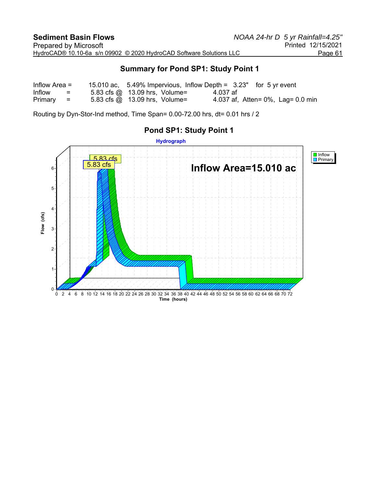### **Summary for Pond SP1: Study Point 1**

| Inflow Area $=$ |          | 15.010 ac, 5.49% Impervious, Inflow Depth = $3.23$ " for 5 yr event |          |                                   |
|-----------------|----------|---------------------------------------------------------------------|----------|-----------------------------------|
| Inflow          | $\equiv$ | 5.83 cfs $\omega$ 13.09 hrs, Volume=                                | 4.037 af |                                   |
| $Primary =$     |          | 5.83 cfs $\omega$ 13.09 hrs, Volume=                                |          | 4.037 af, Atten= 0%, Lag= 0.0 min |

Routing by Dyn-Stor-Ind method, Time Span= 0.00-72.00 hrs, dt= 0.01 hrs / 2

## **Pond SP1: Study Point 1**

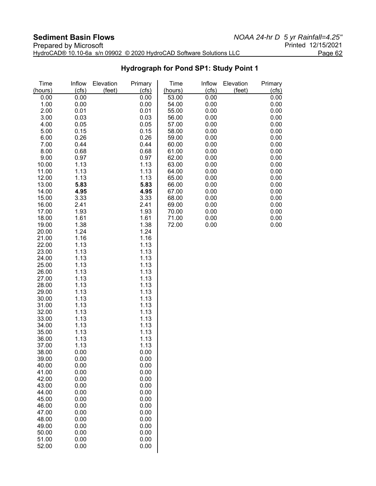| _________________________ |                                                                     |                    |
|---------------------------|---------------------------------------------------------------------|--------------------|
| Prepared by Microsoft     |                                                                     | Printed 12/15/2021 |
|                           | HydroCAD® 10.10-6a s/n 09902 © 2020 HydroCAD Software Solutions LLC | Page 62            |

# **Hydrograph for Pond SP1: Study Point 1**

| Time<br>(hours) | Inflow<br>(cfs) | Elevation<br>(feet) | Primary<br>(cts) | Time<br>(hours) | Inflow<br>(cfs) | Elevation<br>(feet) | Primary<br>(cfs) |
|-----------------|-----------------|---------------------|------------------|-----------------|-----------------|---------------------|------------------|
|                 |                 |                     |                  |                 |                 |                     |                  |
| 0.00            | 0.00            |                     | 0.00             | 53.00           | 0.00            |                     | 0.00             |
| 1.00            | 0.00<br>0.01    |                     | 0.00             | 54.00           | 0.00            |                     | 0.00             |
| 2.00            |                 |                     | 0.01             | 55.00           | 0.00            |                     | 0.00             |
| 3.00            | 0.03            |                     | 0.03             | 56.00           | 0.00<br>0.00    |                     | 0.00             |
| 4.00            | 0.05            |                     | 0.05             | 57.00           |                 |                     | 0.00             |
| 5.00            | 0.15<br>0.26    |                     | 0.15             | 58.00           | 0.00            |                     | 0.00             |
| 6.00<br>7.00    | 0.44            |                     | 0.26<br>0.44     | 59.00<br>60.00  | 0.00            |                     | 0.00<br>0.00     |
| 8.00            | 0.68            |                     | 0.68             | 61.00           | 0.00<br>0.00    |                     | 0.00             |
| 9.00            | 0.97            |                     | 0.97             | 62.00           | 0.00            |                     | 0.00             |
| 10.00           | 1.13            |                     | 1.13             | 63.00           | 0.00            |                     | 0.00             |
| 11.00           | 1.13            |                     | 1.13             | 64.00           | 0.00            |                     | 0.00             |
| 12.00           | 1.13            |                     | 1.13             | 65.00           | 0.00            |                     | 0.00             |
| 13.00           | 5.83            |                     | 5.83             | 66.00           | 0.00            |                     | 0.00             |
| 14.00           | 4.95            |                     | 4.95             | 67.00           | 0.00            |                     | 0.00             |
| 15.00           | 3.33            |                     | 3.33             | 68.00           | 0.00            |                     | 0.00             |
| 16.00           | 2.41            |                     | 2.41             | 69.00           | 0.00            |                     | 0.00             |
| 17.00           | 1.93            |                     | 1.93             | 70.00           | 0.00            |                     | 0.00             |
| 18.00           | 1.61            |                     | 1.61             | 71.00           | 0.00            |                     | 0.00             |
| 19.00           | 1.38            |                     | 1.38             | 72.00           | 0.00            |                     | 0.00             |
| 20.00           | 1.24            |                     | 1.24             |                 |                 |                     |                  |
| 21.00           | 1.16            |                     | 1.16             |                 |                 |                     |                  |
| 22.00           | 1.13            |                     | 1.13             |                 |                 |                     |                  |
| 23.00           | 1.13            |                     | 1.13             |                 |                 |                     |                  |
| 24.00           | 1.13            |                     | 1.13             |                 |                 |                     |                  |
| 25.00           | 1.13            |                     | 1.13             |                 |                 |                     |                  |
| 26.00           | 1.13            |                     | 1.13             |                 |                 |                     |                  |
| 27.00           | 1.13            |                     | 1.13             |                 |                 |                     |                  |
| 28.00           | 1.13            |                     | 1.13             |                 |                 |                     |                  |
| 29.00           | 1.13            |                     | 1.13             |                 |                 |                     |                  |
| 30.00           | 1.13            |                     | 1.13             |                 |                 |                     |                  |
| 31.00           | 1.13            |                     | 1.13             |                 |                 |                     |                  |
| 32.00           | 1.13            |                     | 1.13             |                 |                 |                     |                  |
| 33.00           | 1.13            |                     | 1.13             |                 |                 |                     |                  |
| 34.00           | 1.13            |                     | 1.13             |                 |                 |                     |                  |
| 35.00           | 1.13            |                     | 1.13             |                 |                 |                     |                  |
| 36.00           | 1.13            |                     | 1.13             |                 |                 |                     |                  |
| 37.00<br>38.00  | 1.13<br>0.00    |                     | 1.13             |                 |                 |                     |                  |
| 39.00           | 0.00            |                     | 0.00<br>0.00     |                 |                 |                     |                  |
| 40.00           | 0.00            |                     | 0.00             |                 |                 |                     |                  |
| 41.00           | 0.00            |                     | 0.00             |                 |                 |                     |                  |
| 42.00           | 0.00            |                     | 0.00             |                 |                 |                     |                  |
| 43.00           | 0.00            |                     | 0.00             |                 |                 |                     |                  |
| 44.00           | 0.00            |                     | 0.00             |                 |                 |                     |                  |
| 45.00           | 0.00            |                     | 0.00             |                 |                 |                     |                  |
| 46.00           | 0.00            |                     | 0.00             |                 |                 |                     |                  |
| 47.00           | 0.00            |                     | 0.00             |                 |                 |                     |                  |
| 48.00           | 0.00            |                     | 0.00             |                 |                 |                     |                  |
| 49.00           | 0.00            |                     | 0.00             |                 |                 |                     |                  |
| 50.00           | 0.00            |                     | 0.00             |                 |                 |                     |                  |
| 51.00           | 0.00            |                     | 0.00             |                 |                 |                     |                  |
| 52.00           | 0.00            |                     | 0.00             |                 |                 |                     |                  |
|                 |                 |                     |                  |                 |                 |                     |                  |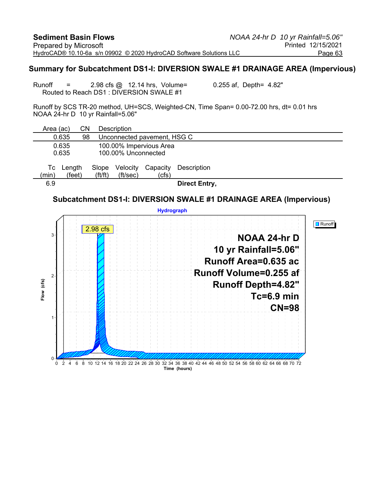#### **Summary for Subcatchment DS1-I: DIVERSION SWALE #1 DRAINAGE AREA (Impervious)**

Runoff  $=$  2.98 cfs  $\omega$  12.14 hrs, Volume= 0.255 af, Depth= 4.82" Routed to Reach DS1 : DIVERSION SWALE #1

Runoff by SCS TR-20 method, UH=SCS, Weighted-CN, Time Span= 0.00-72.00 hrs, dt= 0.01 hrs NOAA 24-hr D 10 yr Rainfall=5.06"

| Area (ac)   |                                                                  | CΝ |                                | Description          |                             |                      |
|-------------|------------------------------------------------------------------|----|--------------------------------|----------------------|-----------------------------|----------------------|
|             | 0.635                                                            | 98 |                                |                      | Unconnected pavement, HSG C |                      |
|             | 100.00% Impervious Area<br>0.635<br>100.00% Unconnected<br>0.635 |    |                                |                      |                             |                      |
| Tc<br>(min) | Length<br>(feet)                                                 |    | Slope<br>$({\rm ft}/{\rm ft})$ | Velocity<br>(ft/sec) | Capacity<br>(cfs)           | Description          |
| 6.9         |                                                                  |    |                                |                      |                             | <b>Direct Entry,</b> |

### **Subcatchment DS1-I: DIVERSION SWALE #1 DRAINAGE AREA (Impervious)**

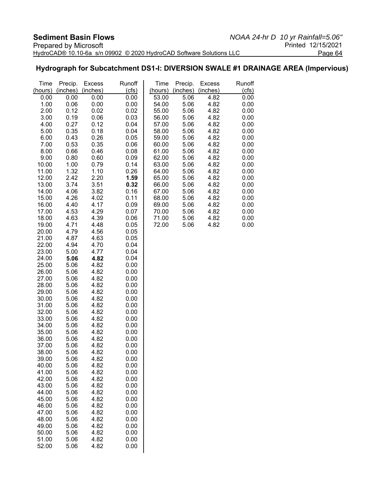### **Hydrograph for Subcatchment DS1-I: DIVERSION SWALE #1 DRAINAGE AREA (Impervious)**

| Time           | Precip.      | <b>Excess</b> | Runoff       | Time           | Precip.      | <b>Excess</b> | Runoff       |
|----------------|--------------|---------------|--------------|----------------|--------------|---------------|--------------|
| (hours)        | (inches)     | (inches)      | (cts)        | (hours)        | (inches)     | (inches)      | (cfs)        |
| 0.00           | 0.00         | 0.00          | 0.00         | 53.00          | 5.06         | 4.82          | 0.00         |
| 1.00<br>2.00   | 0.06<br>0.12 | 0.00<br>0.02  | 0.00<br>0.02 | 54.00          | 5.06         | 4.82<br>4.82  | 0.00         |
| 3.00           | 0.19         | 0.06          | 0.03         | 55.00<br>56.00 | 5.06<br>5.06 | 4.82          | 0.00<br>0.00 |
| 4.00           | 0.27         | 0.12          | 0.04         | 57.00          | 5.06         | 4.82          | 0.00         |
| 5.00           | 0.35         | 0.18          | 0.04         | 58.00          | 5.06         | 4.82          | 0.00         |
| 6.00           | 0.43         | 0.26          | 0.05         | 59.00          | 5.06         | 4.82          | 0.00         |
| 7.00           | 0.53         | 0.35          | 0.06         | 60.00          | 5.06         | 4.82          | 0.00         |
| 8.00           | 0.66         | 0.46          | 0.08         | 61.00          | 5.06         | 4.82          | 0.00         |
| 9.00           | 0.80         | 0.60          | 0.09         | 62.00          | 5.06         | 4.82          | 0.00         |
| 10.00          | 1.00         | 0.79          | 0.14         | 63.00          | 5.06         | 4.82          | 0.00         |
| 11.00          | 1.32         | 1.10          | 0.26         | 64.00          | 5.06         | 4.82          | 0.00         |
| 12.00          | 2.42         | 2.20          | 1.59         | 65.00          | 5.06         | 4.82          | 0.00         |
| 13.00          | 3.74         | 3.51          | 0.32         | 66.00          | 5.06         | 4.82          | 0.00         |
| 14.00          | 4.06         | 3.82          | 0.16         | 67.00          | 5.06         | 4.82          | 0.00         |
| 15.00<br>16.00 | 4.26         | 4.02          | 0.11         | 68.00          | 5.06<br>5.06 | 4.82          | 0.00         |
| 17.00          | 4.40<br>4.53 | 4.17<br>4.29  | 0.09<br>0.07 | 69.00<br>70.00 | 5.06         | 4.82<br>4.82  | 0.00<br>0.00 |
| 18.00          | 4.63         | 4.39          | 0.06         | 71.00          | 5.06         | 4.82          | 0.00         |
| 19.00          | 4.71         | 4.48          | 0.05         | 72.00          | 5.06         | 4.82          | 0.00         |
| 20.00          | 4.79         | 4.56          | 0.05         |                |              |               |              |
| 21.00          | 4.87         | 4.63          | 0.05         |                |              |               |              |
| 22.00          | 4.94         | 4.70          | 0.04         |                |              |               |              |
| 23.00          | 5.00         | 4.77          | 0.04         |                |              |               |              |
| 24.00          | 5.06         | 4.82          | 0.04         |                |              |               |              |
| 25.00          | 5.06         | 4.82          | 0.00         |                |              |               |              |
| 26.00          | 5.06         | 4.82          | 0.00         |                |              |               |              |
| 27.00<br>28.00 | 5.06<br>5.06 | 4.82<br>4.82  | 0.00<br>0.00 |                |              |               |              |
| 29.00          | 5.06         | 4.82          | 0.00         |                |              |               |              |
| 30.00          | 5.06         | 4.82          | 0.00         |                |              |               |              |
| 31.00          | 5.06         | 4.82          | 0.00         |                |              |               |              |
| 32.00          | 5.06         | 4.82          | 0.00         |                |              |               |              |
| 33.00          | 5.06         | 4.82          | 0.00         |                |              |               |              |
| 34.00          | 5.06         | 4.82          | 0.00         |                |              |               |              |
| 35.00          | 5.06         | 4.82          | 0.00         |                |              |               |              |
| 36.00          | 5.06         | 4.82          | 0.00         |                |              |               |              |
| 37.00          | 5.06         | 4.82          | 0.00         |                |              |               |              |
| 38.00          | 5.06         | 4.82          | 0.00         |                |              |               |              |
| 39.00<br>40.00 | 5.06<br>5.06 | 4.82<br>4.82  | 0.00<br>0.00 |                |              |               |              |
| 41.00          | 5.06         | 4.82          | 0.00         |                |              |               |              |
| 42.00          | 5.06         | 4.82          | 0.00         |                |              |               |              |
| 43.00          | 5.06         | 4.82          | 0.00         |                |              |               |              |
| 44.00          | 5.06         | 4.82          | 0.00         |                |              |               |              |
| 45.00          | 5.06         | 4.82          | 0.00         |                |              |               |              |
| 46.00          | 5.06         | 4.82          | 0.00         |                |              |               |              |
| 47.00          | 5.06         | 4.82          | 0.00         |                |              |               |              |
| 48.00          | 5.06         | 4.82          | 0.00         |                |              |               |              |
| 49.00          | 5.06         | 4.82          | 0.00         |                |              |               |              |
| 50.00<br>51.00 | 5.06<br>5.06 | 4.82<br>4.82  | 0.00<br>0.00 |                |              |               |              |
| 52.00          | 5.06         | 4.82          | 0.00         |                |              |               |              |
|                |              |               |              |                |              |               |              |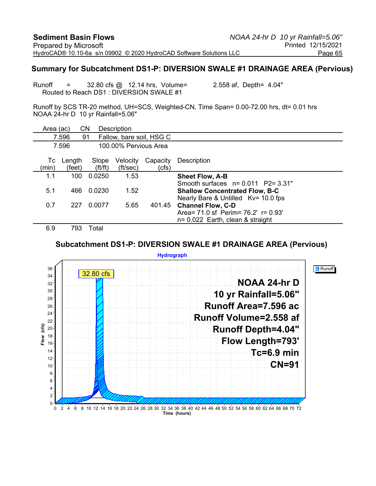#### **Summary for Subcatchment DS1-P: DIVERSION SWALE #1 DRAINAGE AREA (Pervious)**

Runoff  $=$  32.80 cfs  $\omega$  12.14 hrs, Volume= 2.558 af, Depth= 4.04" Routed to Reach DS1 : DIVERSION SWALE #1

Runoff by SCS TR-20 method, UH=SCS, Weighted-CN, Time Span= 0.00-72.00 hrs, dt= 0.01 hrs NOAA 24-hr D 10 yr Rainfall=5.06"

| Area (ac)     |                          | CΝ              | Description           |                          |                                                                 |
|---------------|--------------------------|-----------------|-----------------------|--------------------------|-----------------------------------------------------------------|
|               | 7.596                    | 91              |                       | Fallow, bare soil, HSG C |                                                                 |
|               | 7.596                    |                 | 100,00% Pervious Area |                          |                                                                 |
| Тc<br>(min)   | Length<br>(feet)         | Slope<br>ft/ft) | Velocity<br>(ft/sec)  | Capacity<br>(cfs)        | Description                                                     |
| 1.1           | 100                      | 0.0250          | 1.53                  |                          | <b>Sheet Flow, A-B</b>                                          |
|               |                          |                 |                       |                          | Smooth surfaces $n = 0.011$ P2= 3.31"                           |
| 5.1           | 466                      | 0.0230          | 1.52                  |                          | <b>Shallow Concentrated Flow, B-C</b>                           |
| 0.7           | 227                      | 0.0077          | 5.65                  | 401.45                   | Nearly Bare & Untilled Kv= 10.0 fps<br><b>Channel Flow, C-D</b> |
|               |                          |                 |                       |                          | Area = $71.0$ sf Perim = $76.2$ ' r = $0.93$ '                  |
|               |                          |                 |                       |                          | $n = 0.022$ Earth, clean & straight                             |
| $\sim$ $\sim$ | $\overline{\phantom{a}}$ | <b>T.L.I</b>    |                       |                          |                                                                 |

6.9 793 Total

#### **Subcatchment DS1-P: DIVERSION SWALE #1 DRAINAGE AREA (Pervious)**

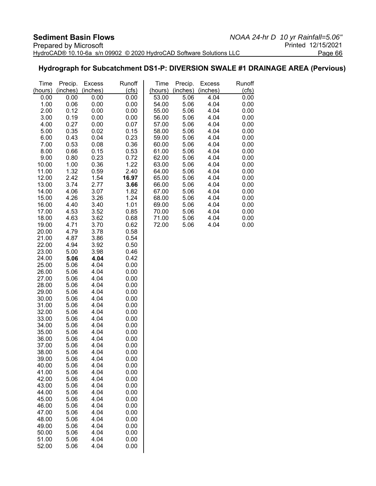#### **Hydrograph for Subcatchment DS1-P: DIVERSION SWALE #1 DRAINAGE AREA (Pervious)**

| Time           | Precip.      | <b>Excess</b> | Runoff       | Time           | Precip.      | <b>Excess</b> | Runoff       |
|----------------|--------------|---------------|--------------|----------------|--------------|---------------|--------------|
| (hours)        | (inches)     | (inches)      | (cts)        | (hours)        | (inches)     | (inches)      | (cts)        |
| 0.00           | 0.00         | 0.00          | 0.00         | 53.00          | 5.06         | 4.04          | 0.00         |
| 1.00           | 0.06         | 0.00          | 0.00         | 54.00          | 5.06         | 4.04          | 0.00         |
| 2.00           | 0.12         | 0.00          | 0.00         | 55.00          | 5.06         | 4.04          | 0.00         |
| 3.00           | 0.19         | 0.00          | 0.00         | 56.00          | 5.06         | 4.04          | 0.00         |
| 4.00           | 0.27         | 0.00          | 0.07         | 57.00          | 5.06         | 4.04          | 0.00         |
| 5.00           | 0.35         | 0.02          | 0.15         | 58.00          | 5.06         | 4.04          | 0.00         |
| 6.00           | 0.43         | 0.04          | 0.23         | 59.00          | 5.06         | 4.04          | 0.00         |
| 7.00           | 0.53         | 0.08          | 0.36         | 60.00          | 5.06         | 4.04          | 0.00         |
| 8.00           | 0.66         | 0.15          | 0.53         | 61.00          | 5.06         | 4.04<br>4.04  | 0.00         |
| 9.00<br>10.00  | 0.80<br>1.00 | 0.23<br>0.36  | 0.72<br>1.22 | 62.00<br>63.00 | 5.06<br>5.06 | 4.04          | 0.00<br>0.00 |
| 11.00          | 1.32         | 0.59          | 2.40         | 64.00          | 5.06         | 4.04          | 0.00         |
| 12.00          | 2.42         | 1.54          | 16.97        | 65.00          | 5.06         | 4.04          | 0.00         |
| 13.00          | 3.74         | 2.77          | 3.66         | 66.00          | 5.06         | 4.04          | 0.00         |
| 14.00          | 4.06         | 3.07          | 1.82         | 67.00          | 5.06         | 4.04          | 0.00         |
| 15.00          | 4.26         | 3.26          | 1.24         | 68.00          | 5.06         | 4.04          | 0.00         |
| 16.00          | 4.40         | 3.40          | 1.01         | 69.00          | 5.06         | 4.04          | 0.00         |
| 17.00          | 4.53         | 3.52          | 0.85         | 70.00          | 5.06         | 4.04          | 0.00         |
| 18.00          | 4.63         | 3.62          | 0.68         | 71.00          | 5.06         | 4.04          | 0.00         |
| 19.00          | 4.71         | 3.70          | 0.62         | 72.00          | 5.06         | 4.04          | 0.00         |
| 20.00          | 4.79         | 3.78          | 0.58         |                |              |               |              |
| 21.00          | 4.87         | 3.86          | 0.54         |                |              |               |              |
| 22.00          | 4.94         | 3.92          | 0.50         |                |              |               |              |
| 23.00          | 5.00         | 3.98          | 0.46         |                |              |               |              |
| 24.00          | 5.06         | 4.04          | 0.42         |                |              |               |              |
| 25.00          | 5.06         | 4.04<br>4.04  | 0.00         |                |              |               |              |
| 26.00<br>27.00 | 5.06<br>5.06 | 4.04          | 0.00<br>0.00 |                |              |               |              |
| 28.00          | 5.06         | 4.04          | 0.00         |                |              |               |              |
| 29.00          | 5.06         | 4.04          | 0.00         |                |              |               |              |
| 30.00          | 5.06         | 4.04          | 0.00         |                |              |               |              |
| 31.00          | 5.06         | 4.04          | 0.00         |                |              |               |              |
| 32.00          | 5.06         | 4.04          | 0.00         |                |              |               |              |
| 33.00          | 5.06         | 4.04          | 0.00         |                |              |               |              |
| 34.00          | 5.06         | 4.04          | 0.00         |                |              |               |              |
| 35.00          | 5.06         | 4.04          | 0.00         |                |              |               |              |
| 36.00          | 5.06         | 4.04          | 0.00         |                |              |               |              |
| 37.00          | 5.06         | 4.04          | 0.00         |                |              |               |              |
| 38.00          | 5.06         | 4.04          | 0.00         |                |              |               |              |
| 39.00          | 5.06         | 4.04          | 0.00         |                |              |               |              |
| 40.00          | 5.06         | 4.04          | 0.00         |                |              |               |              |
| 41.00          | 5.06         | 4.04          | 0.00         |                |              |               |              |
| 42.00          | 5.06         | 4.04<br>4.04  | 0.00<br>0.00 |                |              |               |              |
| 43.00<br>44.00 | 5.06<br>5.06 | 4.04          | 0.00         |                |              |               |              |
| 45.00          | 5.06         | 4.04          | 0.00         |                |              |               |              |
| 46.00          | 5.06         | 4.04          | 0.00         |                |              |               |              |
| 47.00          | 5.06         | 4.04          | 0.00         |                |              |               |              |
| 48.00          | 5.06         | 4.04          | 0.00         |                |              |               |              |
| 49.00          | 5.06         | 4.04          | 0.00         |                |              |               |              |
| 50.00          | 5.06         | 4.04          | 0.00         |                |              |               |              |
| 51.00          | 5.06         | 4.04          | 0.00         |                |              |               |              |
| 52.00          | 5.06         | 4.04          | 0.00         |                |              |               |              |
|                |              |               |              |                |              |               |              |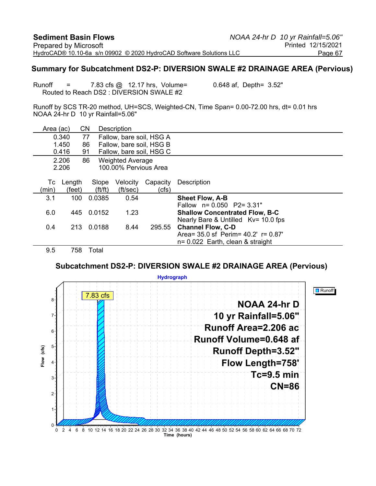#### **Summary for Subcatchment DS2-P: DIVERSION SWALE #2 DRAINAGE AREA (Pervious)**

Runoff = 7.83 cfs @ 12.17 hrs, Volume= 0.648 af, Depth= 3.52" Routed to Reach DS2 : DIVERSION SWALE #2

Runoff by SCS TR-20 method, UH=SCS, Weighted-CN, Time Span= 0.00-72.00 hrs, dt= 0.01 hrs NOAA 24-hr D 10 yr Rainfall=5.06"

| Area (ac) |        | <b>CN</b>             | <b>Description</b>       |          |                                                                       |
|-----------|--------|-----------------------|--------------------------|----------|-----------------------------------------------------------------------|
|           | 0.340  | 77                    | Fallow, bare soil, HSG A |          |                                                                       |
|           | 1.450  | 86                    | Fallow, bare soil, HSG B |          |                                                                       |
|           | 0.416  | 91                    | Fallow, bare soil, HSG C |          |                                                                       |
|           | 2.206  | 86                    | <b>Weighted Average</b>  |          |                                                                       |
|           | 2.206  |                       | 100.00% Pervious Area    |          |                                                                       |
| Тc        | Length | Slope                 | Velocity                 | Capacity | Description                                                           |
| (min)     | (feet) | $({\rm ft}/{\rm ft})$ | (ft/sec)                 | (cfs)    |                                                                       |
| 3.1       | 100    | 0.0385                | 0.54                     |          | <b>Sheet Flow, A-B</b>                                                |
| 6.0       | 445    | 0.0152                | 1.23                     |          | Fallow $n = 0.050$ P2= 3.31"<br><b>Shallow Concentrated Flow, B-C</b> |
|           |        |                       |                          |          | Nearly Bare & Untilled Kv= 10.0 fps                                   |
| 0.4       | 213    | 0.0188                | 8.44                     | 295.55   | <b>Channel Flow, C-D</b>                                              |
|           |        |                       |                          |          | Area = $35.0$ sf Perim = $40.2'$ r = $0.87'$                          |
|           |        |                       |                          |          | $n = 0.022$ Earth, clean & straight                                   |
| 9.5       | 758    | Total                 |                          |          |                                                                       |

**Subcatchment DS2-P: DIVERSION SWALE #2 DRAINAGE AREA (Pervious)**

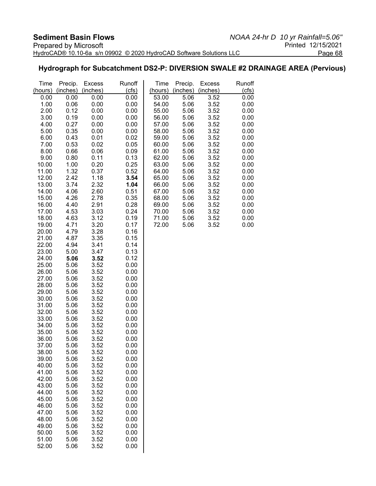#### **Hydrograph for Subcatchment DS2-P: DIVERSION SWALE #2 DRAINAGE AREA (Pervious)**

| Time<br>(hours) | Precip.<br>(inches) | <b>Excess</b><br>(inches) | Runoff<br>(cls) | Time<br>(hours) | Precip.<br>(inches) | <b>Excess</b><br>(inches) | Runoff<br>(cfs) |
|-----------------|---------------------|---------------------------|-----------------|-----------------|---------------------|---------------------------|-----------------|
| 0.00            | 0.00                | 0.00                      | 0.00            | 53.00           | 5.06                | 3.52                      | 0.00            |
| 1.00            | 0.06                | 0.00                      | 0.00            | 54.00           | 5.06                | 3.52                      | 0.00            |
| 2.00            | 0.12                | 0.00                      | 0.00            | 55.00           | 5.06                | 3.52                      | 0.00            |
| 3.00            | 0.19                | 0.00                      | 0.00            | 56.00           | 5.06                | 3.52                      | 0.00            |
|                 |                     |                           |                 |                 |                     |                           |                 |
| 4.00            | 0.27                | 0.00                      | 0.00            | 57.00           | 5.06                | 3.52                      | 0.00            |
| 5.00            | 0.35                | 0.00                      | 0.00            | 58.00           | 5.06                | 3.52                      | 0.00            |
| 6.00            | 0.43                | 0.01                      | 0.02            | 59.00           | 5.06                | 3.52                      | 0.00            |
| 7.00            | 0.53                | 0.02                      | 0.05            | 60.00           | 5.06                | 3.52                      | 0.00            |
| 8.00<br>9.00    | 0.66<br>0.80        | 0.06<br>0.11              | 0.09<br>0.13    | 61.00<br>62.00  | 5.06<br>5.06        | 3.52<br>3.52              | 0.00<br>0.00    |
| 10.00           | 1.00                | 0.20                      | 0.25            | 63.00           | 5.06                | 3.52                      | 0.00            |
| 11.00           | 1.32                | 0.37                      | 0.52            | 64.00           | 5.06                | 3.52                      | 0.00            |
| 12.00           | 2.42                | 1.18                      | 3.54            | 65.00           | 5.06                | 3.52                      | 0.00            |
| 13.00           | 3.74                | 2.32                      | 1.04            | 66.00           | 5.06                | 3.52                      | 0.00            |
| 14.00           | 4.06                | 2.60                      | 0.51            | 67.00           | 5.06                | 3.52                      | 0.00            |
| 15.00           | 4.26                | 2.78                      | 0.35            | 68.00           | 5.06                | 3.52                      | 0.00            |
| 16.00           | 4.40                | 2.91                      | 0.28            | 69.00           | 5.06                | 3.52                      | 0.00            |
| 17.00           | 4.53                | 3.03                      | 0.24            | 70.00           | 5.06                | 3.52                      | 0.00            |
| 18.00           | 4.63                | 3.12                      | 0.19            | 71.00           | 5.06                | 3.52                      | 0.00            |
| 19.00           | 4.71                | 3.20                      | 0.17            | 72.00           | 5.06                | 3.52                      | 0.00            |
| 20.00           | 4.79                | 3.28                      | 0.16            |                 |                     |                           |                 |
| 21.00           | 4.87                | 3.35                      | 0.15            |                 |                     |                           |                 |
| 22.00           | 4.94                | 3.41                      | 0.14            |                 |                     |                           |                 |
| 23.00           | 5.00                | 3.47                      | 0.13            |                 |                     |                           |                 |
| 24.00           | 5.06                | 3.52                      | 0.12            |                 |                     |                           |                 |
| 25.00           | 5.06                | 3.52                      | 0.00            |                 |                     |                           |                 |
| 26.00           | 5.06                | 3.52                      | 0.00            |                 |                     |                           |                 |
| 27.00           | 5.06                | 3.52                      | 0.00            |                 |                     |                           |                 |
| 28.00           | 5.06                | 3.52                      | 0.00            |                 |                     |                           |                 |
| 29.00           | 5.06                | 3.52                      | 0.00            |                 |                     |                           |                 |
| 30.00           | 5.06                | 3.52                      | 0.00            |                 |                     |                           |                 |
| 31.00           | 5.06                | 3.52                      | 0.00            |                 |                     |                           |                 |
| 32.00           | 5.06                | 3.52                      | 0.00            |                 |                     |                           |                 |
| 33.00           | 5.06                | 3.52                      | 0.00            |                 |                     |                           |                 |
| 34.00           | 5.06                | 3.52                      | 0.00            |                 |                     |                           |                 |
| 35.00           | 5.06                | 3.52                      | 0.00            |                 |                     |                           |                 |
| 36.00           | 5.06                | 3.52                      | 0.00            |                 |                     |                           |                 |
| 37.00           | 5.06                | 3.52                      | 0.00            |                 |                     |                           |                 |
| 38.00           | 5.06                | 3.52                      | 0.00            |                 |                     |                           |                 |
| 39.00           | 5.06                | 3.52                      | 0.00            |                 |                     |                           |                 |
| 40.00           | 5.06                | 3.52                      | 0.00            |                 |                     |                           |                 |
| 41.00           | 5.06                | 3.52                      | 0.00            |                 |                     |                           |                 |
| 42.00           | 5.06                | 3.52                      | 0.00            |                 |                     |                           |                 |
| 43.00           | 5.06                | 3.52                      | 0.00            |                 |                     |                           |                 |
| 44.00           | 5.06                | 3.52                      | 0.00            |                 |                     |                           |                 |
| 45.00           | 5.06                | 3.52                      | 0.00            |                 |                     |                           |                 |
| 46.00           | 5.06                | 3.52                      | 0.00            |                 |                     |                           |                 |
| 47.00           | 5.06                | 3.52                      | 0.00            |                 |                     |                           |                 |
| 48.00           | 5.06                | 3.52                      | 0.00            |                 |                     |                           |                 |
| 49.00           | 5.06                | 3.52                      | 0.00            |                 |                     |                           |                 |
| 50.00           | 5.06                | 3.52                      | 0.00            |                 |                     |                           |                 |
| 51.00           | 5.06                | 3.52                      | 0.00            |                 |                     |                           |                 |
| 52.00           | 5.06                | 3.52                      | 0.00            |                 |                     |                           |                 |
|                 |                     |                           |                 |                 |                     |                           |                 |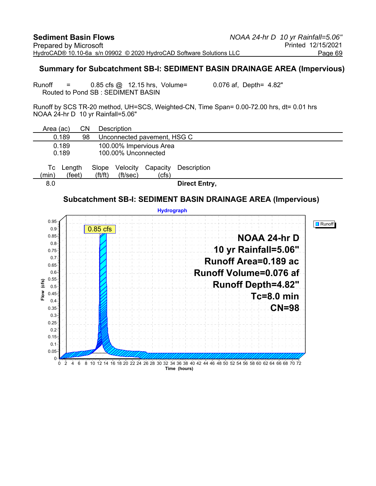#### **Summary for Subcatchment SB-I: SEDIMENT BASIN DRAINAGE AREA (Impervious)**

Runoff = 0.85 cfs @ 12.15 hrs, Volume= 0.076 af, Depth= 4.82" Routed to Pond SB : SEDIMENT BASIN

Runoff by SCS TR-20 method, UH=SCS, Weighted-CN, Time Span= 0.00-72.00 hrs, dt= 0.01 hrs NOAA 24-hr D 10 yr Rainfall=5.06"

| Area (ac)      |                  | CΝ |                                | Description          |                             |                      |
|----------------|------------------|----|--------------------------------|----------------------|-----------------------------|----------------------|
| 0.189          |                  | 98 |                                |                      | Unconnected pavement, HSG C |                      |
| 0.189<br>0.189 |                  |    |                                | 100.00% Unconnected  | 100.00% Impervious Area     |                      |
| Тc<br>(min)    | Length<br>(feet) |    | Slope<br>$({\rm ft}/{\rm ft})$ | Velocity<br>(ft/sec) | Capacity<br>(cfs)           | Description          |
| 8.0            |                  |    |                                |                      |                             | <b>Direct Entry,</b> |

#### **Subcatchment SB-I: SEDIMENT BASIN DRAINAGE AREA (Impervious)**

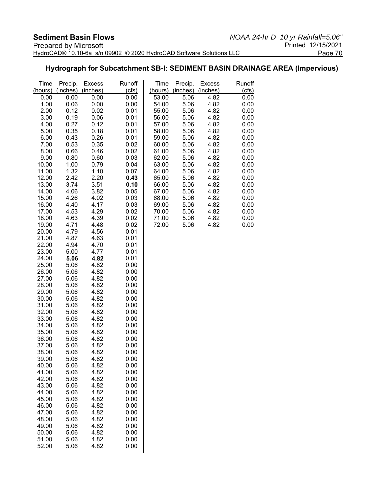#### **Hydrograph for Subcatchment SB-I: SEDIMENT BASIN DRAINAGE AREA (Impervious)**

| Time           | Precip.      | <b>Excess</b> | Runoff       | Time           | Precip.      | <b>Excess</b> | Runoff       |
|----------------|--------------|---------------|--------------|----------------|--------------|---------------|--------------|
| (hours)        | (inches)     | (inches)      | (cts)        | (hours)        | (inches)     | (inches)      | (cts)        |
| 0.00           | 0.00         | 0.00          | 0.00         | 53.00          | 5.06         | 4.82          | 0.00         |
| 1.00           | 0.06         | 0.00          | 0.00         | 54.00          | 5.06<br>5.06 | 4.82<br>4.82  | 0.00         |
| 2.00<br>3.00   | 0.12<br>0.19 | 0.02<br>0.06  | 0.01<br>0.01 | 55.00<br>56.00 | 5.06         | 4.82          | 0.00<br>0.00 |
| 4.00           | 0.27         | 0.12          | 0.01         | 57.00          | 5.06         | 4.82          | 0.00         |
| 5.00           | 0.35         | 0.18          | 0.01         | 58.00          | 5.06         | 4.82          | 0.00         |
| 6.00           | 0.43         | 0.26          | 0.01         | 59.00          | 5.06         | 4.82          | 0.00         |
| 7.00           | 0.53         | 0.35          | 0.02         | 60.00          | 5.06         | 4.82          | 0.00         |
| 8.00           | 0.66         | 0.46          | 0.02         | 61.00          | 5.06         | 4.82          | 0.00         |
| 9.00           | 0.80         | 0.60          | 0.03         | 62.00          | 5.06         | 4.82          | 0.00         |
| 10.00          | 1.00         | 0.79          | 0.04         | 63.00          | 5.06         | 4.82          | 0.00         |
| 11.00          | 1.32         | 1.10          | 0.07         | 64.00          | 5.06         | 4.82          | 0.00         |
| 12.00          | 2.42         | 2.20          | 0.43         | 65.00          | 5.06         | 4.82          | 0.00         |
| 13.00          | 3.74         | 3.51          | 0.10         | 66.00          | 5.06         | 4.82          | 0.00         |
| 14.00          | 4.06         | 3.82          | 0.05         | 67.00          | 5.06         | 4.82          | 0.00         |
| 15.00          | 4.26         | 4.02          | 0.03         | 68.00          | 5.06         | 4.82          | 0.00         |
| 16.00<br>17.00 | 4.40<br>4.53 | 4.17<br>4.29  | 0.03<br>0.02 | 69.00<br>70.00 | 5.06<br>5.06 | 4.82<br>4.82  | 0.00<br>0.00 |
| 18.00          | 4.63         | 4.39          | 0.02         | 71.00          | 5.06         | 4.82          | 0.00         |
| 19.00          | 4.71         | 4.48          | 0.02         | 72.00          | 5.06         | 4.82          | 0.00         |
| 20.00          | 4.79         | 4.56          | 0.01         |                |              |               |              |
| 21.00          | 4.87         | 4.63          | 0.01         |                |              |               |              |
| 22.00          | 4.94         | 4.70          | 0.01         |                |              |               |              |
| 23.00          | 5.00         | 4.77          | 0.01         |                |              |               |              |
| 24.00          | 5.06         | 4.82          | 0.01         |                |              |               |              |
| 25.00          | 5.06         | 4.82          | 0.00         |                |              |               |              |
| 26.00          | 5.06         | 4.82          | 0.00         |                |              |               |              |
| 27.00<br>28.00 | 5.06         | 4.82<br>4.82  | 0.00<br>0.00 |                |              |               |              |
| 29.00          | 5.06<br>5.06 | 4.82          | 0.00         |                |              |               |              |
| 30.00          | 5.06         | 4.82          | 0.00         |                |              |               |              |
| 31.00          | 5.06         | 4.82          | 0.00         |                |              |               |              |
| 32.00          | 5.06         | 4.82          | 0.00         |                |              |               |              |
| 33.00          | 5.06         | 4.82          | 0.00         |                |              |               |              |
| 34.00          | 5.06         | 4.82          | 0.00         |                |              |               |              |
| 35.00          | 5.06         | 4.82          | 0.00         |                |              |               |              |
| 36.00          | 5.06         | 4.82          | 0.00         |                |              |               |              |
| 37.00          | 5.06         | 4.82          | 0.00         |                |              |               |              |
| 38.00          | 5.06         | 4.82          | 0.00         |                |              |               |              |
| 39.00          | 5.06<br>5.06 | 4.82<br>4.82  | 0.00         |                |              |               |              |
| 40.00<br>41.00 | 5.06         | 4.82          | 0.00<br>0.00 |                |              |               |              |
| 42.00          | 5.06         | 4.82          | 0.00         |                |              |               |              |
| 43.00          | 5.06         | 4.82          | 0.00         |                |              |               |              |
| 44.00          | 5.06         | 4.82          | 0.00         |                |              |               |              |
| 45.00          | 5.06         | 4.82          | 0.00         |                |              |               |              |
| 46.00          | 5.06         | 4.82          | 0.00         |                |              |               |              |
| 47.00          | 5.06         | 4.82          | 0.00         |                |              |               |              |
| 48.00          | 5.06         | 4.82          | 0.00         |                |              |               |              |
| 49.00          | 5.06         | 4.82          | 0.00         |                |              |               |              |
| 50.00<br>51.00 | 5.06<br>5.06 | 4.82<br>4.82  | 0.00<br>0.00 |                |              |               |              |
| 52.00          | 5.06         | 4.82          | 0.00         |                |              |               |              |
|                |              |               |              |                |              |               |              |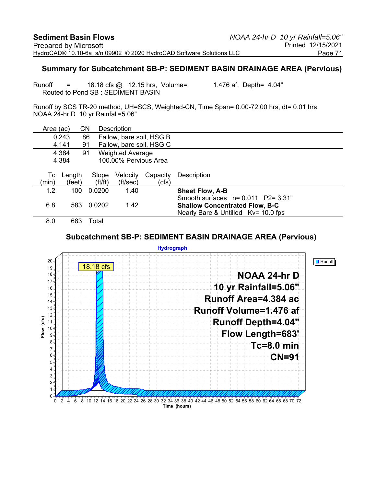#### **Summary for Subcatchment SB-P: SEDIMENT BASIN DRAINAGE AREA (Pervious)**

Runoff  $=$  18.18 cfs  $\omega$  12.15 hrs, Volume= 1.476 af, Depth= 4.04" Routed to Pond SB : SEDIMENT BASIN

Runoff by SCS TR-20 method, UH=SCS, Weighted-CN, Time Span= 0.00-72.00 hrs, dt= 0.01 hrs NOAA 24-hr D 10 yr Rainfall=5.06"

| Area (ac) |        | CΝ                    | Description              |          |                                       |
|-----------|--------|-----------------------|--------------------------|----------|---------------------------------------|
|           | 0.243  | 86                    | Fallow, bare soil, HSG B |          |                                       |
|           | 4.141  | 91                    | Fallow, bare soil, HSG C |          |                                       |
|           | 4.384  | 91                    | <b>Weighted Average</b>  |          |                                       |
|           | 4.384  |                       | 100.00% Pervious Area    |          |                                       |
|           |        |                       |                          |          |                                       |
| Тc        | Length | Slope                 | Velocity                 | Capacity | Description                           |
| (min)     | (feet) | $({\rm ft}/{\rm ft})$ | (ft/sec)                 | (cfs)    |                                       |
| 1.2       | 100    | 0.0200                | 1.40                     |          | <b>Sheet Flow, A-B</b>                |
|           |        |                       |                          |          | Smooth surfaces $n=0.011$ P2= 3.31"   |
| 6.8       | 583    | 0.0202                | 1.42                     |          | <b>Shallow Concentrated Flow, B-C</b> |
|           |        |                       |                          |          | Nearly Bare & Untilled Kv= 10.0 fps   |
| 8.0       | 683    | Total                 |                          |          |                                       |

#### **Subcatchment SB-P: SEDIMENT BASIN DRAINAGE AREA (Pervious)**

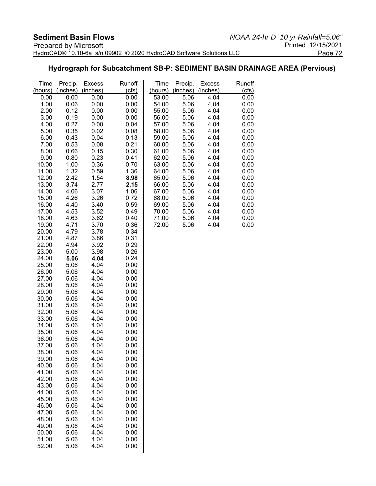#### **Hydrograph for Subcatchment SB-P: SEDIMENT BASIN DRAINAGE AREA (Pervious)**

| Time           | Precip.      | <b>Excess</b> | Runoff       | Time           | Precip.<br>(inches) | <b>Excess</b> | Runoff       |
|----------------|--------------|---------------|--------------|----------------|---------------------|---------------|--------------|
| (hours)        | (inches)     | (inches)      | (cts)        | (hours)        |                     | (inches)      | (cfs)        |
| 0.00           | 0.00         | 0.00          | 0.00         | 53.00          | 5.06                | 4.04          | 0.00         |
| 1.00           | 0.06         | 0.00          | 0.00         | 54.00          | 5.06                | 4.04          | 0.00         |
| 2.00           | 0.12         | 0.00          | 0.00         | 55.00          | 5.06                | 4.04          | 0.00         |
| 3.00           | 0.19         | 0.00          | 0.00         | 56.00          | 5.06                | 4.04          | 0.00         |
| 4.00           | 0.27         | 0.00          | 0.04         | 57.00          | 5.06                | 4.04          | 0.00         |
| 5.00           | 0.35         | 0.02          | 0.08         | 58.00          | 5.06                | 4.04          | 0.00         |
| 6.00<br>7.00   | 0.43<br>0.53 | 0.04<br>0.08  | 0.13<br>0.21 | 59.00<br>60.00 | 5.06<br>5.06        | 4.04<br>4.04  | 0.00<br>0.00 |
| 8.00           | 0.66         | 0.15          | 0.30         | 61.00          | 5.06                | 4.04          | 0.00         |
| 9.00           | 0.80         | 0.23          | 0.41         | 62.00          | 5.06                | 4.04          | 0.00         |
| 10.00          | 1.00         | 0.36          | 0.70         | 63.00          | 5.06                | 4.04          | 0.00         |
| 11.00          | 1.32         | 0.59          | 1.36         | 64.00          | 5.06                | 4.04          | 0.00         |
| 12.00          | 2.42         | 1.54          | 8.98         | 65.00          | 5.06                | 4.04          | 0.00         |
| 13.00          | 3.74         | 2.77          | 2.15         | 66.00          | 5.06                | 4.04          | 0.00         |
| 14.00          | 4.06         | 3.07          | 1.06         | 67.00          | 5.06                | 4.04          | 0.00         |
| 15.00          | 4.26         | 3.26          | 0.72         | 68.00          | 5.06                | 4.04          | 0.00         |
| 16.00          | 4.40         | 3.40          | 0.59         | 69.00          | 5.06                | 4.04          | 0.00         |
| 17.00          | 4.53         | 3.52          | 0.49         | 70.00          | 5.06                | 4.04          | 0.00         |
| 18.00          | 4.63         | 3.62          | 0.40         | 71.00          | 5.06                | 4.04          | 0.00         |
| 19.00          | 4.71         | 3.70          | 0.36         | 72.00          | 5.06                | 4.04          | 0.00         |
| 20.00          | 4.79         | 3.78          | 0.34         |                |                     |               |              |
| 21.00          | 4.87         | 3.86          | 0.31         |                |                     |               |              |
| 22.00          | 4.94         | 3.92          | 0.29         |                |                     |               |              |
| 23.00          | 5.00         | 3.98          | 0.26         |                |                     |               |              |
| 24.00          | 5.06         | 4.04          | 0.24         |                |                     |               |              |
| 25.00          | 5.06         | 4.04          | 0.00         |                |                     |               |              |
| 26.00          | 5.06         | 4.04          | 0.00         |                |                     |               |              |
| 27.00          | 5.06         | 4.04          | 0.00         |                |                     |               |              |
| 28.00          | 5.06         | 4.04          | 0.00         |                |                     |               |              |
| 29.00          | 5.06         | 4.04          | 0.00         |                |                     |               |              |
| 30.00          | 5.06         | 4.04          | 0.00         |                |                     |               |              |
| 31.00          | 5.06         | 4.04          | 0.00         |                |                     |               |              |
| 32.00          | 5.06         | 4.04          | 0.00         |                |                     |               |              |
| 33.00          | 5.06         | 4.04          | 0.00         |                |                     |               |              |
| 34.00          | 5.06         | 4.04          | 0.00         |                |                     |               |              |
| 35.00          | 5.06         | 4.04<br>4.04  | 0.00         |                |                     |               |              |
| 36.00<br>37.00 | 5.06<br>5.06 | 4.04          | 0.00<br>0.00 |                |                     |               |              |
| 38.00          | 5.06         | 4.04          | 0.00         |                |                     |               |              |
| 39.00          | 5.06         | 4.04          | 0.00         |                |                     |               |              |
| 40.00          | 5.06         | 4.04          | 0.00         |                |                     |               |              |
| 41.00          | 5.06         | 4.04          | 0.00         |                |                     |               |              |
| 42.00          | 5.06         | 4.04          | 0.00         |                |                     |               |              |
| 43.00          | 5.06         | 4.04          | 0.00         |                |                     |               |              |
| 44.00          | 5.06         | 4.04          | 0.00         |                |                     |               |              |
| 45.00          | 5.06         | 4.04          | 0.00         |                |                     |               |              |
| 46.00          | 5.06         | 4.04          | 0.00         |                |                     |               |              |
| 47.00          | 5.06         | 4.04          | 0.00         |                |                     |               |              |
| 48.00          | 5.06         | 4.04          | 0.00         |                |                     |               |              |
| 49.00          | 5.06         | 4.04          | 0.00         |                |                     |               |              |
| 50.00          | 5.06         | 4.04          | 0.00         |                |                     |               |              |
| 51.00          | 5.06         | 4.04          | 0.00         |                |                     |               |              |
| 52.00          | 5.06         | 4.04          | 0.00         |                |                     |               |              |
|                |              |               |              |                |                     |               |              |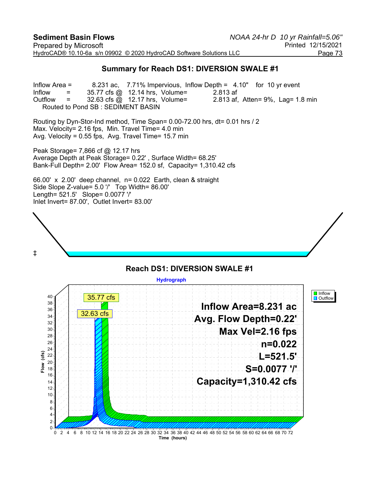#### **Summary for Reach DS1: DIVERSION SWALE #1**

Inflow Area = 8.231 ac, 7.71% Impervious, Inflow Depth = 4.10" for 10 yr event Inflow  $=$  35.77 cfs @ 12.14 hrs, Volume= 2.813 af Outflow = 32.63 cfs @ 12.17 hrs, Volume= 2.813 af, Atten= 9%, Lag= 1.8 min Routed to Pond SB : SEDIMENT BASIN

Routing by Dyn-Stor-Ind method, Time Span= 0.00-72.00 hrs, dt= 0.01 hrs / 2 Max. Velocity= 2.16 fps, Min. Travel Time= 4.0 min Avg. Velocity = 0.55 fps, Avg. Travel Time= 15.7 min

Peak Storage= 7,866 cf @ 12.17 hrs Average Depth at Peak Storage= 0.22' , Surface Width= 68.25' Bank-Full Depth= 2.00' Flow Area= 152.0 sf, Capacity= 1,310.42 cfs

66.00' x 2.00' deep channel, n= 0.022 Earth, clean & straight Side Slope Z-value= 5.0 '/' Top Width= 86.00' Length= 521.5' Slope= 0.0077 '/' Inlet Invert= 87.00', Outlet Invert= 83.00'



#### **Hydrograph**  $\blacksquare$  Inflow 40 35.77 cfs **D** Outflow 38 **Inflow Area=8.231 ac** 36 32.63 cfs**Avg. Flow Depth=0.22'** 34 32 30 **Max Vel=2.16 fps** 28 26 **n=0.022** 24  $(cfs)$ **Flow (cfs) L=521.5'** 22 20 Flow **S=0.0077 '/'** 18 16 **Capacity=1,310.42 cfs** 14 12 10 8 6 4 2  $\mathbf{0}$ 0 2 4 6 8 10 12 14 16 18 20 22 24 26 28 30 32 34 36 38 40 42 44 46 48 50 52 54 56 58 60 62 64 66 68 70 72 **Time (hours)**

**Reach DS1: DIVERSION SWALE #1**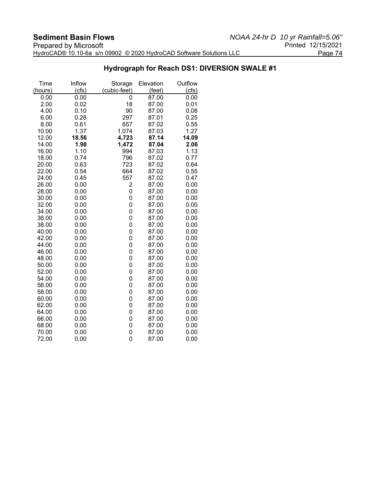#### **Hydrograph for Reach DS1: DIVERSION SWALE #1**

| Time    | Inflow | Storage      | Elevation | Outflow |
|---------|--------|--------------|-----------|---------|
| (hours) | (cfs)  | (cubic-feet) | (feet)    | (cts)   |
| 0.00    | 0.00   | 0            | 87.00     | 0.00    |
| 2.00    | 0.02   | 18           | 87.00     | 0.01    |
| 4.00    | 0.10   | 90           | 87.00     | 0.08    |
| 6.00    | 0.28   | 297          | 87.01     | 0.25    |
| 8.00    | 0.61   | 657          | 87.02     | 0.55    |
| 10.00   | 1.37   | 1,074        | 87.03     | 1.27    |
| 12.00   | 18.56  | 4,723        | 87.14     | 14.09   |
| 14.00   | 1.98   | 1,472        | 87.04     | 2.06    |
| 16.00   | 1.10   | 994          | 87.03     | 1.13    |
| 18.00   | 0.74   | 796          | 87.02     | 0.77    |
| 20.00   | 0.63   | 723          | 87.02     | 0.64    |
| 22.00   | 0.54   | 664          | 87.02     | 0.55    |
| 24.00   | 0.45   | 557          | 87.02     | 0.47    |
| 26.00   | 0.00   | 2            | 87.00     | 0.00    |
| 28.00   | 0.00   | 0            | 87.00     | 0.00    |
| 30.00   | 0.00   | 0            | 87.00     | 0.00    |
| 32.00   | 0.00   | 0            | 87.00     | 0.00    |
| 34.00   | 0.00   | 0            | 87.00     | 0.00    |
| 36.00   | 0.00   | 0            | 87.00     | 0.00    |
| 38.00   | 0.00   | 0            | 87.00     | 0.00    |
| 40.00   | 0.00   | 0            | 87.00     | 0.00    |
| 42.00   | 0.00   | 0            | 87.00     | 0.00    |
| 44.00   | 0.00   | 0            | 87.00     | 0.00    |
| 46.00   | 0.00   | 0            | 87.00     | 0.00    |
| 48.00   | 0.00   | 0            | 87.00     | 0.00    |
| 50.00   | 0.00   | 0            | 87.00     | 0.00    |
| 52.00   | 0.00   | 0            | 87.00     | 0.00    |
| 54.00   | 0.00   | 0            | 87.00     | 0.00    |
| 56.00   | 0.00   | 0            | 87.00     | 0.00    |
| 58.00   | 0.00   | 0            | 87.00     | 0.00    |
| 60.00   | 0.00   | 0            | 87.00     | 0.00    |
| 62.00   | 0.00   | 0            | 87.00     | 0.00    |
| 64.00   | 0.00   | 0            | 87.00     | 0.00    |
| 66.00   | 0.00   | 0            | 87.00     | 0.00    |
| 68.00   | 0.00   | 0            | 87.00     | 0.00    |
| 70.00   | 0.00   | 0            | 87.00     | 0.00    |
| 72.00   | 0.00   | 0            | 87.00     | 0.00    |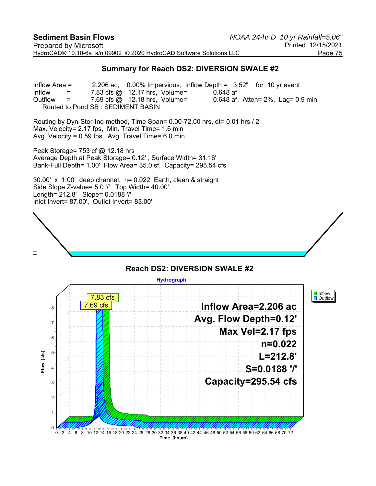#### **Summary for Reach DS2: DIVERSION SWALE #2**

Inflow Area = 2.206 ac, 0.00% Impervious, Inflow Depth = 3.52" for 10 yr event Inflow  $=$  7.83 cfs @ 12.17 hrs, Volume= 0.648 af Outflow  $=$  7.69 cfs  $\omega$  12.18 hrs, Volume= 0.648 af, Atten= 2%, Lag= 0.9 min Routed to Pond SB : SEDIMENT BASIN

Routing by Dyn-Stor-Ind method, Time Span= 0.00-72.00 hrs, dt= 0.01 hrs / 2 Max. Velocity= 2.17 fps, Min. Travel Time= 1.6 min Avg. Velocity = 0.59 fps, Avg. Travel Time= 6.0 min

Peak Storage= 753 cf @ 12.18 hrs Average Depth at Peak Storage= 0.12' , Surface Width= 31.16' Bank-Full Depth= 1.00' Flow Area= 35.0 sf, Capacity= 295.54 cfs

30.00' x 1.00' deep channel, n= 0.022 Earth, clean & straight Side Slope Z-value= 5.0 '/' Top Width= 40.00' Length= 212.8' Slope= 0.0188 '/' Inlet Invert= 87.00', Outlet Invert= 83.00'



#### **Reach DS2: DIVERSION SWALE #2 Hydrograph I** Inflow 7.83 cfs **D** Outflow 7.69 cfs**Inflow Area=2.206 ac** 8 **Avg. Flow Depth=0.12'** 7 **Max Vel=2.17 fps**  $6$ **n=0.022**  $(cts)$ 5 **Flow (cfs) L=212.8'** Flow **S=0.0188 '/'** 4 **Capacity=295.54 cfs** 3 2 1  $\Omega$ 0 2 4 6 8 10 12 14 16 18 20 22 24 26 28 30 32 34 36 38 40 42 44 46 48 50 52 54 56 58 60 62 64 66 68 70 72 **Time (hours)**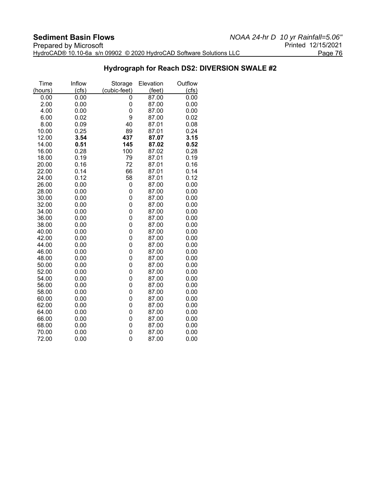#### **Hydrograph for Reach DS2: DIVERSION SWALE #2**

| Inflow | Storage                                                                                                                              | Elevation                                                                                                                                                                           | Outflow                                                                                                                                      |
|--------|--------------------------------------------------------------------------------------------------------------------------------------|-------------------------------------------------------------------------------------------------------------------------------------------------------------------------------------|----------------------------------------------------------------------------------------------------------------------------------------------|
| (cfs)  | (cubic-feet)                                                                                                                         | (feet)                                                                                                                                                                              | (cfs)                                                                                                                                        |
| 0.00   | 0                                                                                                                                    | 87.00                                                                                                                                                                               | 0.00                                                                                                                                         |
| 0.00   | 0                                                                                                                                    | 87.00                                                                                                                                                                               | 0.00                                                                                                                                         |
| 0.00   | 0                                                                                                                                    |                                                                                                                                                                                     | 0.00                                                                                                                                         |
| 0.02   | 9                                                                                                                                    |                                                                                                                                                                                     | 0.02                                                                                                                                         |
| 0.09   | 40                                                                                                                                   | 87.01                                                                                                                                                                               | 0.08                                                                                                                                         |
| 0.25   | 89                                                                                                                                   | 87.01                                                                                                                                                                               | 0.24                                                                                                                                         |
|        | 437                                                                                                                                  | 87.07                                                                                                                                                                               | 3.15                                                                                                                                         |
| 0.51   | 145                                                                                                                                  | 87.02                                                                                                                                                                               | 0.52                                                                                                                                         |
| 0.28   | 100                                                                                                                                  | 87.02                                                                                                                                                                               | 0.28                                                                                                                                         |
| 0.19   | 79                                                                                                                                   | 87.01                                                                                                                                                                               | 0.19                                                                                                                                         |
| 0.16   |                                                                                                                                      | 87.01                                                                                                                                                                               | 0.16                                                                                                                                         |
| 0.14   |                                                                                                                                      | 87.01                                                                                                                                                                               | 0.14                                                                                                                                         |
| 0.12   |                                                                                                                                      | 87.01                                                                                                                                                                               | 0.12                                                                                                                                         |
| 0.00   | 0                                                                                                                                    | 87.00                                                                                                                                                                               | 0.00                                                                                                                                         |
| 0.00   | 0                                                                                                                                    | 87.00                                                                                                                                                                               | 0.00                                                                                                                                         |
| 0.00   | 0                                                                                                                                    | 87.00                                                                                                                                                                               | 0.00                                                                                                                                         |
| 0.00   | 0                                                                                                                                    | 87.00                                                                                                                                                                               | 0.00                                                                                                                                         |
|        |                                                                                                                                      | 87.00                                                                                                                                                                               | 0.00                                                                                                                                         |
|        |                                                                                                                                      | 87.00                                                                                                                                                                               | 0.00                                                                                                                                         |
| 0.00   |                                                                                                                                      | 87.00                                                                                                                                                                               | 0.00                                                                                                                                         |
|        |                                                                                                                                      |                                                                                                                                                                                     | 0.00                                                                                                                                         |
|        |                                                                                                                                      |                                                                                                                                                                                     | 0.00                                                                                                                                         |
|        |                                                                                                                                      |                                                                                                                                                                                     | 0.00                                                                                                                                         |
| 0.00   |                                                                                                                                      | 87.00                                                                                                                                                                               | 0.00                                                                                                                                         |
|        |                                                                                                                                      |                                                                                                                                                                                     | 0.00                                                                                                                                         |
|        |                                                                                                                                      |                                                                                                                                                                                     | 0.00                                                                                                                                         |
|        |                                                                                                                                      |                                                                                                                                                                                     | 0.00                                                                                                                                         |
|        |                                                                                                                                      |                                                                                                                                                                                     | 0.00                                                                                                                                         |
|        |                                                                                                                                      |                                                                                                                                                                                     | 0.00                                                                                                                                         |
| 0.00   |                                                                                                                                      | 87.00                                                                                                                                                                               | 0.00                                                                                                                                         |
|        |                                                                                                                                      |                                                                                                                                                                                     | 0.00                                                                                                                                         |
|        |                                                                                                                                      |                                                                                                                                                                                     | 0.00                                                                                                                                         |
|        |                                                                                                                                      |                                                                                                                                                                                     | 0.00                                                                                                                                         |
|        |                                                                                                                                      |                                                                                                                                                                                     | 0.00                                                                                                                                         |
|        |                                                                                                                                      |                                                                                                                                                                                     | 0.00                                                                                                                                         |
|        |                                                                                                                                      |                                                                                                                                                                                     | 0.00                                                                                                                                         |
| 0.00   |                                                                                                                                      | 87.00                                                                                                                                                                               | 0.00                                                                                                                                         |
|        | 3.54<br>0.00<br>0.00<br>0.00<br>0.00<br>0.00<br>0.00<br>0.00<br>0.00<br>0.00<br>0.00<br>0.00<br>0.00<br>0.00<br>0.00<br>0.00<br>0.00 | 72<br>66<br>58<br>0<br>$\overline{0}$<br>0<br>0<br>$\overline{0}$<br>0<br>0<br>$\overline{0}$<br>0<br>0<br>0<br>$\overline{0}$<br>0<br>0<br>$\overline{0}$<br>0<br>0<br>0<br>0<br>0 | 87.00<br>87.00<br>87.00<br>87.00<br>87.00<br>87.00<br>87.00<br>87.00<br>87.00<br>87.00<br>87.00<br>87.00<br>87.00<br>87.00<br>87.00<br>87.00 |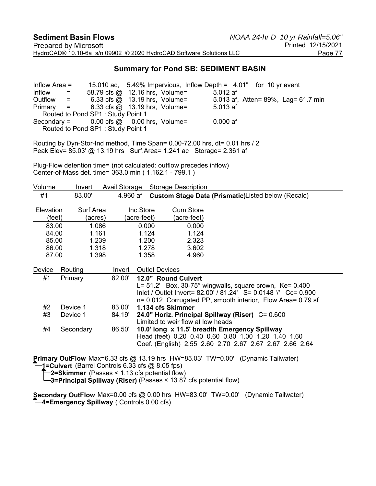#### **Summary for Pond SB: SEDIMENT BASIN**

Inflow Area = 15.010 ac, 5.49% Impervious, Inflow Depth = 4.01" for 10 yr event  $Inform 1.32<sup>th</sup> = 58.79$  cfs @ 12.16 hrs, Volume=  $5.012$  af Outflow = 6.33 cfs @ 13.19 hrs, Volume= 5.013 af, Atten= 89%, Lag= 61.7 min Primary = 6.33 cfs @ 13.19 hrs, Volume= 5.013 af Routed to Pond SP1 : Study Point 1 Secondary =  $0.00$  cfs  $\omega = 0.00$  hrs, Volume=  $0.000$  af Routed to Pond SP1 : Study Point 1

Routing by Dyn-Stor-Ind method, Time Span= 0.00-72.00 hrs, dt= 0.01 hrs / 2 Peak Elev= 85.03' @ 13.19 hrs Surf.Area= 1.241 ac Storage= 2.361 af

Plug-Flow detention time= (not calculated: outflow precedes inflow) Center-of-Mass det. time= 363.0 min ( 1,162.1 - 799.1 )

| Volume                     |           | Invert               | Avail.Storage |                          | <b>Storage Description</b>                                       |
|----------------------------|-----------|----------------------|---------------|--------------------------|------------------------------------------------------------------|
| #1                         |           | 83.00'               | 4.960 af      |                          | Custom Stage Data (Prismatic) Listed below (Recalc)              |
| <b>Elevation</b><br>(feet) |           | Surf.Area<br>(acres) |               | Inc.Store<br>(acre-feet) | Cum.Store<br>(acre-feet)                                         |
| 83.00                      |           | 1.086                |               | 0.000                    | 0.000                                                            |
| 84.00                      |           | 1.161                |               | 1.124                    | 1.124                                                            |
| 85.00                      |           | 1.239                |               | 1.200                    | 2.323                                                            |
| 86.00                      |           | 1.318                |               | 1.278                    | 3.602                                                            |
| 87.00                      |           | 1.398                |               | 1.358                    | 4.960                                                            |
| Device                     | Routing   |                      | Invert        |                          | <b>Outlet Devices</b>                                            |
| #1                         | Primary   |                      | 82.00'        |                          | 12.0" Round Culvert                                              |
|                            |           |                      |               |                          | L= $51.2'$ Box, $30-75^\circ$ wingwalls, square crown, Ke= 0.400 |
|                            |           |                      |               |                          | Inlet / Outlet Invert= 82.00' / 81.24' S= 0.0148 '/' Cc= 0.900   |
|                            |           |                      |               |                          | n= 0.012 Corrugated PP, smooth interior, Flow Area= 0.79 sf      |
| #2                         | Device 1  |                      | 83.00'        |                          | 1.134 cfs Skimmer                                                |
| #3                         | Device 1  |                      | 84.19'        |                          | 24.0" Horiz. Principal Spillway (Riser) C= 0.600                 |
|                            |           |                      |               |                          | Limited to weir flow at low heads                                |
| #4                         | Secondary |                      | 86.50'        |                          | 10.0' long x 11.5' breadth Emergency Spillway                    |
|                            |           |                      |               |                          | Head (feet) 0.20 0.40 0.60 0.80 1.00 1.20 1.40 1.60              |
|                            |           |                      |               |                          | Coef. (English) 2.55 2.60 2.70 2.67 2.67 2.67 2.66 2.64          |
|                            |           |                      |               |                          | $\overline{a}$                                                   |

**Primary OutFlow** Max=6.33 cfs @ 13.19 hrs HW=85.03' TW=0.00' (Dynamic Tailwater) **1=Culvert** (Barrel Controls 6.33 cfs @ 8.05 fps)

**2=Skimmer** (Passes < 1.13 cfs potential flow)

**3=Principal Spillway (Riser)** (Passes < 13.87 cfs potential flow)

**Secondary OutFlow** Max=0.00 cfs @ 0.00 hrs HW=83.00' TW=0.00' (Dynamic Tailwater) **4=Emergency Spillway** ( Controls 0.00 cfs)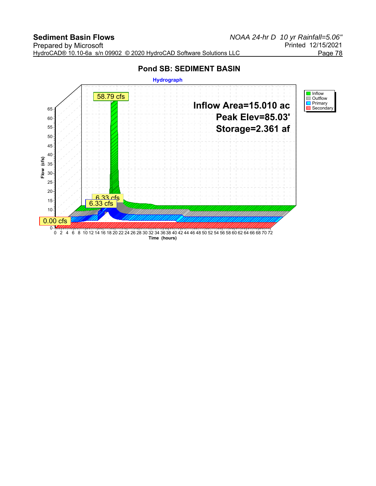## **Pond SB: SEDIMENT BASIN**

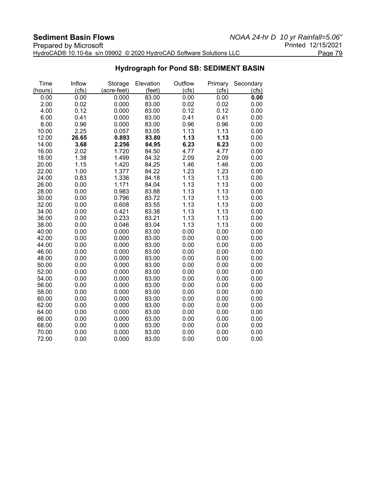| <b>Prepared by Microsoft</b>                                        | Printed 12/15/2021 |
|---------------------------------------------------------------------|--------------------|
| HydroCAD® 10.10-6a s/n 09902 © 2020 HydroCAD Software Solutions LLC | Page 79            |

# **Hydrograph for Pond SB: SEDIMENT BASIN**

| Time    | Inflow | Storage     | Elevation | Outflow | Primary | Secondary |
|---------|--------|-------------|-----------|---------|---------|-----------|
| (hours) | (cfs)  | (acre-feet) | (feet)    | (cfs)   | (cfs)   | (cfs)     |
| 0.00    | 0.00   | 0.000       | 83.00     | 0.00    | 0.00    | 0.00      |
| 2.00    | 0.02   | 0.000       | 83.00     | 0.02    | 0.02    | 0.00      |
| 4.00    | 0.12   | 0.000       | 83.00     | 0.12    | 0.12    | 0.00      |
| 6.00    | 0.41   | 0.000       | 83.00     | 0.41    | 0.41    | 0.00      |
| 8.00    | 0.96   | 0.000       | 83.00     | 0.96    | 0.96    | 0.00      |
| 10.00   | 2.25   | 0.057       | 83.05     | 1.13    | 1.13    | 0.00      |
| 12.00   | 26.65  | 0.893       | 83.80     | 1.13    | 1.13    | 0.00      |
| 14.00   | 3.68   | 2.256       | 84.95     | 6.23    | 6.23    | 0.00      |
| 16.00   | 2.02   | 1.720       | 84.50     | 4.77    | 4.77    | 0.00      |
| 18.00   | 1.38   | 1.499       | 84.32     | 2.09    | 2.09    | 0.00      |
| 20.00   | 1.15   | 1.420       | 84.25     | 1.46    | 1.46    | 0.00      |
| 22.00   | 1.00   | 1.377       | 84.22     | 1.23    | 1.23    | 0.00      |
| 24.00   | 0.83   | 1.336       | 84.18     | 1.13    | 1.13    | 0.00      |
| 26.00   | 0.00   | 1.171       | 84.04     | 1.13    | 1.13    | 0.00      |
| 28.00   | 0.00   | 0.983       | 83.88     | 1.13    | 1.13    | 0.00      |
| 30.00   | 0.00   | 0.796       | 83.72     | 1.13    | 1.13    | 0.00      |
| 32.00   | 0.00   | 0.608       | 83.55     | 1.13    | 1.13    | 0.00      |
| 34.00   | 0.00   | 0.421       | 83.38     | 1.13    | 1.13    | 0.00      |
| 36.00   | 0.00   | 0.233       | 83.21     | 1.13    | 1.13    | 0.00      |
| 38.00   | 0.00   | 0.046       | 83.04     | 1.13    | 1.13    | 0.00      |
| 40.00   | 0.00   | 0.000       | 83.00     | 0.00    | 0.00    | 0.00      |
| 42.00   | 0.00   | 0.000       | 83.00     | 0.00    | 0.00    | 0.00      |
| 44.00   | 0.00   | 0.000       | 83.00     | 0.00    | 0.00    | 0.00      |
| 46.00   | 0.00   | 0.000       | 83.00     | 0.00    | 0.00    | 0.00      |
| 48.00   | 0.00   | 0.000       | 83.00     | 0.00    | 0.00    | 0.00      |
| 50.00   | 0.00   | 0.000       | 83.00     | 0.00    | 0.00    | 0.00      |
| 52.00   | 0.00   | 0.000       | 83.00     | 0.00    | 0.00    | 0.00      |
| 54.00   | 0.00   | 0.000       | 83.00     | 0.00    | 0.00    | 0.00      |
| 56.00   | 0.00   | 0.000       | 83.00     | 0.00    | 0.00    | 0.00      |
| 58.00   | 0.00   | 0.000       | 83.00     | 0.00    | 0.00    | 0.00      |
| 60.00   | 0.00   | 0.000       | 83.00     | 0.00    | 0.00    | 0.00      |
| 62.00   | 0.00   | 0.000       | 83.00     | 0.00    | 0.00    | 0.00      |
| 64.00   | 0.00   | 0.000       | 83.00     | 0.00    | 0.00    | 0.00      |
| 66.00   | 0.00   | 0.000       | 83.00     | 0.00    | 0.00    | 0.00      |
| 68.00   | 0.00   | 0.000       | 83.00     | 0.00    | 0.00    | 0.00      |
| 70.00   | 0.00   | 0.000       | 83.00     | 0.00    | 0.00    | 0.00      |
| 72.00   | 0.00   | 0.000       | 83.00     | 0.00    | 0.00    | 0.00      |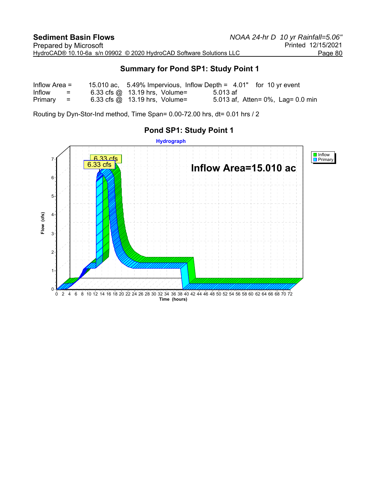#### **Summary for Pond SP1: Study Point 1**

| Inflow Area $=$ |                   | 15.010 ac, $5.49\%$ Impervious, Inflow Depth = $4.01$ " for 10 yr event |          |                                       |
|-----------------|-------------------|-------------------------------------------------------------------------|----------|---------------------------------------|
| Inflow          | $\equiv$ $\equiv$ | 6.33 cfs $@$ 13.19 hrs, Volume=                                         | 5.013 af |                                       |
| Primary         | and the second    | $6.33$ cfs $\omega$ 13.19 hrs, Volume=                                  |          | 5.013 af, Atten= $0\%$ , Lag= 0.0 min |

Routing by Dyn-Stor-Ind method, Time Span= 0.00-72.00 hrs, dt= 0.01 hrs / 2



### **Pond SP1: Study Point 1**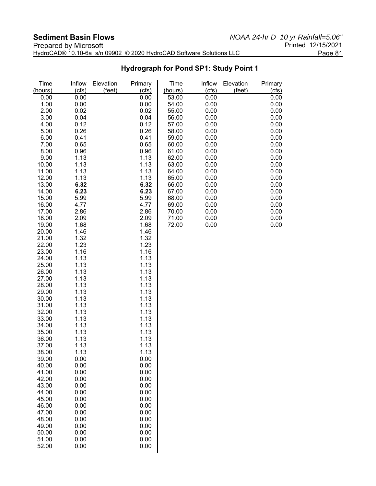# **Hydrograph for Pond SP1: Study Point 1**

| Time<br>(hours) | Inflow<br>(cfs) | Elevation<br>(feet) | Primary<br>(cfs) | Time<br>(hours) | Inflow<br>(cfs) | Elevation<br>(feet) | Primary<br>(cfs) |
|-----------------|-----------------|---------------------|------------------|-----------------|-----------------|---------------------|------------------|
|                 | 0.00            |                     | 0.00             |                 | 0.00            |                     | 0.00             |
| 0.00            |                 |                     |                  | 53.00           |                 |                     |                  |
| 1.00            | 0.00            |                     | 0.00             | 54.00           | 0.00            |                     | 0.00             |
| 2.00            | 0.02            |                     | 0.02             | 55.00           | 0.00            |                     | 0.00             |
| 3.00            | 0.04            |                     | 0.04             | 56.00           | 0.00            |                     | 0.00             |
| 4.00            | 0.12            |                     | 0.12             | 57.00           | 0.00            |                     | 0.00             |
| 5.00            | 0.26            |                     | 0.26             | 58.00           | 0.00            |                     | 0.00             |
| 6.00            | 0.41            |                     | 0.41             | 59.00           | 0.00            |                     | 0.00             |
| 7.00            | 0.65            |                     | 0.65             | 60.00           | 0.00            |                     | 0.00             |
| 8.00            | 0.96            |                     | 0.96             | 61.00           | 0.00            |                     | 0.00             |
| 9.00            | 1.13            |                     | 1.13             | 62.00           | 0.00            |                     | 0.00             |
| 10.00           | 1.13            |                     | 1.13             | 63.00           | 0.00            |                     | 0.00             |
| 11.00           | 1.13            |                     | 1.13             | 64.00           | 0.00            |                     | 0.00             |
| 12.00           | 1.13            |                     | 1.13             | 65.00           | 0.00            |                     | 0.00             |
| 13.00           | 6.32            |                     | 6.32             | 66.00           | 0.00            |                     | 0.00             |
| 14.00           | 6.23            |                     | 6.23             | 67.00           | 0.00            |                     | 0.00             |
| 15.00           | 5.99            |                     | 5.99             | 68.00           | 0.00            |                     | 0.00             |
| 16.00           | 4.77            |                     | 4.77             | 69.00           | 0.00            |                     | 0.00             |
| 17.00           | 2.86            |                     | 2.86             | 70.00           | 0.00            |                     | 0.00             |
| 18.00           | 2.09            |                     | 2.09             | 71.00           | 0.00            |                     | 0.00             |
| 19.00           | 1.68            |                     | 1.68             | 72.00           | 0.00            |                     | 0.00             |
| 20.00           | 1.46            |                     | 1.46             |                 |                 |                     |                  |
| 21.00           | 1.32            |                     | 1.32             |                 |                 |                     |                  |
| 22.00           | 1.23            |                     | 1.23             |                 |                 |                     |                  |
| 23.00           | 1.16            |                     | 1.16             |                 |                 |                     |                  |
| 24.00           | 1.13            |                     | 1.13             |                 |                 |                     |                  |
| 25.00           | 1.13            |                     | 1.13             |                 |                 |                     |                  |
| 26.00           | 1.13            |                     | 1.13             |                 |                 |                     |                  |
| 27.00           | 1.13            |                     | 1.13             |                 |                 |                     |                  |
| 28.00           | 1.13            |                     | 1.13             |                 |                 |                     |                  |
| 29.00           | 1.13            |                     | 1.13             |                 |                 |                     |                  |
| 30.00           | 1.13            |                     | 1.13             |                 |                 |                     |                  |
| 31.00           | 1.13            |                     | 1.13             |                 |                 |                     |                  |
| 32.00           | 1.13            |                     | 1.13             |                 |                 |                     |                  |
| 33.00           | 1.13            |                     | 1.13             |                 |                 |                     |                  |
| 34.00           | 1.13            |                     | 1.13             |                 |                 |                     |                  |
| 35.00           | 1.13            |                     | 1.13             |                 |                 |                     |                  |
| 36.00           | 1.13            |                     | 1.13             |                 |                 |                     |                  |
| 37.00           | 1.13            |                     | 1.13             |                 |                 |                     |                  |
| 38.00           | 1.13            |                     | 1.13             |                 |                 |                     |                  |
|                 |                 |                     |                  |                 |                 |                     |                  |
| 39.00<br>40.00  | 0.00<br>0.00    |                     | 0.00             |                 |                 |                     |                  |
| 41.00           | 0.00            |                     | 0.00<br>0.00     |                 |                 |                     |                  |
|                 |                 |                     |                  |                 |                 |                     |                  |
| 42.00           | 0.00            |                     | 0.00<br>0.00     |                 |                 |                     |                  |
| 43.00           | 0.00            |                     |                  |                 |                 |                     |                  |
| 44.00           | 0.00            |                     | 0.00             |                 |                 |                     |                  |
| 45.00           | 0.00            |                     | 0.00             |                 |                 |                     |                  |
| 46.00           | 0.00            |                     | 0.00             |                 |                 |                     |                  |
| 47.00           | 0.00            |                     | 0.00             |                 |                 |                     |                  |
| 48.00           | 0.00            |                     | 0.00             |                 |                 |                     |                  |
| 49.00           | 0.00            |                     | 0.00             |                 |                 |                     |                  |
| 50.00           | 0.00            |                     | 0.00             |                 |                 |                     |                  |
| 51.00           | 0.00            |                     | 0.00             |                 |                 |                     |                  |
| 52.00           | 0.00            |                     | 0.00             |                 |                 |                     |                  |
|                 |                 |                     |                  |                 |                 |                     |                  |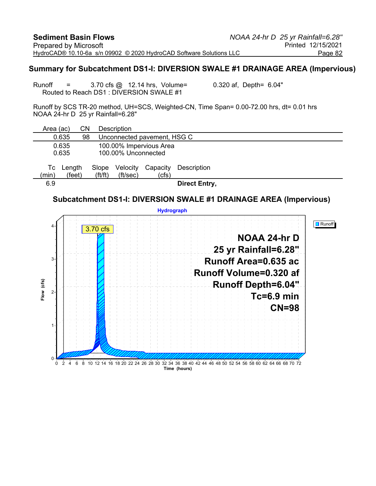#### **Summary for Subcatchment DS1-I: DIVERSION SWALE #1 DRAINAGE AREA (Impervious)**

Runoff  $=$  3.70 cfs  $@$  12.14 hrs, Volume= 0.320 af, Depth= 6.04" Routed to Reach DS1 : DIVERSION SWALE #1

Runoff by SCS TR-20 method, UH=SCS, Weighted-CN, Time Span= 0.00-72.00 hrs, dt= 0.01 hrs NOAA 24-hr D 25 yr Rainfall=6.28"

| Area (ac)      | CΝ               |                                | <b>Description</b>          |                         |                      |  |  |  |  |
|----------------|------------------|--------------------------------|-----------------------------|-------------------------|----------------------|--|--|--|--|
| 0.635          | 98               |                                | Unconnected pavement, HSG C |                         |                      |  |  |  |  |
| 0.635<br>0.635 |                  |                                | 100.00% Unconnected         | 100.00% Impervious Area |                      |  |  |  |  |
| Tc<br>(min)    | Length<br>(feet) | Slope<br>$({\rm ft}/{\rm ft})$ | Velocity<br>(ft/sec)        | Capacity<br>(cfs)       | Description          |  |  |  |  |
| 6.9            |                  |                                |                             |                         | <b>Direct Entry,</b> |  |  |  |  |

#### **Subcatchment DS1-I: DIVERSION SWALE #1 DRAINAGE AREA (Impervious)**

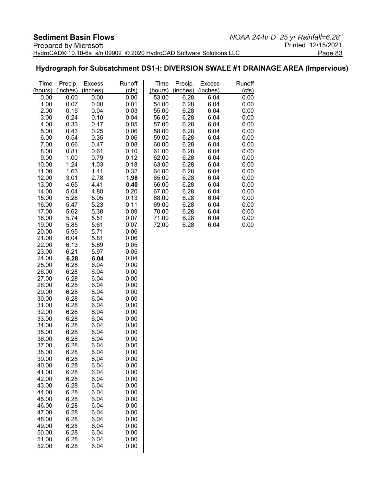#### **Hydrograph for Subcatchment DS1-I: DIVERSION SWALE #1 DRAINAGE AREA (Impervious)**

| Time           | Precip.      | <b>Excess</b> | Runoff       | Time           | Precip.      | <b>Excess</b> | Runoff       |
|----------------|--------------|---------------|--------------|----------------|--------------|---------------|--------------|
| (hours)        | (inches)     | (inches)      | (cts)        | (hours)        | (inches)     | (inches)      | (cfs)        |
| 0.00           | 0.00         | 0.00          | 0.00         | 53.00          | 6.28         | 6.04          | 0.00         |
| 1.00           | 0.07         | 0.00          | 0.01         | 54.00          | 6.28         | 6.04          | 0.00         |
| 2.00           | 0.15         | 0.04          | 0.03         | 55.00          | 6.28         | 6.04          | 0.00         |
| 3.00           | 0.24         | 0.10          | 0.04         | 56.00          | 6.28         | 6.04          | 0.00<br>0.00 |
| 4.00           | 0.33         | 0.17          | 0.05         | 57.00          | 6.28         | 6.04          | 0.00         |
| 5.00<br>6.00   | 0.43<br>0.54 | 0.25<br>0.35  | 0.06         | 58.00<br>59.00 | 6.28<br>6.28 | 6.04<br>6.04  | 0.00         |
| 7.00           | 0.66         | 0.47          | 0.06<br>0.08 | 60.00          | 6.28         | 6.04          | 0.00         |
| 8.00           | 0.81         | 0.61          | 0.10         | 61.00          | 6.28         | 6.04          | 0.00         |
| 9.00           | 1.00         | 0.79          | 0.12         | 62.00          | 6.28         | 6.04          | 0.00         |
| 10.00          | 1.24         | 1.03          | 0.18         | 63.00          | 6.28         | 6.04          | 0.00         |
| 11.00          | 1.63         | 1.41          | 0.32         | 64.00          | 6.28         | 6.04          | 0.00         |
| 12.00          | 3.01         | 2.78          | 1.98         | 65.00          | 6.28         | 6.04          | 0.00         |
| 13.00          | 4.65         | 4.41          | 0.40         | 66.00          | 6.28         | 6.04          | 0.00         |
| 14.00          | 5.04         | 4.80          | 0.20         | 67.00          | 6.28         | 6.04          | 0.00         |
| 15.00          | 5.28         | 5.05          | 0.13         | 68.00          | 6.28         | 6.04          | 0.00         |
| 16.00          | 5.47         | 5.23          | 0.11         | 69.00          | 6.28         | 6.04          | 0.00         |
| 17.00          | 5.62         | 5.38          | 0.09         | 70.00          | 6.28         | 6.04          | 0.00         |
| 18.00          | 5.74         | 5.51          | 0.07         | 71.00          | 6.28         | 6.04          | 0.00         |
| 19.00          | 5.85         | 5.61          | 0.07         | 72.00          | 6.28         | 6.04          | 0.00         |
| 20.00          | 5.95         | 5.71          | 0.06         |                |              |               |              |
| 21.00          | 6.04         | 5.81          | 0.06         |                |              |               |              |
| 22.00          | 6.13         | 5.89          | 0.05         |                |              |               |              |
| 23.00          | 6.21         | 5.97          | 0.05         |                |              |               |              |
| 24.00<br>25.00 | 6.28<br>6.28 | 6.04<br>6.04  | 0.04<br>0.00 |                |              |               |              |
| 26.00          | 6.28         | 6.04          | 0.00         |                |              |               |              |
| 27.00          | 6.28         | 6.04          | 0.00         |                |              |               |              |
| 28.00          | 6.28         | 6.04          | 0.00         |                |              |               |              |
| 29.00          | 6.28         | 6.04          | 0.00         |                |              |               |              |
| 30.00          | 6.28         | 6.04          | 0.00         |                |              |               |              |
| 31.00          | 6.28         | 6.04          | 0.00         |                |              |               |              |
| 32.00          | 6.28         | 6.04          | 0.00         |                |              |               |              |
| 33.00          | 6.28         | 6.04          | 0.00         |                |              |               |              |
| 34.00          | 6.28         | 6.04          | 0.00         |                |              |               |              |
| 35.00          | 6.28         | 6.04          | 0.00         |                |              |               |              |
| 36.00          | 6.28         | 6.04          | 0.00         |                |              |               |              |
| 37.00          | 6.28         | 6.04          | 0.00         |                |              |               |              |
| 38.00          | 6.28         | 6.04          | 0.00         |                |              |               |              |
| 39.00          | 6.28         | 6.04          | 0.00         |                |              |               |              |
| 40.00          | 6.28         | 6.04          | 0.00         |                |              |               |              |
| 41.00          | 6.28         | 6.04          | 0.00         |                |              |               |              |
| 42.00<br>43.00 | 6.28<br>6.28 | 6.04<br>6.04  | 0.00         |                |              |               |              |
| 44.00          | 6.28         | 6.04          | 0.00<br>0.00 |                |              |               |              |
| 45.00          | 6.28         | 6.04          | 0.00         |                |              |               |              |
| 46.00          | 6.28         | 6.04          | 0.00         |                |              |               |              |
| 47.00          | 6.28         | 6.04          | 0.00         |                |              |               |              |
| 48.00          | 6.28         | 6.04          | 0.00         |                |              |               |              |
| 49.00          | 6.28         | 6.04          | 0.00         |                |              |               |              |
| 50.00          | 6.28         | 6.04          | 0.00         |                |              |               |              |
| 51.00          | 6.28         | 6.04          | 0.00         |                |              |               |              |
| 52.00          | 6.28         | 6.04          | 0.00         |                |              |               |              |
|                |              |               |              |                |              |               |              |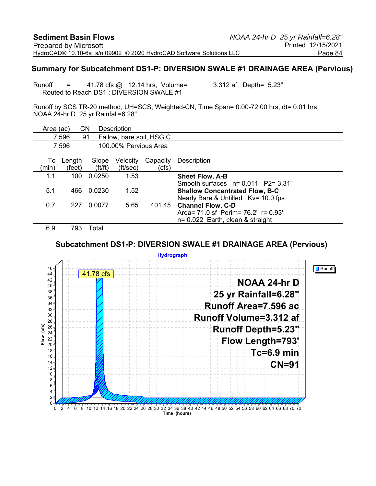#### **Summary for Subcatchment DS1-P: DIVERSION SWALE #1 DRAINAGE AREA (Pervious)**

Runoff = 41.78 cfs @ 12.14 hrs, Volume= 3.312 af, Depth= 5.23" Routed to Reach DS1 : DIVERSION SWALE #1

Runoff by SCS TR-20 method, UH=SCS, Weighted-CN, Time Span= 0.00-72.00 hrs, dt= 0.01 hrs NOAA 24-hr D 25 yr Rainfall=6.28"

| Area (ac)   |                  | CΝ                             | Description           |                          |                                                                                                                       |
|-------------|------------------|--------------------------------|-----------------------|--------------------------|-----------------------------------------------------------------------------------------------------------------------|
|             | 7.596            | 91                             |                       | Fallow, bare soil, HSG C |                                                                                                                       |
|             | 7.596            |                                | 100.00% Pervious Area |                          |                                                                                                                       |
| Тc<br>(min) | Length<br>(feet) | Slope<br>$({\rm ft}/{\rm ft})$ | Velocity<br>(ft/sec)  | Capacity<br>(cfs)        | Description                                                                                                           |
| 1.1         | 100              | 0.0250                         | 1.53                  |                          | <b>Sheet Flow, A-B</b>                                                                                                |
| 5.1         | 466              | 0.0230                         | 1.52                  |                          | Smooth surfaces $n = 0.011$ P2= 3.31"<br><b>Shallow Concentrated Flow, B-C</b><br>Nearly Bare & Untilled Kv= 10.0 fps |
| 0.7         | 227              | 0.0077                         | 5.65                  | 401.45                   | <b>Channel Flow, C-D</b><br>Area = 71.0 sf Perim = 76.2' r = 0.93'<br>$n = 0.022$ Earth, clean & straight             |
| 69          | 793.             | Total                          |                       |                          |                                                                                                                       |

#### **Subcatchment DS1-P: DIVERSION SWALE #1 DRAINAGE AREA (Pervious)**

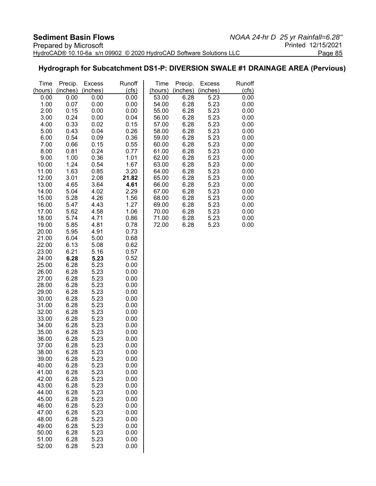#### **Hydrograph for Subcatchment DS1-P: DIVERSION SWALE #1 DRAINAGE AREA (Pervious)**

| Time           | Precip.      | <b>Excess</b> | Runoff       | Time           | Precip.      | <b>Excess</b> | Runoff       |
|----------------|--------------|---------------|--------------|----------------|--------------|---------------|--------------|
| (hours)        | (inches)     | (inches)      | (cls)        | (hours)        | (inches)     | (inches)      | (cfs)        |
| 0.00           | 0.00         | 0.00          | 0.00         | 53.00          | 6.28         | 5.23          | 0.00         |
| 1.00           | 0.07         | 0.00          | 0.00         | 54.00          | 6.28         | 5.23          | 0.00         |
| 2.00           | 0.15         | 0.00          | 0.00         | 55.00          | 6.28         | 5.23          | 0.00         |
| 3.00           | 0.24         | 0.00          | 0.04         | 56.00          | 6.28         | 5.23          | 0.00         |
| 4.00           | 0.33         | 0.02          | 0.15         | 57.00          | 6.28         | 5.23          | 0.00         |
| 5.00           | 0.43         | 0.04          | 0.26         | 58.00          | 6.28         | 5.23          | 0.00         |
| 6.00           | 0.54         | 0.09          | 0.36         | 59.00          | 6.28         | 5.23          | 0.00         |
| 7.00           | 0.66         | 0.15          | 0.55         | 60.00          | 6.28         | 5.23          | 0.00         |
| 8.00           | 0.81         | 0.24          | 0.77         | 61.00          | 6.28         | 5.23          | 0.00         |
| 9.00           | 1.00         | 0.36          | 1.01         | 62.00          | 6.28         | 5.23          | 0.00         |
| 10.00          | 1.24         | 0.54          | 1.67         | 63.00          | 6.28         | 5.23          | 0.00         |
| 11.00          | 1.63         | 0.85          | 3.20         | 64.00          | 6.28         | 5.23          | 0.00         |
| 12.00          | 3.01         | 2.08          | 21.82        | 65.00          | 6.28         | 5.23          | 0.00         |
| 13.00          | 4.65         | 3.64          | 4.61         | 66.00          | 6.28         | 5.23          | 0.00         |
| 14.00          | 5.04         | 4.02          | 2.29         | 67.00          | 6.28         | 5.23          | 0.00         |
| 15.00          | 5.28         | 4.26          | 1.56         | 68.00          | 6.28         | 5.23          | 0.00         |
| 16.00          | 5.47         | 4.43          | 1.27         | 69.00          | 6.28         | 5.23          | 0.00         |
| 17.00<br>18.00 | 5.62<br>5.74 | 4.58<br>4.71  | 1.06<br>0.86 | 70.00<br>71.00 | 6.28<br>6.28 | 5.23<br>5.23  | 0.00<br>0.00 |
| 19.00          | 5.85         | 4.81          | 0.78         | 72.00          | 6.28         | 5.23          | 0.00         |
| 20.00          | 5.95         | 4.91          | 0.73         |                |              |               |              |
| 21.00          | 6.04         | 5.00          | 0.68         |                |              |               |              |
| 22.00          | 6.13         | 5.08          | 0.62         |                |              |               |              |
| 23.00          | 6.21         | 5.16          | 0.57         |                |              |               |              |
| 24.00          | 6.28         | 5.23          | 0.52         |                |              |               |              |
| 25.00          | 6.28         | 5.23          | 0.00         |                |              |               |              |
| 26.00          | 6.28         | 5.23          | 0.00         |                |              |               |              |
| 27.00          | 6.28         | 5.23          | 0.00         |                |              |               |              |
| 28.00          | 6.28         | 5.23          | 0.00         |                |              |               |              |
| 29.00          | 6.28         | 5.23          | 0.00         |                |              |               |              |
| 30.00          | 6.28         | 5.23          | 0.00         |                |              |               |              |
| 31.00          | 6.28         | 5.23          | 0.00         |                |              |               |              |
| 32.00          | 6.28         | 5.23          | 0.00         |                |              |               |              |
| 33.00          | 6.28         | 5.23          | 0.00         |                |              |               |              |
| 34.00          | 6.28         | 5.23          | 0.00         |                |              |               |              |
| 35.00          | 6.28         | 5.23          | 0.00         |                |              |               |              |
| 36.00          | 6.28         | 5.23          | 0.00         |                |              |               |              |
| 37.00          | 6.28         | 5.23          | 0.00         |                |              |               |              |
| 38.00          | 6.28         | 5.23          | 0.00         |                |              |               |              |
| 39.00          | 6.28         | 5.23          | 0.00         |                |              |               |              |
| 40.00          | 6.28         | 5.23          | 0.00         |                |              |               |              |
| 41.00          | 6.28         | 5.23          | 0.00         |                |              |               |              |
| 42.00          | 6.28         | 5.23          | 0.00         |                |              |               |              |
| 43.00          | 6.28         | 5.23          | 0.00         |                |              |               |              |
| 44.00          | 6.28         | 5.23          | 0.00         |                |              |               |              |
| 45.00<br>46.00 | 6.28         | 5.23          | 0.00         |                |              |               |              |
| 47.00          | 6.28<br>6.28 | 5.23<br>5.23  | 0.00<br>0.00 |                |              |               |              |
| 48.00          | 6.28         | 5.23          | 0.00         |                |              |               |              |
| 49.00          | 6.28         | 5.23          | 0.00         |                |              |               |              |
| 50.00          | 6.28         | 5.23          | 0.00         |                |              |               |              |
| 51.00          | 6.28         | 5.23          | 0.00         |                |              |               |              |
| 52.00          | 6.28         | 5.23          | 0.00         |                |              |               |              |
|                |              |               |              |                |              |               |              |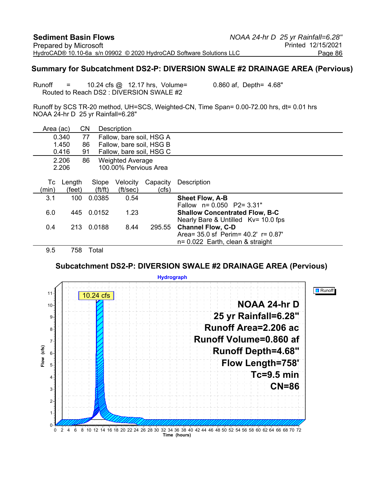#### **Summary for Subcatchment DS2-P: DIVERSION SWALE #2 DRAINAGE AREA (Pervious)**

Runoff  $=$  10.24 cfs  $\textcircled{a}$  12.17 hrs, Volume= 0.860 af, Depth= 4.68" Routed to Reach DS2 : DIVERSION SWALE #2

Runoff by SCS TR-20 method, UH=SCS, Weighted-CN, Time Span= 0.00-72.00 hrs, dt= 0.01 hrs NOAA 24-hr D 25 yr Rainfall=6.28"

| Area (ac)                              |        | <b>CN</b>             | Description              |          |                                           |
|----------------------------------------|--------|-----------------------|--------------------------|----------|-------------------------------------------|
|                                        | 0.340  | 77                    | Fallow, bare soil, HSG A |          |                                           |
|                                        | 1.450  | 86                    | Fallow, bare soil, HSG B |          |                                           |
|                                        | 0.416  | 91                    | Fallow, bare soil, HSG C |          |                                           |
| 2.206<br>86<br><b>Weighted Average</b> |        |                       |                          |          |                                           |
|                                        | 2.206  |                       | 100.00% Pervious Area    |          |                                           |
|                                        |        |                       |                          |          |                                           |
| Тc                                     | Length | Slope                 | Velocity                 | Capacity | Description                               |
| (min)                                  | (feet) | $({\rm ft}/{\rm ft})$ | (ft/sec)                 | (cfs)    |                                           |
| 3.1                                    | 100    | 0.0385                | 0.54                     |          | <b>Sheet Flow, A-B</b>                    |
|                                        |        |                       |                          |          | Fallow n= 0.050 P2= 3.31"                 |
| 6.0                                    | 445    | 0.0152                | 1.23                     |          | <b>Shallow Concentrated Flow, B-C</b>     |
|                                        |        |                       |                          |          | Nearly Bare & Untilled Kv= 10.0 fps       |
| 0.4                                    | 213    | 0.0188                | 8.44                     | 295.55   | <b>Channel Flow, C-D</b>                  |
|                                        |        |                       |                          |          | Area= $35.0$ sf Perim= $40.2'$ r= $0.87'$ |
|                                        |        |                       |                          |          | $n = 0.022$ Earth, clean & straight       |
| 9.5                                    | 758    | Total                 |                          |          |                                           |

**Subcatchment DS2-P: DIVERSION SWALE #2 DRAINAGE AREA (Pervious)**

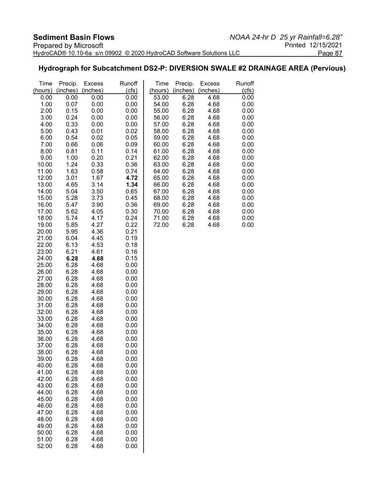#### **Hydrograph for Subcatchment DS2-P: DIVERSION SWALE #2 DRAINAGE AREA (Pervious)**

| Time           | Precip.      | <b>Excess</b><br>(inches) | Runoff       | Time<br>(hours) | Precip.      | <b>Excess</b> | Runoff       |
|----------------|--------------|---------------------------|--------------|-----------------|--------------|---------------|--------------|
| (hours)        | (inches)     |                           | (cts)        |                 | (inches)     | (inches)      | (cts)        |
| 0.00           | 0.00         | 0.00                      | 0.00         | 53.00           | 6.28         | 4.68          | 0.00         |
| 1.00           | 0.07         | 0.00                      | 0.00         | 54.00           | 6.28         | 4.68          | 0.00         |
| 2.00           | 0.15         | 0.00                      | 0.00         | 55.00           | 6.28         | 4.68          | 0.00         |
| 3.00           | 0.24         | 0.00                      | 0.00         | 56.00           | 6.28         | 4.68          | 0.00         |
| 4.00           | 0.33         | 0.00                      | 0.00         | 57.00           | 6.28         | 4.68          | 0.00         |
| 5.00           | 0.43         | 0.01                      | 0.02         | 58.00           | 6.28         | 4.68          | 0.00         |
| 6.00           | 0.54         | 0.02                      | 0.05         | 59.00           | 6.28         | 4.68          | 0.00         |
| 7.00           | 0.66         | 0.06                      | 0.09         | 60.00           | 6.28         | 4.68          | 0.00         |
| 8.00           | 0.81         | 0.11<br>0.20              | 0.14         | 61.00           | 6.28         | 4.68          | 0.00         |
| 9.00<br>10.00  | 1.00<br>1.24 | 0.33                      | 0.21<br>0.36 | 62.00<br>63.00  | 6.28<br>6.28 | 4.68<br>4.68  | 0.00<br>0.00 |
| 11.00          | 1.63         | 0.58                      | 0.74         | 64.00           | 6.28         | 4.68          | 0.00         |
| 12.00          | 3.01         | 1.67                      | 4.72         | 65.00           | 6.28         | 4.68          | 0.00         |
| 13.00          | 4.65         | 3.14                      | 1.34         | 66.00           | 6.28         | 4.68          | 0.00         |
| 14.00          | 5.04         | 3.50                      | 0.65         | 67.00           | 6.28         | 4.68          | 0.00         |
| 15.00          | 5.28         | 3.73                      | 0.45         | 68.00           | 6.28         | 4.68          | 0.00         |
| 16.00          | 5.47         | 3.90                      | 0.36         | 69.00           | 6.28         | 4.68          | 0.00         |
| 17.00          | 5.62         | 4.05                      | 0.30         | 70.00           | 6.28         | 4.68          | 0.00         |
| 18.00          | 5.74         | 4.17                      | 0.24         | 71.00           | 6.28         | 4.68          | 0.00         |
| 19.00          | 5.85         | 4.27                      | 0.22         | 72.00           | 6.28         | 4.68          | 0.00         |
| 20.00          | 5.95         | 4.36                      | 0.21         |                 |              |               |              |
| 21.00          | 6.04         | 4.45                      | 0.19         |                 |              |               |              |
| 22.00          | 6.13         | 4.53                      | 0.18         |                 |              |               |              |
| 23.00          | 6.21         | 4.61                      | 0.16         |                 |              |               |              |
| 24.00          | 6.28         | 4.68                      | 0.15         |                 |              |               |              |
| 25.00          | 6.28         | 4.68                      | 0.00         |                 |              |               |              |
| 26.00          | 6.28         | 4.68                      | 0.00         |                 |              |               |              |
| 27.00          | 6.28         | 4.68                      | 0.00         |                 |              |               |              |
| 28.00          | 6.28         | 4.68                      | 0.00         |                 |              |               |              |
| 29.00          | 6.28         | 4.68                      | 0.00         |                 |              |               |              |
| 30.00          | 6.28         | 4.68                      | 0.00         |                 |              |               |              |
| 31.00          | 6.28         | 4.68                      | 0.00         |                 |              |               |              |
| 32.00          | 6.28         | 4.68                      | 0.00         |                 |              |               |              |
| 33.00          | 6.28         | 4.68                      | 0.00         |                 |              |               |              |
| 34.00          | 6.28         | 4.68                      | 0.00         |                 |              |               |              |
| 35.00<br>36.00 | 6.28<br>6.28 | 4.68<br>4.68              | 0.00<br>0.00 |                 |              |               |              |
| 37.00          | 6.28         | 4.68                      | 0.00         |                 |              |               |              |
| 38.00          | 6.28         | 4.68                      | 0.00         |                 |              |               |              |
| 39.00          | 6.28         | 4.68                      | 0.00         |                 |              |               |              |
| 40.00          | 6.28         | 4.68                      | 0.00         |                 |              |               |              |
| 41.00          | 6.28         | 4.68                      | 0.00         |                 |              |               |              |
| 42.00          | 6.28         | 4.68                      | 0.00         |                 |              |               |              |
| 43.00          | 6.28         | 4.68                      | 0.00         |                 |              |               |              |
| 44.00          | 6.28         | 4.68                      | 0.00         |                 |              |               |              |
| 45.00          | 6.28         | 4.68                      | 0.00         |                 |              |               |              |
| 46.00          | 6.28         | 4.68                      | 0.00         |                 |              |               |              |
| 47.00          | 6.28         | 4.68                      | 0.00         |                 |              |               |              |
| 48.00          | 6.28         | 4.68                      | 0.00         |                 |              |               |              |
| 49.00          | 6.28         | 4.68                      | 0.00         |                 |              |               |              |
| 50.00          | 6.28         | 4.68                      | 0.00         |                 |              |               |              |
| 51.00          | 6.28         | 4.68                      | 0.00         |                 |              |               |              |
| 52.00          | 6.28         | 4.68                      | 0.00         |                 |              |               |              |
|                |              |                           |              |                 |              |               |              |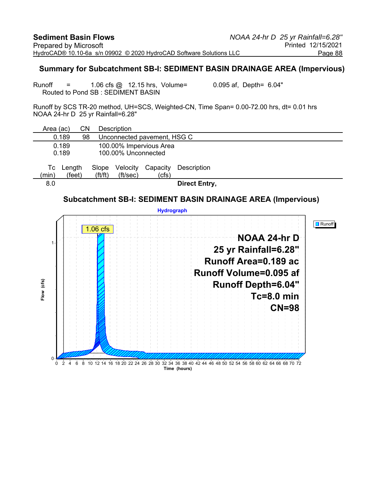#### **Summary for Subcatchment SB-I: SEDIMENT BASIN DRAINAGE AREA (Impervious)**

Runoff  $=$  1.06 cfs  $\omega$  12.15 hrs, Volume= 0.095 af, Depth= 6.04" Routed to Pond SB : SEDIMENT BASIN

Runoff by SCS TR-20 method, UH=SCS, Weighted-CN, Time Span= 0.00-72.00 hrs, dt= 0.01 hrs NOAA 24-hr D 25 yr Rainfall=6.28"

| Area (ac)             | CΝ     |                                | <b>Description</b>          |                         |                      |  |  |  |
|-----------------------|--------|--------------------------------|-----------------------------|-------------------------|----------------------|--|--|--|
| 0.189                 | 98     |                                | Unconnected pavement, HSG C |                         |                      |  |  |  |
| 0.189                 |        |                                |                             | 100.00% Impervious Area |                      |  |  |  |
| 0.189                 |        |                                | 100.00% Unconnected         |                         |                      |  |  |  |
| Length<br>Tc<br>(min) | (feet) | Slope<br>$({\rm ft}/{\rm ft})$ | Velocity<br>(ft/sec)        | Capacity<br>(cfs)       | Description          |  |  |  |
| 8.0                   |        |                                |                             |                         | <b>Direct Entry,</b> |  |  |  |

#### **Subcatchment SB-I: SEDIMENT BASIN DRAINAGE AREA (Impervious)**

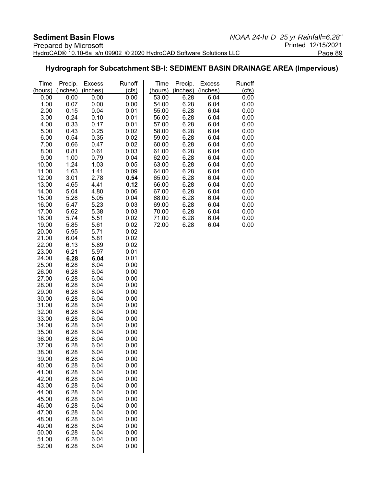#### **Hydrograph for Subcatchment SB-I: SEDIMENT BASIN DRAINAGE AREA (Impervious)**

| Time           | Precip.      | <b>Excess</b> | Runoff       | Time           | Precip.      | <b>Excess</b> | Runoff       |
|----------------|--------------|---------------|--------------|----------------|--------------|---------------|--------------|
| (hours)        | (inches)     | (inches)      | (cfs)        | (hours)        | (inches)     | (inches)      | (cfs)        |
| 0.00           | 0.00         | 0.00          | 0.00         | 53.00          | 6.28         | 6.04          | 0.00         |
| 1.00           | 0.07         | 0.00          | 0.00         | 54.00          | 6.28         | 6.04          | 0.00         |
| 2.00           | 0.15         | 0.04          | 0.01         | 55.00          | 6.28         | 6.04          | 0.00         |
| 3.00           | 0.24         | 0.10          | 0.01         | 56.00          | 6.28         | 6.04          | 0.00         |
| 4.00           | 0.33         | 0.17          | 0.01         | 57.00          | 6.28         | 6.04          | 0.00         |
| 5.00           | 0.43         | 0.25          | 0.02         | 58.00          | 6.28         | 6.04          | 0.00         |
| 6.00           | 0.54         | 0.35          | 0.02         | 59.00          | 6.28         | 6.04          | 0.00         |
| 7.00           | 0.66         | 0.47          | 0.02         | 60.00          | 6.28         | 6.04          | 0.00         |
| 8.00           | 0.81         | 0.61          | 0.03         | 61.00          | 6.28         | 6.04          | 0.00         |
| 9.00           | 1.00         | 0.79          | 0.04         | 62.00          | 6.28         | 6.04          | 0.00         |
| 10.00          | 1.24         | 1.03          | 0.05         | 63.00          | 6.28         | 6.04          | 0.00         |
| 11.00          | 1.63         | 1.41          | 0.09         | 64.00          | 6.28         | 6.04          | 0.00         |
| 12.00          | 3.01         | 2.78          | 0.54         | 65.00          | 6.28         | 6.04          | 0.00         |
| 13.00          | 4.65         | 4.41          | 0.12         | 66.00          | 6.28         | 6.04          | 0.00         |
| 14.00<br>15.00 | 5.04<br>5.28 | 4.80          | 0.06<br>0.04 | 67.00<br>68.00 | 6.28<br>6.28 | 6.04<br>6.04  | 0.00<br>0.00 |
| 16.00          | 5.47         | 5.05<br>5.23  | 0.03         | 69.00          | 6.28         | 6.04          | 0.00         |
| 17.00          | 5.62         | 5.38          | 0.03         | 70.00          | 6.28         | 6.04          | 0.00         |
| 18.00          | 5.74         | 5.51          | 0.02         | 71.00          | 6.28         | 6.04          | 0.00         |
| 19.00          | 5.85         | 5.61          | 0.02         | 72.00          | 6.28         | 6.04          | 0.00         |
| 20.00          | 5.95         | 5.71          | 0.02         |                |              |               |              |
| 21.00          | 6.04         | 5.81          | 0.02         |                |              |               |              |
| 22.00          | 6.13         | 5.89          | 0.02         |                |              |               |              |
| 23.00          | 6.21         | 5.97          | 0.01         |                |              |               |              |
| 24.00          | 6.28         | 6.04          | 0.01         |                |              |               |              |
| 25.00          | 6.28         | 6.04          | 0.00         |                |              |               |              |
| 26.00          | 6.28         | 6.04          | 0.00         |                |              |               |              |
| 27.00          | 6.28         | 6.04          | 0.00         |                |              |               |              |
| 28.00          | 6.28         | 6.04          | 0.00         |                |              |               |              |
| 29.00          | 6.28         | 6.04          | 0.00         |                |              |               |              |
| 30.00          | 6.28         | 6.04          | 0.00         |                |              |               |              |
| 31.00          | 6.28         | 6.04          | 0.00         |                |              |               |              |
| 32.00          | 6.28         | 6.04          | 0.00         |                |              |               |              |
| 33.00          | 6.28         | 6.04          | 0.00         |                |              |               |              |
| 34.00          | 6.28         | 6.04          | 0.00         |                |              |               |              |
| 35.00          | 6.28         | 6.04          | 0.00         |                |              |               |              |
| 36.00<br>37.00 | 6.28<br>6.28 | 6.04          | 0.00         |                |              |               |              |
|                |              | 6.04<br>6.04  | 0.00         |                |              |               |              |
| 38.00<br>39.00 | 6.28<br>6.28 | 6.04          | 0.00<br>0.00 |                |              |               |              |
| 40.00          | 6.28         | 6.04          | 0.00         |                |              |               |              |
| 41.00          | 6.28         | 6.04          | 0.00         |                |              |               |              |
| 42.00          | 6.28         | 6.04          | 0.00         |                |              |               |              |
| 43.00          | 6.28         | 6.04          | 0.00         |                |              |               |              |
| 44.00          | 6.28         | 6.04          | 0.00         |                |              |               |              |
| 45.00          | 6.28         | 6.04          | 0.00         |                |              |               |              |
| 46.00          | 6.28         | 6.04          | 0.00         |                |              |               |              |
| 47.00          | 6.28         | 6.04          | 0.00         |                |              |               |              |
| 48.00          | 6.28         | 6.04          | 0.00         |                |              |               |              |
| 49.00          | 6.28         | 6.04          | 0.00         |                |              |               |              |
| 50.00          | 6.28         | 6.04          | 0.00         |                |              |               |              |
| 51.00          | 6.28         | 6.04          | 0.00         |                |              |               |              |
| 52.00          | 6.28         | 6.04          | 0.00         |                |              |               |              |
|                |              |               |              |                |              |               |              |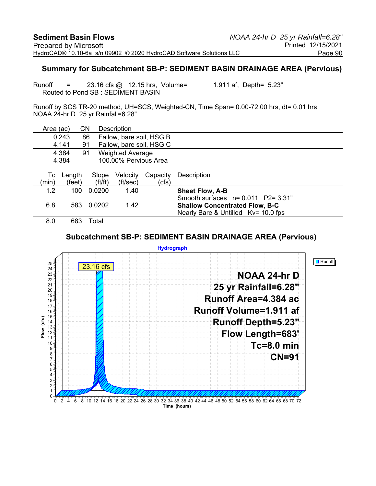#### **Summary for Subcatchment SB-P: SEDIMENT BASIN DRAINAGE AREA (Pervious)**

Runoff = 23.16 cfs @ 12.15 hrs, Volume= 1.911 af, Depth= 5.23" Routed to Pond SB : SEDIMENT BASIN

Runoff by SCS TR-20 method, UH=SCS, Weighted-CN, Time Span= 0.00-72.00 hrs, dt= 0.01 hrs NOAA 24-hr D 25 yr Rainfall=6.28"

| Area (ac)                      |        | CΝ                    | <b>Description</b>       |          |                                       |
|--------------------------------|--------|-----------------------|--------------------------|----------|---------------------------------------|
|                                | 0.243  | 86                    | Fallow, bare soil, HSG B |          |                                       |
|                                | 4.141  | 91                    | Fallow, bare soil, HSG C |          |                                       |
|                                | 4.384  | 91                    | <b>Weighted Average</b>  |          |                                       |
| 100.00% Pervious Area<br>4.384 |        |                       |                          |          |                                       |
|                                |        |                       |                          |          |                                       |
| Тc                             | Length | Slope                 | Velocity                 | Capacity | Description                           |
| (min)                          | (feet) | $({\rm ft}/{\rm ft})$ | (ft/sec)                 | (cfs)    |                                       |
| 1.2                            | 100    | 0.0200                | 1.40                     |          | <b>Sheet Flow, A-B</b>                |
|                                |        |                       |                          |          | Smooth surfaces $n = 0.011$ P2= 3.31" |
| 6.8                            | 583    | 0.0202                | 1.42                     |          | <b>Shallow Concentrated Flow, B-C</b> |
|                                |        |                       |                          |          | Nearly Bare & Untilled Kv= 10.0 fps   |
| 8.0                            | 683    | Total                 |                          |          |                                       |

#### **Subcatchment SB-P: SEDIMENT BASIN DRAINAGE AREA (Pervious)**

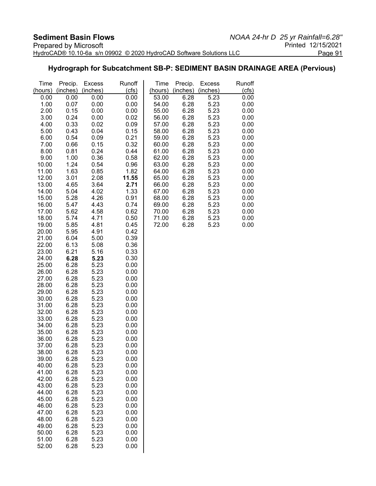## **Hydrograph for Subcatchment SB-P: SEDIMENT BASIN DRAINAGE AREA (Pervious)**

| Time           | Precip.      | <b>Excess</b> | Runoff       | Time           | Precip.      | <b>Excess</b> | Runoff       |
|----------------|--------------|---------------|--------------|----------------|--------------|---------------|--------------|
| (hours)        | (inches)     | (inches)      | (cls)        | (hours)        | (inches)     | (inches)      | (cfs)        |
| 0.00           | 0.00         | 0.00          | 0.00         | 53.00          | 6.28         | 5.23          | 0.00         |
| 1.00           | 0.07         | 0.00          | 0.00         | 54.00          | 6.28         | 5.23          | 0.00         |
| 2.00           | 0.15         | 0.00          | 0.00         | 55.00          | 6.28         | 5.23          | 0.00         |
| 3.00           | 0.24         | 0.00          | 0.02         | 56.00          | 6.28         | 5.23          | 0.00         |
| 4.00           | 0.33         | 0.02          | 0.09         | 57.00          | 6.28         | 5.23          | 0.00         |
| 5.00           | 0.43         | 0.04          | 0.15         | 58.00          | 6.28         | 5.23          | 0.00         |
| 6.00           | 0.54         | 0.09          | 0.21         | 59.00          | 6.28         | 5.23          | 0.00         |
| 7.00           | 0.66<br>0.81 | 0.15<br>0.24  | 0.32         | 60.00          | 6.28<br>6.28 | 5.23<br>5.23  | 0.00         |
| 8.00<br>9.00   | 1.00         | 0.36          | 0.44<br>0.58 | 61.00<br>62.00 | 6.28         | 5.23          | 0.00<br>0.00 |
| 10.00          | 1.24         | 0.54          | 0.96         | 63.00          | 6.28         | 5.23          | 0.00         |
| 11.00          | 1.63         | 0.85          | 1.82         | 64.00          | 6.28         | 5.23          | 0.00         |
| 12.00          | 3.01         | 2.08          | 11.55        | 65.00          | 6.28         | 5.23          | 0.00         |
| 13.00          | 4.65         | 3.64          | 2.71         | 66.00          | 6.28         | 5.23          | 0.00         |
| 14.00          | 5.04         | 4.02          | 1.33         | 67.00          | 6.28         | 5.23          | 0.00         |
| 15.00          | 5.28         | 4.26          | 0.91         | 68.00          | 6.28         | 5.23          | 0.00         |
| 16.00          | 5.47         | 4.43          | 0.74         | 69.00          | 6.28         | 5.23          | 0.00         |
| 17.00          | 5.62         | 4.58          | 0.62         | 70.00          | 6.28         | 5.23          | 0.00         |
| 18.00          | 5.74         | 4.71          | 0.50         | 71.00          | 6.28         | 5.23          | 0.00         |
| 19.00          | 5.85         | 4.81          | 0.45         | 72.00          | 6.28         | 5.23          | 0.00         |
| 20.00          | 5.95         | 4.91          | 0.42         |                |              |               |              |
| 21.00          | 6.04         | 5.00          | 0.39         |                |              |               |              |
| 22.00          | 6.13         | 5.08          | 0.36         |                |              |               |              |
| 23.00<br>24.00 | 6.21<br>6.28 | 5.16          | 0.33         |                |              |               |              |
| 25.00          | 6.28         | 5.23<br>5.23  | 0.30<br>0.00 |                |              |               |              |
| 26.00          | 6.28         | 5.23          | 0.00         |                |              |               |              |
| 27.00          | 6.28         | 5.23          | 0.00         |                |              |               |              |
| 28.00          | 6.28         | 5.23          | 0.00         |                |              |               |              |
| 29.00          | 6.28         | 5.23          | 0.00         |                |              |               |              |
| 30.00          | 6.28         | 5.23          | 0.00         |                |              |               |              |
| 31.00          | 6.28         | 5.23          | 0.00         |                |              |               |              |
| 32.00          | 6.28         | 5.23          | 0.00         |                |              |               |              |
| 33.00          | 6.28         | 5.23          | 0.00         |                |              |               |              |
| 34.00          | 6.28         | 5.23          | 0.00         |                |              |               |              |
| 35.00          | 6.28         | 5.23          | 0.00         |                |              |               |              |
| 36.00          | 6.28         | 5.23          | 0.00         |                |              |               |              |
| 37.00          | 6.28         | 5.23          | 0.00         |                |              |               |              |
| 38.00<br>39.00 | 6.28<br>6.28 | 5.23<br>5.23  | 0.00<br>0.00 |                |              |               |              |
| 40.00          | 6.28         | 5.23          | 0.00         |                |              |               |              |
| 41.00          | 6.28         | 5.23          | 0.00         |                |              |               |              |
| 42.00          | 6.28         | 5.23          | 0.00         |                |              |               |              |
| 43.00          | 6.28         | 5.23          | 0.00         |                |              |               |              |
| 44.00          | 6.28         | 5.23          | 0.00         |                |              |               |              |
| 45.00          | 6.28         | 5.23          | 0.00         |                |              |               |              |
| 46.00          | 6.28         | 5.23          | 0.00         |                |              |               |              |
| 47.00          | 6.28         | 5.23          | 0.00         |                |              |               |              |
| 48.00          | 6.28         | 5.23          | 0.00         |                |              |               |              |
| 49.00          | 6.28         | 5.23          | 0.00         |                |              |               |              |
| 50.00          | 6.28         | 5.23          | 0.00         |                |              |               |              |
| 51.00<br>52.00 | 6.28<br>6.28 | 5.23          | 0.00         |                |              |               |              |
|                |              | 5.23          | 0.00         |                |              |               |              |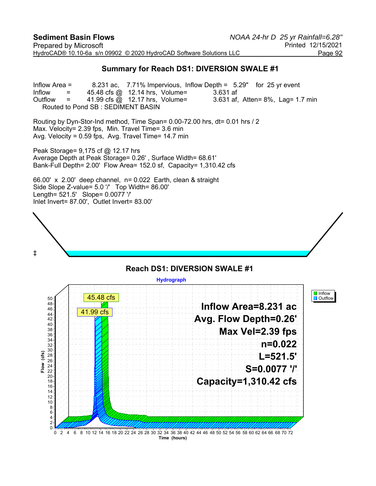#### **Summary for Reach DS1: DIVERSION SWALE #1**

Inflow Area = 8.231 ac, 7.71% Impervious, Inflow Depth = 5.29" for 25 yr event Inflow  $=$  45.48 cfs @ 12.14 hrs, Volume= 3.631 af Outflow  $=$  41.99 cfs  $\omega$  12.17 hrs, Volume= 3.631 af, Atten= 8%, Lag= 1.7 min Routed to Pond SB : SEDIMENT BASIN

Routing by Dyn-Stor-Ind method, Time Span= 0.00-72.00 hrs, dt= 0.01 hrs / 2 Max. Velocity= 2.39 fps, Min. Travel Time= 3.6 min Avg. Velocity = 0.59 fps, Avg. Travel Time= 14.7 min

Peak Storage= 9,175 cf @ 12.17 hrs Average Depth at Peak Storage= 0.26' , Surface Width= 68.61' Bank-Full Depth= 2.00' Flow Area= 152.0 sf, Capacity= 1,310.42 cfs

66.00' x 2.00' deep channel, n= 0.022 Earth, clean & straight Side Slope Z-value= 5.0 '/' Top Width= 86.00' Length= 521.5' Slope= 0.0077 '/' Inlet Invert= 87.00', Outlet Invert= 83.00'



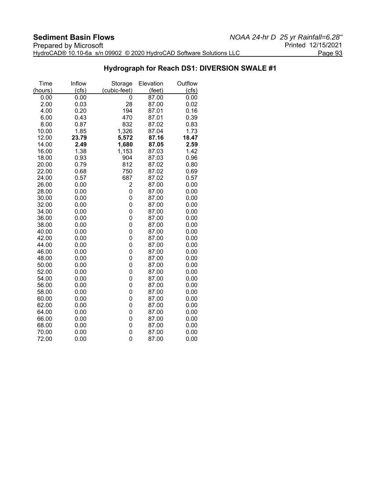#### **Hydrograph for Reach DS1: DIVERSION SWALE #1**

| Time    | Inflow | Storage        | Elevation | Outflow |
|---------|--------|----------------|-----------|---------|
| (hours) | (cfs)  | (cubic-feet)   | (feet)    | (cts)   |
| 0.00    | 0.00   | 0              | 87.00     | 0.00    |
| 2.00    | 0.03   | 28             | 87.00     | 0.02    |
| 4.00    | 0.20   | 194            | 87.01     | 0.16    |
| 6.00    | 0.43   | 470            | 87.01     | 0.39    |
| 8.00    | 0.87   | 832            | 87.02     | 0.83    |
| 10.00   | 1.85   | 1,326          | 87.04     | 1.73    |
| 12.00   | 23.79  | 5,572          | 87.16     | 18.47   |
| 14.00   | 2.49   | 1,680          | 87.05     | 2.59    |
| 16.00   | 1.38   | 1,153          | 87.03     | 1.42    |
| 18.00   | 0.93   | 904            | 87.03     | 0.96    |
| 20.00   | 0.79   | 812            | 87.02     | 0.80    |
| 22.00   | 0.68   | 750            | 87.02     | 0.69    |
| 24.00   | 0.57   | 687            | 87.02     | 0.57    |
| 26.00   | 0.00   | 2              | 87.00     | 0.00    |
| 28.00   | 0.00   | 0              | 87.00     | 0.00    |
| 30.00   | 0.00   | 0              | 87.00     | 0.00    |
| 32.00   | 0.00   | 0              | 87.00     | 0.00    |
| 34.00   | 0.00   | 0              | 87.00     | 0.00    |
| 36.00   | 0.00   | 0              | 87.00     | 0.00    |
| 38.00   | 0.00   | 0              | 87.00     | 0.00    |
| 40.00   | 0.00   | $\overline{0}$ | 87.00     | 0.00    |
| 42.00   | 0.00   | 0              | 87.00     | 0.00    |
| 44.00   | 0.00   | 0              | 87.00     | 0.00    |
| 46.00   | 0.00   | 0              | 87.00     | 0.00    |
| 48.00   | 0.00   | 0              | 87.00     | 0.00    |
| 50.00   | 0.00   | 0              | 87.00     | 0.00    |
| 52.00   | 0.00   | 0              | 87.00     | 0.00    |
| 54.00   | 0.00   | 0              | 87.00     | 0.00    |
| 56.00   | 0.00   | 0              | 87.00     | 0.00    |
| 58.00   | 0.00   | 0              | 87.00     | 0.00    |
| 60.00   | 0.00   | 0              | 87.00     | 0.00    |
| 62.00   | 0.00   | 0              | 87.00     | 0.00    |
| 64.00   | 0.00   | 0              | 87.00     | 0.00    |
| 66.00   | 0.00   | 0              | 87.00     | 0.00    |
| 68.00   | 0.00   | 0              | 87.00     | 0.00    |
| 70.00   | 0.00   | 0              | 87.00     | 0.00    |
| 72.00   | 0.00   | 0              | 87.00     | 0.00    |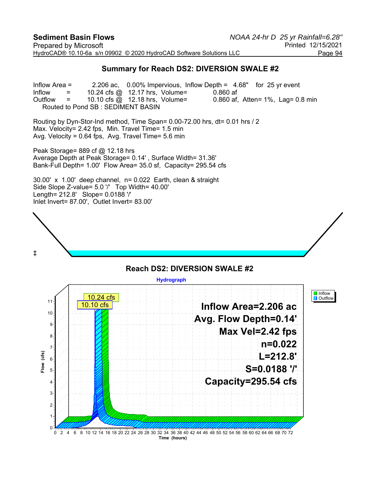#### **Summary for Reach DS2: DIVERSION SWALE #2**

Inflow Area = 2.206 ac, 0.00% Impervious, Inflow Depth = 4.68" for 25 yr event  $Inflow = 10.24 \text{ cfs } @. 12.17 \text{ hrs}, \text{ Volume} = 0.860 \text{ af}$ Outflow  $=$  10.10 cfs  $\textcircled{a}$  12.18 hrs, Volume= 0.860 af, Atten= 1%, Lag= 0.8 min Routed to Pond SB : SEDIMENT BASIN

Routing by Dyn-Stor-Ind method, Time Span= 0.00-72.00 hrs, dt= 0.01 hrs / 2 Max. Velocity= 2.42 fps, Min. Travel Time= 1.5 min Avg. Velocity = 0.64 fps, Avg. Travel Time= 5.6 min

Peak Storage= 889 cf @ 12.18 hrs Average Depth at Peak Storage= 0.14' , Surface Width= 31.36' Bank-Full Depth= 1.00' Flow Area= 35.0 sf, Capacity= 295.54 cfs

30.00' x 1.00' deep channel, n= 0.022 Earth, clean & straight Side Slope Z-value= 5.0 '/' Top Width= 40.00' Length= 212.8' Slope= 0.0188 '/' Inlet Invert= 87.00', Outlet Invert= 83.00'



#### **Reach DS2: DIVERSION SWALE #2 Hydrograph I** Inflow 10.24 cfs **D** Outflow 11 **Inflow Area=2.206 ac** 10.10 cfs $10 -$ **Avg. Flow Depth=0.14'** 9 **Max Vel=2.42 fps** 8 **n=0.022** 7  $(cts)$ **Flow (cfs) L=212.8'** 6 Flow **S=0.0188 '/'** 5 **Capacity=295.54 cfs** 4 3 2 1  $\Omega$ 0 2 4 6 8 10 12 14 16 18 20 22 24 26 28 30 32 34 36 38 40 42 44 46 48 50 52 54 56 58 60 62 64 66 68 70 72 **Time (hours)**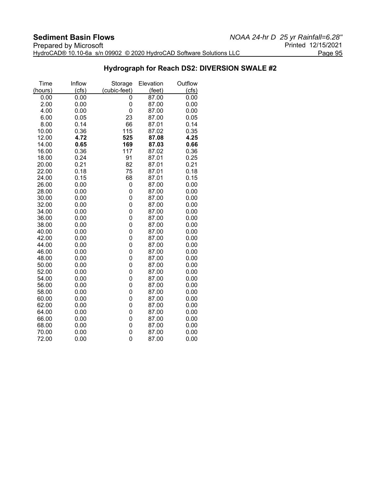#### **Hydrograph for Reach DS2: DIVERSION SWALE #2**

| Time    | Inflow | Storage      | Elevation | Outflow |
|---------|--------|--------------|-----------|---------|
| (hours) | (cfs)  | (cubic-feet) | (feet)    | (cts)   |
| 0.00    | 0.00   | 0            | 87.00     | 0.00    |
| 2.00    | 0.00   | 0            | 87.00     | 0.00    |
| 4.00    | 0.00   | 0            | 87.00     | 0.00    |
| 6.00    | 0.05   | 23           | 87.00     | 0.05    |
| 8.00    | 0.14   | 66           | 87.01     | 0.14    |
| 10.00   | 0.36   | 115          | 87.02     | 0.35    |
| 12.00   | 4.72   | 525          | 87.08     | 4.25    |
| 14.00   | 0.65   | 169          | 87.03     | 0.66    |
| 16.00   | 0.36   | 117          | 87.02     | 0.36    |
| 18.00   | 0.24   | 91           | 87.01     | 0.25    |
| 20.00   | 0.21   | 82           | 87.01     | 0.21    |
| 22.00   | 0.18   | 75           | 87.01     | 0.18    |
| 24.00   | 0.15   | 68           | 87.01     | 0.15    |
| 26.00   | 0.00   | 0            | 87.00     | 0.00    |
| 28.00   | 0.00   | 0            | 87.00     | 0.00    |
| 30.00   | 0.00   | 0            | 87.00     | 0.00    |
| 32.00   | 0.00   | 0            | 87.00     | 0.00    |
| 34.00   | 0.00   | 0            | 87.00     | 0.00    |
| 36.00   | 0.00   | 0            | 87.00     | 0.00    |
| 38.00   | 0.00   | 0            | 87.00     | 0.00    |
| 40.00   | 0.00   | 0            | 87.00     | 0.00    |
| 42.00   | 0.00   | 0            | 87.00     | 0.00    |
| 44.00   | 0.00   | 0            | 87.00     | 0.00    |
| 46.00   | 0.00   | 0            | 87.00     | 0.00    |
| 48.00   | 0.00   | 0            | 87.00     | 0.00    |
| 50.00   | 0.00   | 0            | 87.00     | 0.00    |
| 52.00   | 0.00   | 0            | 87.00     | 0.00    |
| 54.00   | 0.00   | 0            | 87.00     | 0.00    |
| 56.00   | 0.00   | 0            | 87.00     | 0.00    |
| 58.00   | 0.00   | 0            | 87.00     | 0.00    |
| 60.00   | 0.00   | 0            | 87.00     | 0.00    |
| 62.00   | 0.00   | 0            | 87.00     | 0.00    |
| 64.00   | 0.00   | 0            | 87.00     | 0.00    |
| 66.00   | 0.00   | 0            | 87.00     | 0.00    |
| 68.00   | 0.00   | 0            | 87.00     | 0.00    |
| 70.00   | 0.00   | 0            | 87.00     | 0.00    |
| 72.00   | 0.00   | 0            | 87.00     | 0.00    |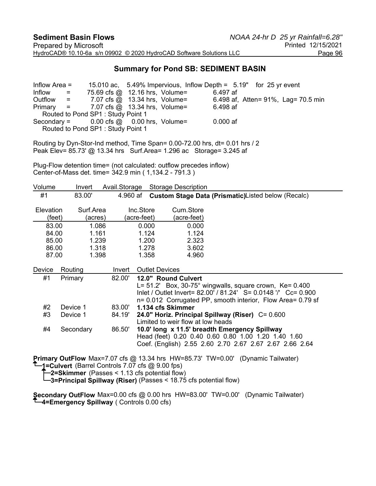#### **Summary for Pond SB: SEDIMENT BASIN**

Inflow Area = 15.010 ac, 5.49% Impervious, Inflow Depth = 5.19" for 25 yr event  $Inform 1.32<sup>th</sup> = 75.69 cfs @ 12.16 hrs, Volume= 6.497 af$ Outflow = 7.07 cfs @ 13.34 hrs, Volume= 6.498 af, Atten= 91%, Lag= 70.5 min Primary = 7.07 cfs @ 13.34 hrs, Volume= 6.498 af Routed to Pond SP1 : Study Point 1 Secondary =  $0.00$  cfs  $\omega = 0.00$  hrs, Volume=  $0.000$  af Routed to Pond SP1 : Study Point 1

Routing by Dyn-Stor-Ind method, Time Span= 0.00-72.00 hrs, dt= 0.01 hrs / 2 Peak Elev= 85.73' @ 13.34 hrs Surf.Area= 1.296 ac Storage= 3.245 af

Plug-Flow detention time= (not calculated: outflow precedes inflow) Center-of-Mass det. time= 342.9 min ( 1,134.2 - 791.3 )

| Volume              | Invert                                                              | Avail.Storage |                         | <b>Storage Description</b>                                                                                                                                                                                         |
|---------------------|---------------------------------------------------------------------|---------------|-------------------------|--------------------------------------------------------------------------------------------------------------------------------------------------------------------------------------------------------------------|
| #1                  | 83.00'                                                              | 4.960 af      |                         | Custom Stage Data (Prismatic)Listed below (Recalc)                                                                                                                                                                 |
| Elevation<br>(feet) | Surf.Area<br>(acres)                                                |               | Inc.Store<br>acre-feet) | Cum.Store<br>(acre-feet)                                                                                                                                                                                           |
| 83.00               | 1.086                                                               |               | 0.000                   | 0.000                                                                                                                                                                                                              |
| 84.00               | 1.161                                                               |               | 1.124                   | 1.124                                                                                                                                                                                                              |
| 85.00               | 1.239                                                               |               | 1.200                   | 2.323                                                                                                                                                                                                              |
| 86.00               | 1.318                                                               |               | 1.278                   | 3.602                                                                                                                                                                                                              |
| 87.00               | 1.398                                                               |               | 1.358                   | 4.960                                                                                                                                                                                                              |
| Device              | Routing                                                             | Invert        | <b>Outlet Devices</b>   |                                                                                                                                                                                                                    |
| #1                  | Primary                                                             | 82.00'        |                         | 12.0" Round Culvert<br>$L = 51.2'$ Box, 30-75° wingwalls, square crown, Ke= 0.400<br>Inlet / Outlet Invert= 82.00' / 81.24' S= 0.0148 '/' Cc= 0.900<br>n= 0.012 Corrugated PP, smooth interior, Flow Area= 0.79 sf |
| #2                  | Device 1                                                            | 83.00'        |                         | 1.134 cfs Skimmer                                                                                                                                                                                                  |
| #3                  | Device 1                                                            | 84.19'        |                         | 24.0" Horiz. Principal Spillway (Riser) C= 0.600<br>Limited to weir flow at low heads                                                                                                                              |
| #4                  | Secondary                                                           | 86.50'        |                         | 10.0' long x 11.5' breadth Emergency Spillway<br>Head (feet) 0.20 0.40 0.60 0.80 1.00 1.20 1.40 1.60<br>Coef. (English) 2.55 2.60 2.70 2.67 2.67 2.67 2.66 2.64                                                    |
|                     | $\uparrow$ 4-Culvest (Berrol Centrele 7.07 etc. $\otimes$ 0.00 fro) |               |                         | <b>Primary OutFlow</b> Max=7.07 cfs @ 13.34 hrs HW=85.73' TW=0.00' (Dynamic Tailwater)                                                                                                                             |

**1=Culvert** (Barrel Controls 7.07 cfs @ 9.00 fps)

**2=Skimmer** (Passes < 1.13 cfs potential flow)

**3=Principal Spillway (Riser)** (Passes < 18.75 cfs potential flow)

**Secondary OutFlow** Max=0.00 cfs @ 0.00 hrs HW=83.00' TW=0.00' (Dynamic Tailwater) **4=Emergency Spillway** ( Controls 0.00 cfs)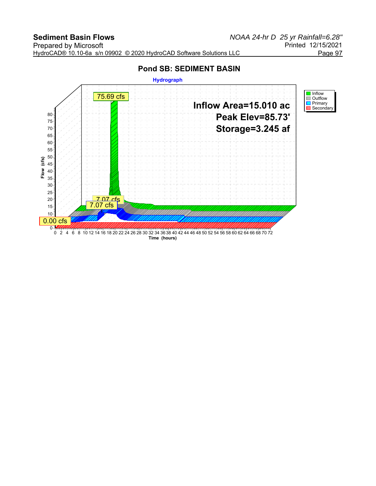# **Pond SB: SEDIMENT BASIN Hydrograph** 75.69 cfs





**Time (hours)**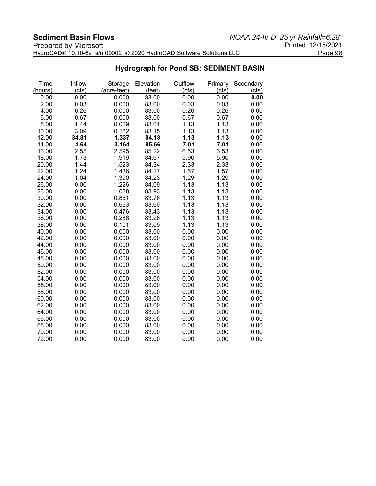| Prepared by Microsoft                                               | Printed 12/15/2021 |
|---------------------------------------------------------------------|--------------------|
| HydroCAD® 10.10-6a s/n 09902 © 2020 HydroCAD Software Solutions LLC | Page 98            |

### **Hydrograph for Pond SB: SEDIMENT BASIN**

| Time    | Inflow | Storage     | Elevation | Outflow | Primary | Secondary |
|---------|--------|-------------|-----------|---------|---------|-----------|
| (hours) | (cfs)  | (acre-feet) | (feet)    | (cfs)   | (cfs)   | (cfs)     |
| 0.00    | 0.00   | 0.000       | 83.00     | 0.00    | 0.00    | 0.00      |
| 2.00    | 0.03   | 0.000       | 83.00     | 0.03    | 0.03    | 0.00      |
| 4.00    | 0.26   | 0.000       | 83.00     | 0.26    | 0.26    | 0.00      |
| 6.00    | 0.67   | 0.000       | 83.00     | 0.67    | 0.67    | 0.00      |
| 8.00    | 1.44   | 0.009       | 83.01     | 1.13    | 1.13    | 0.00      |
| 10.00   | 3.09   | 0.162       | 83.15     | 1.13    | 1.13    | 0.00      |
| 12.00   | 34.81  | 1.337       | 84.18     | 1.13    | 1.13    | 0.00      |
| 14.00   | 4.64   | 3.164       | 85.66     | 7.01    | 7.01    | 0.00      |
| 16.00   | 2.55   | 2.595       | 85.22     | 6.53    | 6.53    | 0.00      |
| 18.00   | 1.73   | 1.919       | 84.67     | 5.90    | 5.90    | 0.00      |
| 20.00   | 1.44   | 1.523       | 84.34     | 2.33    | 2.33    | 0.00      |
| 22.00   | 1.24   | 1.436       | 84.27     | 1.57    | 1.57    | 0.00      |
| 24.00   | 1.04   | 1.390       | 84.23     | 1.29    | 1.29    | 0.00      |
| 26.00   | 0.00   | 1.226       | 84.09     | 1.13    | 1.13    | 0.00      |
| 28.00   | 0.00   | 1.038       | 83.93     | 1.13    | 1.13    | 0.00      |
| 30.00   | 0.00   | 0.851       | 83.76     | 1.13    | 1.13    | 0.00      |
| 32.00   | 0.00   | 0.663       | 83.60     | 1.13    | 1.13    | 0.00      |
| 34.00   | 0.00   | 0.476       | 83.43     | 1.13    | 1.13    | 0.00      |
| 36.00   | 0.00   | 0.288       | 83.26     | 1.13    | 1.13    | 0.00      |
| 38.00   | 0.00   | 0.101       | 83.09     | 1.13    | 1.13    | 0.00      |
| 40.00   | 0.00   | 0.000       | 83.00     | 0.00    | 0.00    | 0.00      |
| 42.00   | 0.00   | 0.000       | 83.00     | 0.00    | 0.00    | 0.00      |
| 44.00   | 0.00   | 0.000       | 83.00     | 0.00    | 0.00    | 0.00      |
| 46.00   | 0.00   | 0.000       | 83.00     | 0.00    | 0.00    | 0.00      |
| 48.00   | 0.00   | 0.000       | 83.00     | 0.00    | 0.00    | 0.00      |
| 50.00   | 0.00   | 0.000       | 83.00     | 0.00    | 0.00    | 0.00      |
| 52.00   | 0.00   | 0.000       | 83.00     | 0.00    | 0.00    | 0.00      |
| 54.00   | 0.00   | 0.000       | 83.00     | 0.00    | 0.00    | 0.00      |
| 56.00   | 0.00   | 0.000       | 83.00     | 0.00    | 0.00    | 0.00      |
| 58.00   | 0.00   | 0.000       | 83.00     | 0.00    | 0.00    | 0.00      |
| 60.00   | 0.00   | 0.000       | 83.00     | 0.00    | 0.00    | 0.00      |
| 62.00   | 0.00   | 0.000       | 83.00     | 0.00    | 0.00    | 0.00      |
| 64.00   | 0.00   | 0.000       | 83.00     | 0.00    | 0.00    | 0.00      |
| 66.00   | 0.00   | 0.000       | 83.00     | 0.00    | 0.00    | 0.00      |
| 68.00   | 0.00   | 0.000       | 83.00     | 0.00    | 0.00    | 0.00      |
| 70.00   | 0.00   | 0.000       | 83.00     | 0.00    | 0.00    | 0.00      |
| 72.00   | 0.00   | 0.000       | 83.00     | 0.00    | 0.00    | 0.00      |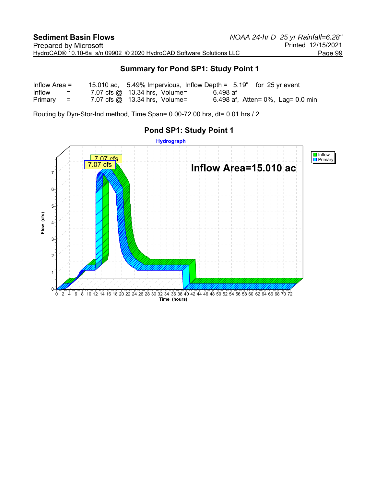#### **Summary for Pond SP1: Study Point 1**

| Inflow Area $=$ |          |                                      |          | 15.010 ac, 5.49% Impervious, Inflow Depth = 5.19" for 25 yr event |
|-----------------|----------|--------------------------------------|----------|-------------------------------------------------------------------|
| Inflow          | $\equiv$ | 7.07 cfs $@$ 13.34 hrs, Volume=      | 6.498 af |                                                                   |
| $Primary =$     |          | 7.07 cfs $\omega$ 13.34 hrs, Volume= |          | 6.498 af, Atten= $0\%$ , Lag= 0.0 min                             |

Routing by Dyn-Stor-Ind method, Time Span= 0.00-72.00 hrs, dt= 0.01 hrs / 2

## **Hydrograph** Inflow Primary 7.07 cfs 7.07 cfs**Inflow Area=15.010 ac** 7 6 5 Flow (cfs) **Flow (cfs)** 4 3 2 1  $\Omega$ 0 2 4 6 8 10 12 14 16 18 20 22 24 26 28 30 32 34 36 38 40 42 44 46 48 50 52 54 56 58 60 62 64 66 68 70 72 **Time (hours)**

### **Pond SP1: Study Point 1**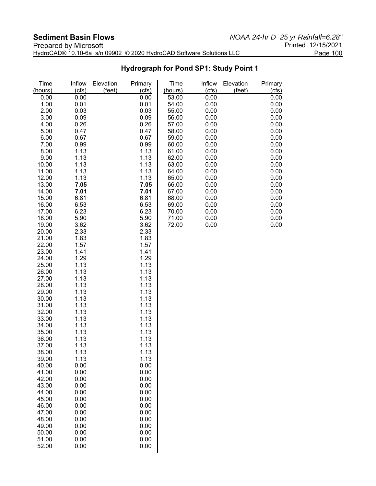| Prepared by Microsoft                                               | Printed 12/15/2021 |
|---------------------------------------------------------------------|--------------------|
| HydroCAD® 10.10-6a s/n 09902 © 2020 HydroCAD Software Solutions LLC | Page 100           |

**Hydrograph for Pond SP1: Study Point 1**

| Time<br>(hours) | Inflow<br>(cfs) | Elevation<br>(feet) | Primary<br>(cfs) | Time<br>(hours) | Inflow<br>(cts) | Elevation<br>(feet) | Primary<br>(cfs) |
|-----------------|-----------------|---------------------|------------------|-----------------|-----------------|---------------------|------------------|
| 0.00            | 0.00            |                     | 0.00             | 53.00           | 0.00            |                     | 0.00             |
| 1.00            | 0.01            |                     | 0.01             | 54.00           | 0.00            |                     | 0.00             |
| 2.00            |                 |                     |                  |                 |                 |                     |                  |
|                 | 0.03            |                     | 0.03             | 55.00           | 0.00            |                     | 0.00             |
| 3.00            | 0.09            |                     | 0.09             | 56.00           | 0.00            |                     | 0.00             |
| 4.00            | 0.26            |                     | 0.26             | 57.00           | 0.00            |                     | 0.00             |
| 5.00            | 0.47            |                     | 0.47             | 58.00           | 0.00            |                     | 0.00             |
| 6.00            | 0.67            |                     | 0.67             | 59.00           | 0.00            |                     | 0.00             |
| 7.00            | 0.99            |                     | 0.99             | 60.00           | 0.00            |                     | 0.00             |
| 8.00            | 1.13            |                     | 1.13             | 61.00           | 0.00            |                     | 0.00             |
| 9.00            | 1.13            |                     | 1.13             | 62.00           | 0.00            |                     | 0.00             |
| 10.00           | 1.13            |                     | 1.13             | 63.00           | 0.00            |                     | 0.00             |
| 11.00           | 1.13            |                     | 1.13             | 64.00           | 0.00            |                     | 0.00             |
| 12.00           | 1.13            |                     | 1.13             | 65.00           | 0.00            |                     | 0.00             |
| 13.00           | 7.05            |                     | 7.05             | 66.00           | 0.00            |                     | 0.00             |
| 14.00           | 7.01            |                     | 7.01             | 67.00           | 0.00            |                     | 0.00             |
| 15.00           | 6.81            |                     | 6.81             | 68.00           | 0.00            |                     | 0.00             |
| 16.00           | 6.53            |                     | 6.53             | 69.00           | 0.00            |                     | 0.00             |
| 17.00           | 6.23            |                     | 6.23             | 70.00           | 0.00            |                     | 0.00             |
| 18.00           | 5.90            |                     | 5.90             | 71.00           | 0.00            |                     | 0.00             |
| 19.00           | 3.62            |                     | 3.62             | 72.00           | 0.00            |                     | 0.00             |
| 20.00           | 2.33            |                     | 2.33             |                 |                 |                     |                  |
| 21.00           | 1.83            |                     | 1.83             |                 |                 |                     |                  |
| 22.00           | 1.57            |                     | 1.57             |                 |                 |                     |                  |
| 23.00           | 1.41            |                     | 1.41             |                 |                 |                     |                  |
| 24.00           | 1.29            |                     | 1.29             |                 |                 |                     |                  |
| 25.00           | 1.13            |                     | 1.13             |                 |                 |                     |                  |
| 26.00           | 1.13            |                     | 1.13             |                 |                 |                     |                  |
| 27.00           | 1.13            |                     | 1.13             |                 |                 |                     |                  |
| 28.00           | 1.13            |                     | 1.13             |                 |                 |                     |                  |
| 29.00           | 1.13            |                     | 1.13             |                 |                 |                     |                  |
| 30.00           | 1.13            |                     | 1.13             |                 |                 |                     |                  |
| 31.00           | 1.13            |                     | 1.13             |                 |                 |                     |                  |
| 32.00           | 1.13            |                     | 1.13             |                 |                 |                     |                  |
| 33.00           | 1.13            |                     | 1.13             |                 |                 |                     |                  |
| 34.00           | 1.13            |                     | 1.13             |                 |                 |                     |                  |
| 35.00           | 1.13            |                     | 1.13             |                 |                 |                     |                  |
| 36.00           | 1.13            |                     | 1.13             |                 |                 |                     |                  |
| 37.00           | 1.13            |                     | 1.13             |                 |                 |                     |                  |
| 38.00           | 1.13            |                     | 1.13             |                 |                 |                     |                  |
| 39.00           | 1.13            |                     | 1.13             |                 |                 |                     |                  |
| 40.00           | 0.00            |                     | 0.00             |                 |                 |                     |                  |
| 41.00<br>42.00  | 0.00<br>0.00    |                     | 0.00<br>0.00     |                 |                 |                     |                  |
| 43.00           |                 |                     | 0.00             |                 |                 |                     |                  |
| 44.00           | 0.00<br>0.00    |                     | 0.00             |                 |                 |                     |                  |
| 45.00           | 0.00            |                     | 0.00             |                 |                 |                     |                  |
| 46.00           | 0.00            |                     | 0.00             |                 |                 |                     |                  |
| 47.00           | 0.00            |                     | 0.00             |                 |                 |                     |                  |
| 48.00           | 0.00            |                     | 0.00             |                 |                 |                     |                  |
| 49.00           | 0.00            |                     | 0.00             |                 |                 |                     |                  |
| 50.00           | 0.00            |                     | 0.00             |                 |                 |                     |                  |
| 51.00           | 0.00            |                     | 0.00             |                 |                 |                     |                  |
| 52.00           | 0.00            |                     | 0.00             |                 |                 |                     |                  |
|                 |                 |                     |                  |                 |                 |                     |                  |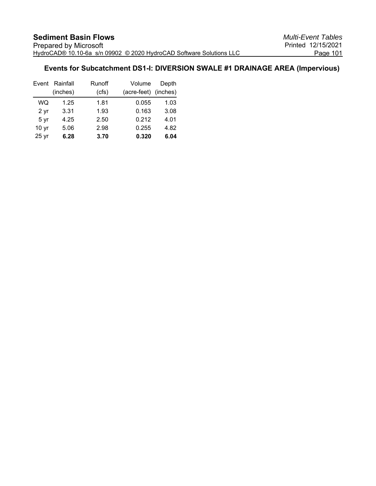#### **Events for Subcatchment DS1-I: DIVERSION SWALE #1 DRAINAGE AREA (Impervious)**

|                  | Event Rainfall | <b>Runoff</b> | Volume      | Depth    |
|------------------|----------------|---------------|-------------|----------|
|                  | (inches)       | (cfs)         | (acre-feet) | (inches) |
| WQ               | 1.25           | 1.81          | 0.055       | 1.03     |
| 2 yr             | 3.31           | 1.93          | 0.163       | 3.08     |
| 5 yr             | 4.25           | 2.50          | 0.212       | 4.01     |
| 10 <sub>yr</sub> | 5.06           | 2.98          | 0.255       | 4.82     |
| 25 <sub>yr</sub> | 6.28           | 3.70          | 0.320       | 6.04     |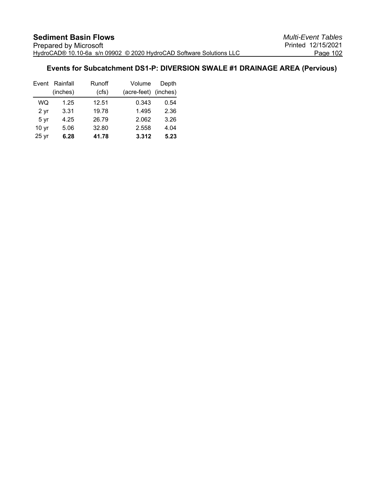# **Events for Subcatchment DS1-P: DIVERSION SWALE #1 DRAINAGE AREA (Pervious)**

| Event            | Rainfall | <b>Runoff</b> | Volume      | Depth    |
|------------------|----------|---------------|-------------|----------|
|                  | (inches) | (cfs)         | (acre-feet) | (inches) |
| WQ               | 1.25     | 12.51         | 0.343       | 0.54     |
| 2 yr             | 3.31     | 19.78         | 1.495       | 2.36     |
| 5 yr             | 4.25     | 26.79         | 2.062       | 3.26     |
| 10 <sub>yr</sub> | 5.06     | 32.80         | 2.558       | 4.04     |
| 25 <sub>yr</sub> | 6.28     | 41.78         | 3.312       | 5.23     |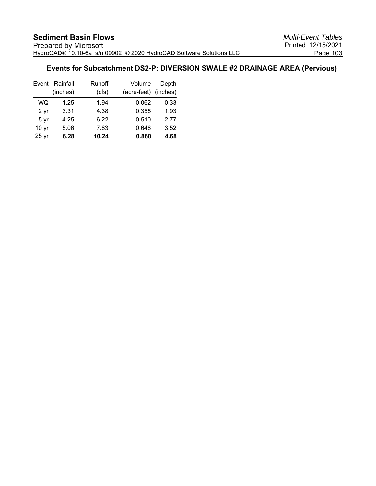# **Events for Subcatchment DS2-P: DIVERSION SWALE #2 DRAINAGE AREA (Pervious)**

| Event            | Rainfall | <b>Runoff</b> | Volume      | Depth    |
|------------------|----------|---------------|-------------|----------|
|                  | (inches) | (cfs)         | (acre-feet) | (inches) |
| WQ               | 1.25     | 1.94          | 0.062       | 0.33     |
| 2 yr             | 3.31     | 4.38          | 0.355       | 1.93     |
| 5 yr             | 4.25     | 6.22          | 0.510       | 2.77     |
| 10 <sub>yr</sub> | 5.06     | 7.83          | 0.648       | 3.52     |
| 25 <sub>yr</sub> | 6.28     | 10.24         | 0.860       | 4.68     |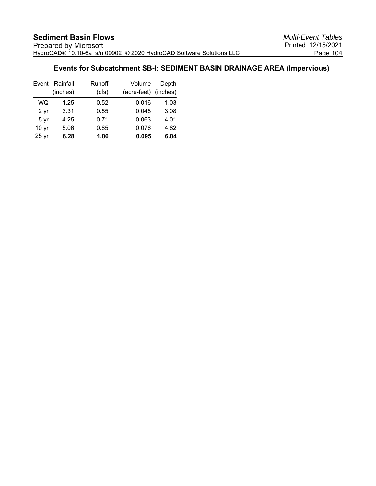# **Events for Subcatchment SB-I: SEDIMENT BASIN DRAINAGE AREA (Impervious)**

| Event            | Rainfall | <b>Runoff</b> | Volume               | Depth |
|------------------|----------|---------------|----------------------|-------|
|                  | (inches) | (cfs)         | (acre-feet) (inches) |       |
| WQ               | 1.25     | 0.52          | 0.016                | 1.03  |
| 2 yr             | 3.31     | 0.55          | 0.048                | 3.08  |
| 5 yr             | 4.25     | 0.71          | 0.063                | 4.01  |
| 10 <sub>yr</sub> | 5.06     | 0.85          | 0.076                | 4.82  |
| 25 <sub>yr</sub> | 6.28     | 1.06          | 0.095                | 6.04  |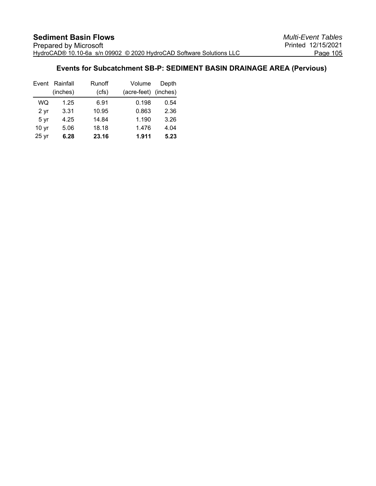# **Events for Subcatchment SB-P: SEDIMENT BASIN DRAINAGE AREA (Pervious)**

|                  | Event Rainfall | Runoff | Volume      | Depth    |
|------------------|----------------|--------|-------------|----------|
|                  | (inches)       | (cfs)  | (acre-feet) | (inches) |
| WQ               | 1.25           | 6.91   | 0.198       | 0.54     |
| 2 <sub>yr</sub>  | 3.31           | 10.95  | 0.863       | 2.36     |
| 5 yr             | 4.25           | 14.84  | 1.190       | 3.26     |
| 10 <sub>yr</sub> | 5.06           | 18.18  | 1.476       | 4.04     |
| $25$ yr          | 6.28           | 23.16  | 1.911       | 5.23     |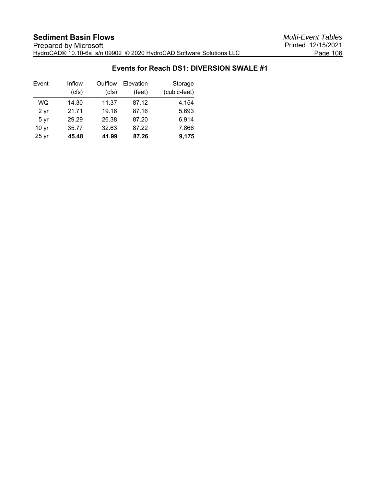## **Events for Reach DS1: DIVERSION SWALE #1**

| Event            | Inflow | Outflow | Elevation | Storage      |
|------------------|--------|---------|-----------|--------------|
|                  | (cfs)  | (cfs)   | (feet)    | (cubic-feet) |
| WQ               | 14.30  | 11.37   | 87.12     | 4.154        |
| 2 yr             | 21.71  | 19.16   | 87.16     | 5,693        |
| 5 yr             | 29.29  | 26.38   | 87.20     | 6,914        |
| 10 <sub>yr</sub> | 35.77  | 32.63   | 87.22     | 7,866        |
| $25$ yr          | 45.48  | 41.99   | 87.26     | 9,175        |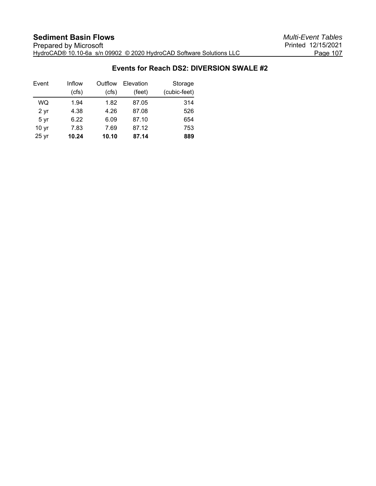### **Events for Reach DS2: DIVERSION SWALE #2**

| Event            | Inflow | Outflow | Elevation | Storage      |
|------------------|--------|---------|-----------|--------------|
|                  | (cfs)  | (cfs)   | (feet)    | (cubic-feet) |
| WQ               | 1.94   | 1.82    | 87.05     | 314          |
| 2 <sub>yr</sub>  | 4.38   | 4.26    | 87.08     | 526          |
| 5 yr             | 6.22   | 6.09    | 87.10     | 654          |
| 10 <sub>yr</sub> | 7.83   | 7.69    | 87.12     | 753          |
| 25 <sub>yr</sub> | 10.24  | 10.10   | 87.14     | 889          |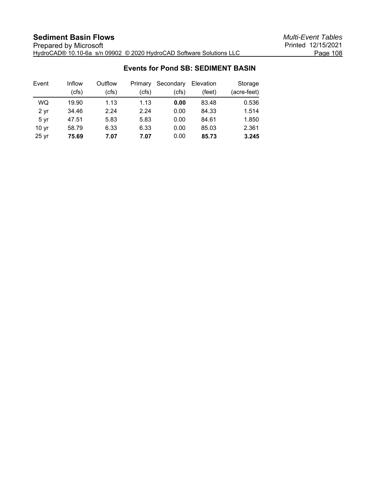## **Events for Pond SB: SEDIMENT BASIN**

| Event            | Inflow | Outflow | Primary | Secondary | Elevation | Storage     |
|------------------|--------|---------|---------|-----------|-----------|-------------|
|                  | (cfs)  | (cfs)   | (cfs)   | (cfs)     | (feet)    | (acre-feet) |
| <b>WQ</b>        | 19.90  | 1.13    | 1.13    | 0.00      | 83.48     | 0.536       |
| 2 <sub>yr</sub>  | 34.46  | 2.24    | 2.24    | 0.00      | 84.33     | 1.514       |
| 5 yr             | 47.51  | 5.83    | 5.83    | 0.00      | 84.61     | 1.850       |
| 10 <sub>yr</sub> | 58.79  | 6.33    | 6.33    | 0.00      | 85.03     | 2.361       |
| 25 yr            | 75.69  | 7.07    | 7.07    | 0.00      | 85.73     | 3.245       |